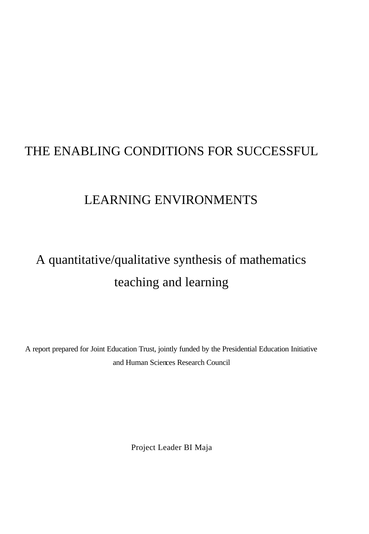# THE ENABLING CONDITIONS FOR SUCCESSFUL

# LEARNING ENVIRONMENTS

# A quantitative/qualitative synthesis of mathematics teaching and learning

A report prepared for Joint Education Trust, jointly funded by the Presidential Education Initiative and Human Sciences Research Council

Project Leader BI Maja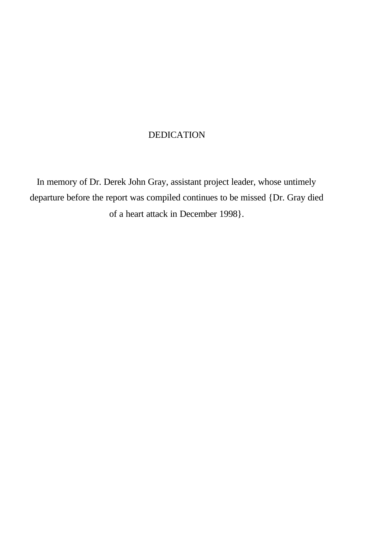## DEDICATION

In memory of Dr. Derek John Gray, assistant project leader, whose untimely departure before the report was compiled continues to be missed {Dr. Gray died of a heart attack in December 1998}.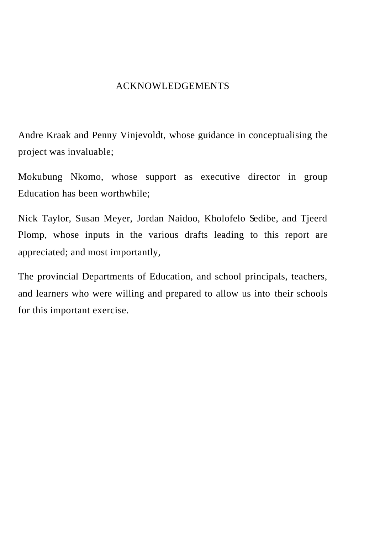### ACKNOWLEDGEMENTS

Andre Kraak and Penny Vinjevoldt, whose guidance in conceptualising the project was invaluable;

Mokubung Nkomo, whose support as executive director in group Education has been worthwhile;

Nick Taylor, Susan Meyer, Jordan Naidoo, Kholofelo Sedibe, and Tjeerd Plomp, whose inputs in the various drafts leading to this report are appreciated; and most importantly,

The provincial Departments of Education, and school principals, teachers, and learners who were willing and prepared to allow us into their schools for this important exercise.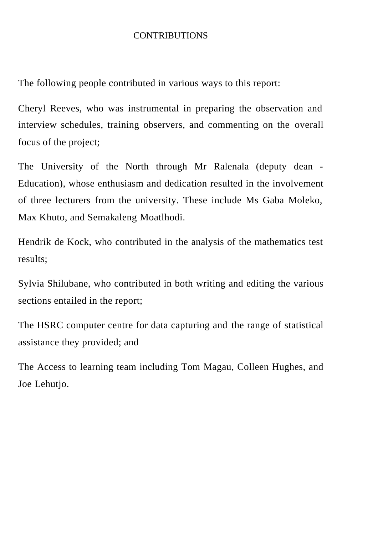### CONTRIBUTIONS

The following people contributed in various ways to this report:

Cheryl Reeves, who was instrumental in preparing the observation and interview schedules, training observers, and commenting on the overall focus of the project;

The University of the North through Mr Ralenala (deputy dean - Education), whose enthusiasm and dedication resulted in the involvement of three lecturers from the university. These include Ms Gaba Moleko, Max Khuto, and Semakaleng Moatlhodi.

Hendrik de Kock, who contributed in the analysis of the mathematics test results;

Sylvia Shilubane, who contributed in both writing and editing the various sections entailed in the report;

The HSRC computer centre for data capturing and the range of statistical assistance they provided; and

The Access to learning team including Tom Magau, Colleen Hughes, and Joe Lehutjo.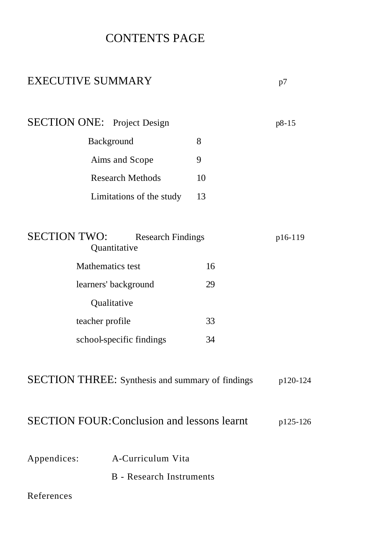# CONTENTS PAGE

# EXECUTIVE SUMMARY p7

SECTION ONE: Project Design p8-15 Background 8 Aims and Scope 9 Research Methods 10 Limitations of the study 13 SECTION TWO: Research Findings p16-119 Quantitative Mathematics test 16 learners' background 29  $\sim$   $\sim$   $\sim$ 

| Qualitative              |    |
|--------------------------|----|
| teacher profile          | 33 |
| school-specific findings | 34 |

| <b>SECTION THREE:</b> Synthesis and summary of findings |  |  |  | p120-124 |
|---------------------------------------------------------|--|--|--|----------|
|---------------------------------------------------------|--|--|--|----------|

# SECTION FOUR: Conclusion and lessons learnt p125-126

| Appendices: | A-Curriculum Vita |  |
|-------------|-------------------|--|
|             |                   |  |

B - Research Instruments

### References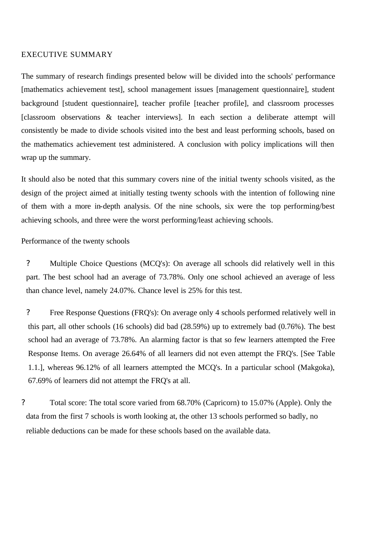#### EXECUTIVE SUMMARY

The summary of research findings presented below will be divided into the schools' performance [mathematics achievement test], school management issues [management questionnaire], student background [student questionnaire], teacher profile [teacher profile], and classroom processes [classroom observations & teacher interviews]. In each section a deliberate attempt will consistently be made to divide schools visited into the best and least performing schools, based on the mathematics achievement test administered. A conclusion with policy implications will then wrap up the summary.

It should also be noted that this summary covers nine of the initial twenty schools visited, as the design of the project aimed at initially testing twenty schools with the intention of following nine of them with a more in-depth analysis. Of the nine schools, six were the top performing/best achieving schools, and three were the worst performing/least achieving schools.

Performance of the twenty schools

? Multiple Choice Questions (MCQ's): On average all schools did relatively well in this part. The best school had an average of 73.78%. Only one school achieved an average of less than chance level, namely 24.07%. Chance level is 25% for this test.

? Free Response Questions (FRQ's): On average only 4 schools performed relatively well in this part, all other schools (16 schools) did bad (28.59%) up to extremely bad (0.76%). The best school had an average of 73.78%. An alarming factor is that so few learners attempted the Free Response Items. On average 26.64% of all learners did not even attempt the FRQ's. [See Table 1.1.], whereas 96.12% of all learners attempted the MCQ's. In a particular school (Makgoka), 67.69% of learners did not attempt the FRQ's at all.

? Total score: The total score varied from 68.70% (Capricorn) to 15.07% (Apple). Only the data from the first 7 schools is worth looking at, the other 13 schools performed so badly, no reliable deductions can be made for these schools based on the available data.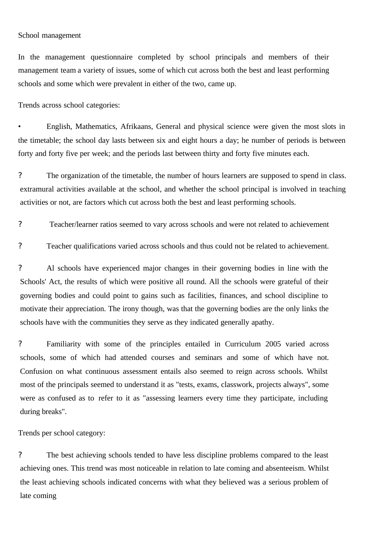#### School management

In the management questionnaire completed by school principals and members of their management team a variety of issues, some of which cut across both the best and least performing schools and some which were prevalent in either of the two, came up.

Trends across school categories:

• English, Mathematics, Afrikaans, General and physical science were given the most slots in the timetable; the school day lasts between six and eight hours a day; he number of periods is between forty and forty five per week; and the periods last between thirty and forty five minutes each.

? The organization of the timetable, the number of hours learners are supposed to spend in class. extramural activities available at the school, and whether the school principal is involved in teaching activities or not, are factors which cut across both the best and least performing schools.

? Teacher/learner ratios seemed to vary across schools and were not related to achievement

? Teacher qualifications varied across schools and thus could not be related to achievement.

? Al schools have experienced major changes in their governing bodies in line with the Schools' Act, the results of which were positive all round. All the schools were grateful of their governing bodies and could point to gains such as facilities, finances, and school discipline to motivate their appreciation. The irony though, was that the governing bodies are the only links the schools have with the communities they serve as they indicated generally apathy.

? Familiarity with some of the principles entailed in Curriculum 2005 varied across schools, some of which had attended courses and seminars and some of which have not. Confusion on what continuous assessment entails also seemed to reign across schools. Whilst most of the principals seemed to understand it as "tests, exams, classwork, projects always", some were as confused as to refer to it as "assessing learners every time they participate, including during breaks".

Trends per school category:

? The best achieving schools tended to have less discipline problems compared to the least achieving ones. This trend was most noticeable in relation to late coming and absenteeism. Whilst the least achieving schools indicated concerns with what they believed was a serious problem of late coming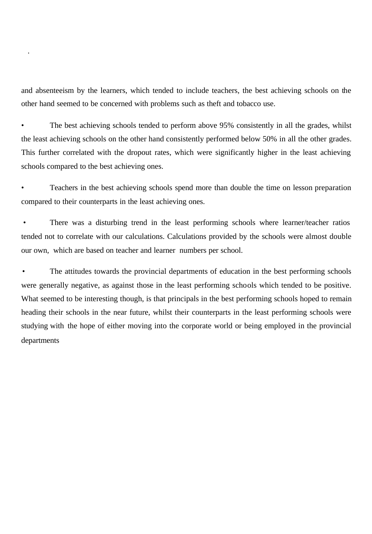and absenteeism by the learners, which tended to include teachers, the best achieving schools on the other hand seemed to be concerned with problems such as theft and tobacco use.

.

The best achieving schools tended to perform above 95% consistently in all the grades, whilst the least achieving schools on the other hand consistently performed below 50% in all the other grades. This further correlated with the dropout rates, which were significantly higher in the least achieving schools compared to the best achieving ones.

• Teachers in the best achieving schools spend more than double the time on lesson preparation compared to their counterparts in the least achieving ones.

There was a disturbing trend in the least performing schools where learner/teacher ratios tended not to correlate with our calculations. Calculations provided by the schools were almost double our own, which are based on teacher and learner numbers per school.

• The attitudes towards the provincial departments of education in the best performing schools were generally negative, as against those in the least performing schools which tended to be positive. What seemed to be interesting though, is that principals in the best performing schools hoped to remain heading their schools in the near future, whilst their counterparts in the least performing schools were studying with the hope of either moving into the corporate world or being employed in the provincial departments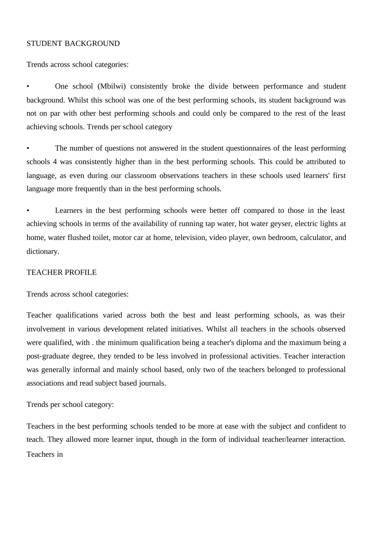#### STUDENT BACKGROUND

Trends across school categories:

• One school (Mbilwi) consistently broke the divide between performance and student background. Whilst this school was one of the best performing schools, its student background was not on par with other best performing schools and could only be compared to the rest of the least achieving schools. Trends per school category

The number of questions not answered in the student questionnaires of the least performing schools 4 was consistently higher than in the best performing schools. This could be attributed to language, as even during our classroom observations teachers in these schools used learners' first language more frequently than in the best performing schools.

Learners in the best performing schools were better off compared to those in the least achieving schools in terms of the availability of running tap water, hot water geyser, electric lights at home, water flushed toilet, motor car at home, television, video player, own bedroom, calculator, and dictionary.

#### TEACHER PROFILE

Trends across school categories:

Teacher qualifications varied across both the best and least performing schools, as was their involvement in various development related initiatives. Whilst all teachers in the schools observed were qualified, with . the minimum qualification being a teacher's diploma and the maximum being a post-graduate degree, they tended to be less involved in professional activities. Teacher interaction was generally informal and mainly school based, only two of the teachers belonged to professional associations and read subject based journals.

Trends per school category:

Teachers in the best performing schools tended to be more at ease with the subject and confident to teach. They allowed more learner input, though in the form of individual teacher/learner interaction. Teachers in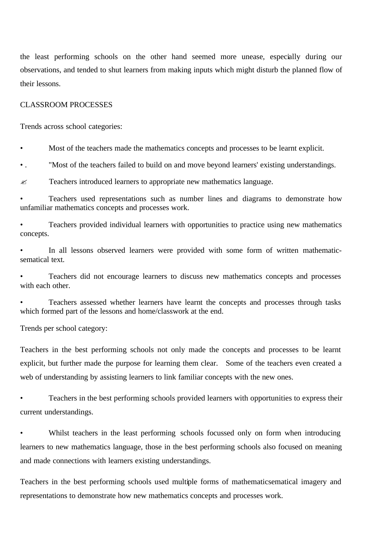the least performing schools on the other hand seemed more unease, especially during our observations, and tended to shut learners from making inputs which might disturb the planned flow of their lessons.

#### CLASSROOM PROCESSES

Trends across school categories:

• Most of the teachers made the mathematics concepts and processes to be learnt explicit.

• . "Most of the teachers failed to build on and move beyond learners' existing understandings.

 $\approx$  Teachers introduced learners to appropriate new mathematics language.

• Teachers used representations such as number lines and diagrams to demonstrate how unfamiliar mathematics concepts and processes work.

• Teachers provided individual learners with opportunities to practice using new mathematics concepts.

In all lessons observed learners were provided with some form of written mathematicsematical text.

• Teachers did not encourage learners to discuss new mathematics concepts and processes with each other.

• Teachers assessed whether learners have learnt the concepts and processes through tasks which formed part of the lessons and home/classwork at the end.

Trends per school category:

Teachers in the best performing schools not only made the concepts and processes to be learnt explicit, but further made the purpose for learning them clear. Some of the teachers even created a web of understanding by assisting learners to link familiar concepts with the new ones.

• Teachers in the best performing schools provided learners with opportunities to express their current understandings.

Whilst teachers in the least performing schools focussed only on form when introducing learners to new mathematics language, those in the best performing schools also focused on meaning and made connections with learners existing understandings.

Teachers in the best performing schools used multiple forms of mathematicsematical imagery and representations to demonstrate how new mathematics concepts and processes work.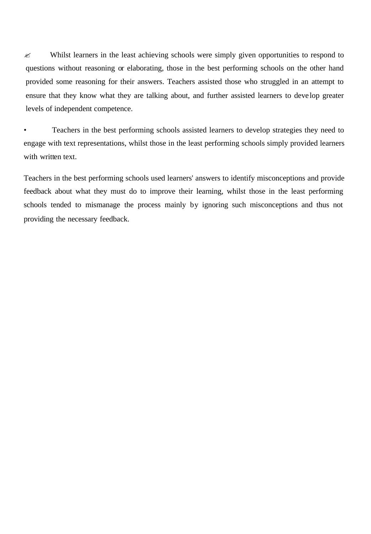$\approx$  Whilst learners in the least achieving schools were simply given opportunities to respond to questions without reasoning or elaborating, those in the best performing schools on the other hand provided some reasoning for their answers. Teachers assisted those who struggled in an attempt to ensure that they know what they are talking about, and further assisted learners to deve lop greater levels of independent competence.

• Teachers in the best performing schools assisted learners to develop strategies they need to engage with text representations, whilst those in the least performing schools simply provided learners with written text.

Teachers in the best performing schools used learners' answers to identify misconceptions and provide feedback about what they must do to improve their learning, whilst those in the least performing schools tended to mismanage the process mainly by ignoring such misconceptions and thus not providing the necessary feedback.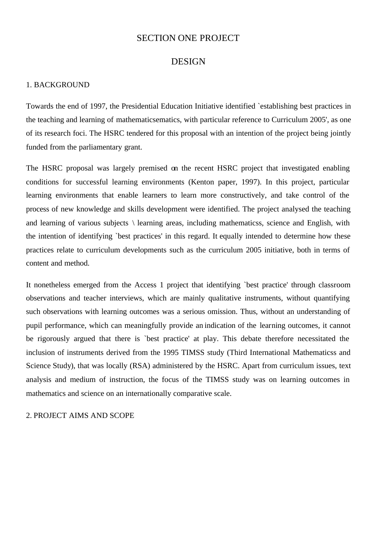#### SECTION ONE PROJECT

#### DESIGN

#### 1. BACKGROUND

Towards the end of 1997, the Presidential Education Initiative identified `establishing best practices in the teaching and learning of mathematicsematics, with particular reference to Curriculum 2005', as one of its research foci. The HSRC tendered for this proposal with an intention of the project being jointly funded from the parliamentary grant.

The HSRC proposal was largely premised on the recent HSRC project that investigated enabling conditions for successful learning environments (Kenton paper, 1997). In this project, particular learning environments that enable learners to learn more constructively, and take control of the process of new knowledge and skills development were identified. The project analysed the teaching and learning of various subjects \ learning areas, including mathematicss, science and English, with the intention of identifying `best practices' in this regard. It equally intended to determine how these practices relate to curriculum developments such as the curriculum 2005 initiative, both in terms of content and method.

It nonetheless emerged from the Access 1 project that identifying `best practice' through classroom observations and teacher interviews, which are mainly qualitative instruments, without quantifying such observations with learning outcomes was a serious omission. Thus, without an understanding of pupil performance, which can meaningfully provide an indication of the learning outcomes, it cannot be rigorously argued that there is `best practice' at play. This debate therefore necessitated the inclusion of instruments derived from the 1995 TIMSS study (Third International Mathematicss and Science Study), that was locally (RSA) administered by the HSRC. Apart from curriculum issues, text analysis and medium of instruction, the focus of the TIMSS study was on learning outcomes in mathematics and science on an internationally comparative scale.

2. PROJECT AIMS AND SCOPE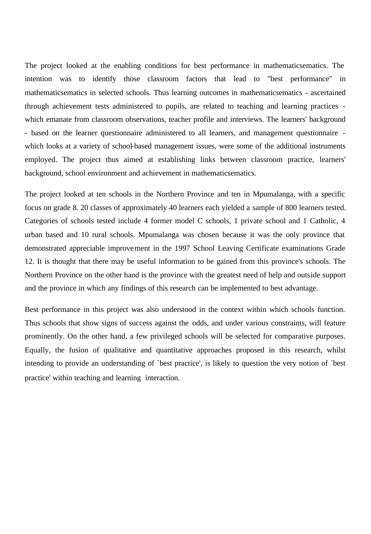The project looked at the enabling conditions for best performance in mathematicsematics. The intention was to identify those classroom factors that lead to "best performance" in mathematicsematics in selected schools. Thus learning outcomes in mathematicsematics - ascertained through achievement tests administered to pupils, are related to teaching and learning practices which emanate from classroom observations, teacher profile and interviews. The learners' background - based on the learner questionnaire administered to all learners, and management questionnaire which looks at a variety of school-based management issues, were some of the additional instruments employed. The project thus aimed at establishing links between classroom practice, learners' background, school environment and achievement in mathematicsematics.

The project looked at ten schools in the Northern Province and ten in Mpumalanga, with a specific focus on grade 8. 20 classes of approximately 40 learners each yielded a sample of 800 learners tested. Categories of schools tested include 4 former model C schools, 1 private school and 1 Catholic, 4 urban based and 10 rural schools. Mpumalanga was chosen because it was the only province that demonstrated appreciable improvement in the 1997 School Leaving Certificate examinations Grade 12. It is thought that there may be useful information to be gained from this province's schools. The Northern Province on the other hand is the province with the greatest need of help and outside support and the province in which any findings of this research can be implemented to best advantage.

Best performance in this project was also understood in the context within which schools function. Thus schools that show signs of success against the odds, and under various constraints, will feature prominently. On the other hand, a few privileged schools will be selected for comparative purposes. Equally, the fusion of qualitative and quantitative approaches proposed in this research, whilst intending to provide an understanding of `best practice', is likely to question the very notion of `best practice' within teaching and learning interaction.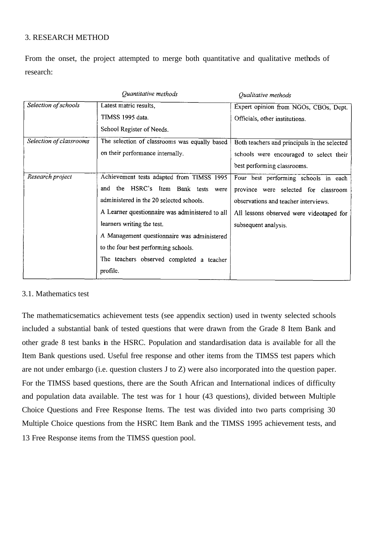#### 3. RESEARCH METHOD

From the onset, the project attempted to merge both quantitative and qualitative methods of research:

|                         | Quantitative methods                            | Qualitative methods                          |
|-------------------------|-------------------------------------------------|----------------------------------------------|
| Selection of schools    | Latest matric results,                          | Expert opinion from NGOs, CBOs, Dept.        |
|                         | TIMSS 1995 data.                                | Officials, other institutions.               |
|                         | School Register of Needs.                       |                                              |
| Selection of classrooms | The selection of classrooms was equally based   | Both teachers and principals in the selected |
|                         | on their performance internally.                | schools were encouraged to select their      |
|                         |                                                 | best performing classrooms.                  |
| Research project        | Achievement tests adapted from TIMSS 1995       | Four best performing schools in each         |
|                         | the HSRC's Item Bank tests were<br>and          | province were selected for classroom         |
|                         | administered in the 20 selected schools.        | observations and teacher interviews.         |
|                         | A Learner questionnaire was administered to all | All lessons observed were videotaped for     |
|                         | learners writing the test.                      | subsequent analysis.                         |
|                         | A Management questionnaire was administered     |                                              |
|                         | to the four best performing schools.            |                                              |
|                         | The teachers observed completed a teacher       |                                              |
|                         | profile.                                        |                                              |

#### 3.1. Mathematics test

The mathematicsematics achievement tests (see appendix section) used in twenty selected schools included a substantial bank of tested questions that were drawn from the Grade 8 Item Bank and other grade 8 test banks in the HSRC. Population and standardisation data is available for all the Item Bank questions used. Useful free response and other items from the TIMSS test papers which are not under embargo (i.e. question clusters J to Z) were also incorporated into the question paper. For the TIMSS based questions, there are the South African and International indices of difficulty and population data available. The test was for 1 hour (43 questions), divided between Multiple Choice Questions and Free Response Items. The test was divided into two parts comprising 30 Multiple Choice questions from the HSRC Item Bank and the TIMSS 1995 achievement tests, and 13 Free Response items from the TIMSS question pool.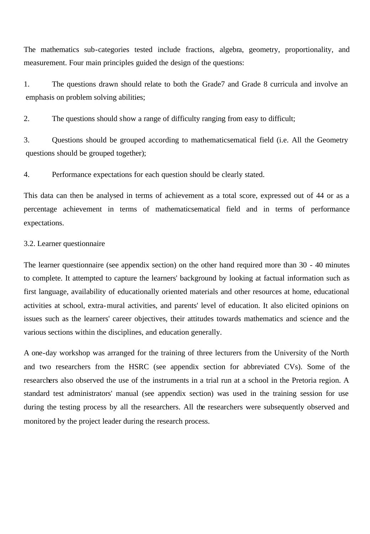The mathematics sub-categories tested include fractions, algebra, geometry, proportionality, and measurement. Four main principles guided the design of the questions:

1. The questions drawn should relate to both the Grade7 and Grade 8 curricula and involve an emphasis on problem solving abilities;

2. The questions should show a range of difficulty ranging from easy to difficult;

3. Questions should be grouped according to mathematicsematical field (i.e. All the Geometry questions should be grouped together);

4. Performance expectations for each question should be clearly stated.

This data can then be analysed in terms of achievement as a total score, expressed out of 44 or as a percentage achievement in terms of mathematicsematical field and in terms of performance expectations.

#### 3.2. Learner questionnaire

The learner questionnaire (see appendix section) on the other hand required more than 30 - 40 minutes to complete. It attempted to capture the learners' background by looking at factual information such as first language, availability of educationally oriented materials and other resources at home, educational activities at school, extra-mural activities, and parents' level of education. It also elicited opinions on issues such as the learners' career objectives, their attitudes towards mathematics and science and the various sections within the disciplines, and education generally.

A one-day workshop was arranged for the training of three lecturers from the University of the North and two researchers from the HSRC (see appendix section for abbreviated CVs). Some of the researchers also observed the use of the instruments in a trial run at a school in the Pretoria region. A standard test administrators' manual (see appendix section) was used in the training session for use during the testing process by all the researchers. All the researchers were subsequently observed and monitored by the project leader during the research process.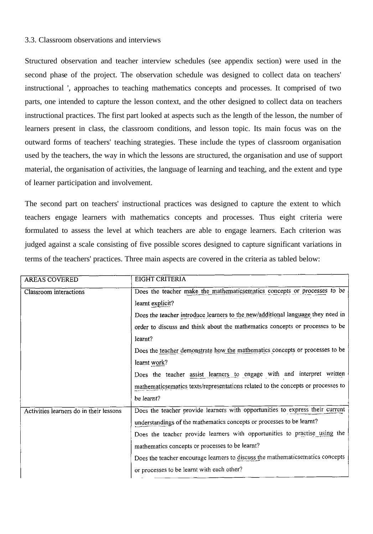#### 3.3. Classroom observations and interviews

Structured observation and teacher interview schedules (see appendix section) were used in the second phase of the project. The observation schedule was designed to collect data on teachers' instructional ', approaches to teaching mathematics concepts and processes. It comprised of two parts, one intended to capture the lesson context, and the other designed to collect data on teachers instructional practices. The first part looked at aspects such as the length of the lesson, the number of learners present in class, the classroom conditions, and lesson topic. Its main focus was on the outward forms of teachers' teaching strategies. These include the types of classroom organisation used by the teachers, the way in which the lessons are structured, the organisation and use of support material, the organisation of activities, the language of learning and teaching, and the extent and type of learner participation and involvement.

The second part on teachers' instructional practices was designed to capture the extent to which teachers engage learners with mathematics concepts and processes. Thus eight criteria were formulated to assess the level at which teachers are able to engage learners. Each criterion was judged against a scale consisting of five possible scores designed to capture significant variations in terms of the teachers' practices. Three main aspects are covered in the criteria as tabled below:

| <b>AREAS COVERED</b>                    | EIGHT CRITERIA                                                                   |
|-----------------------------------------|----------------------------------------------------------------------------------|
| Classroom interactions                  | Does the teacher make the mathematicsematics concepts or processes to be         |
|                                         | learnt explicit?                                                                 |
|                                         | Does the teacher introduce learners to the new/additional language they need in  |
|                                         | order to discuss and think about the mathematics concepts or processes to be     |
|                                         | learnt?                                                                          |
|                                         | Does the teacher demonstrate how the mathematics concepts or processes to be     |
|                                         | learnt work?                                                                     |
|                                         | Does the teacher assist learners to engage with and interpret written            |
|                                         | mathematicsematics texts/representations related to the concepts or processes to |
|                                         | be learnt?                                                                       |
| Activities learners do in their lessons | Does the teacher provide learners with opportunities to express their current    |
|                                         | understandings of the mathematics concepts or processes to be learnt?            |
|                                         | Does the teacher provide learners with opportunities to practise using the       |
|                                         | mathematics concepts or processes to be learnt?                                  |
|                                         | Does the teacher encourage learners to discuss the mathematicsematics concepts   |
|                                         | or processes to be learnt with each other?                                       |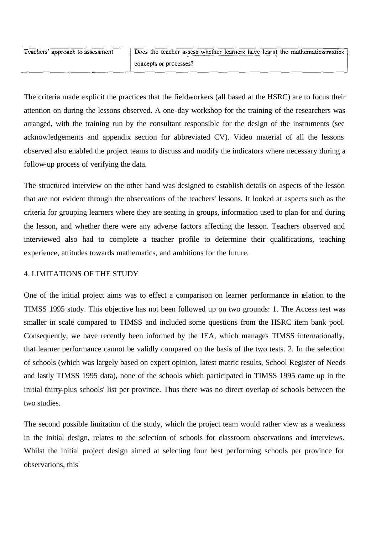| Teachers' approach to assessment | Does the teacher assess whether learners have learnt the mathematics matrices |
|----------------------------------|-------------------------------------------------------------------------------|
|                                  | concepts or processes?                                                        |

The criteria made explicit the practices that the fieldworkers (all based at the HSRC) are to focus their attention on during the lessons observed. A one-day workshop for the training of the researchers was arranged, with the training run by the consultant responsible for the design of the instruments (see acknowledgements and appendix section for abbreviated CV). Video material of all the lessons observed also enabled the project teams to discuss and modify the indicators where necessary during a follow-up process of verifying the data.

The structured interview on the other hand was designed to establish details on aspects of the lesson that are not evident through the observations of the teachers' lessons. It looked at aspects such as the criteria for grouping learners where they are seating in groups, information used to plan for and during the lesson, and whether there were any adverse factors affecting the lesson. Teachers observed and interviewed also had to complete a teacher profile to determine their qualifications, teaching experience, attitudes towards mathematics, and ambitions for the future.

#### 4. LIMITATIONS OF THE STUDY

One of the initial project aims was to effect a comparison on learner performance in relation to the TIMSS 1995 study. This objective has not been followed up on two grounds: 1. The Access test was smaller in scale compared to TIMSS and included some questions from the HSRC item bank pool. Consequently, we have recently been informed by the IEA, which manages TIMSS internationally, that learner performance cannot be validly compared on the basis of the two tests. 2. In the selection of schools (which was largely based on expert opinion, latest matric results, School Register of Needs and lastly TIMSS 1995 data), none of the schools which participated in TIMSS 1995 came up in the initial thirty-plus schools' list per province. Thus there was no direct overlap of schools between the two studies.

The second possible limitation of the study, which the project team would rather view as a weakness in the initial design, relates to the selection of schools for classroom observations and interviews. Whilst the initial project design aimed at selecting four best performing schools per province for observations, this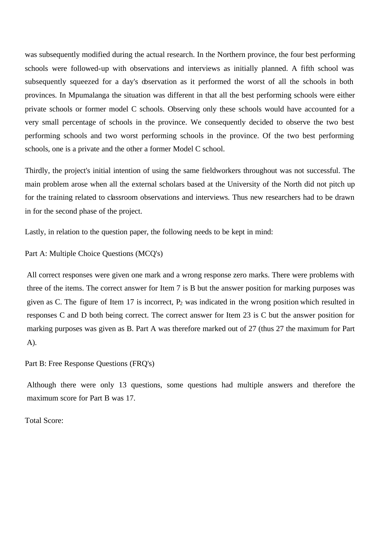was subsequently modified during the actual research. In the Northern province, the four best performing schools were followed-up with observations and interviews as initially planned. A fifth school was subsequently squeezed for a day's observation as it performed the worst of all the schools in both provinces. In Mpumalanga the situation was different in that all the best performing schools were either private schools or former model C schools. Observing only these schools would have accounted for a very small percentage of schools in the province. We consequently decided to observe the two best performing schools and two worst performing schools in the province. Of the two best performing schools, one is a private and the other a former Model C school.

Thirdly, the project's initial intention of using the same fieldworkers throughout was not successful. The main problem arose when all the external scholars based at the University of the North did not pitch up for the training related to classroom observations and interviews. Thus new researchers had to be drawn in for the second phase of the project.

Lastly, in relation to the question paper, the following needs to be kept in mind:

Part A: Multiple Choice Questions (MCQ's)

All correct responses were given one mark and a wrong response zero marks. There were problems with three of the items. The correct answer for Item 7 is B but the answer position for marking purposes was given as C. The figure of Item 17 is incorrect,  $P_2$  was indicated in the wrong position which resulted in responses C and D both being correct. The correct answer for Item 23 is C but the answer position for marking purposes was given as B. Part A was therefore marked out of 27 (thus 27 the maximum for Part A).

#### Part B: Free Response Questions (FRQ's)

Although there were only 13 questions, some questions had multiple answers and therefore the maximum score for Part B was 17.

Total Score: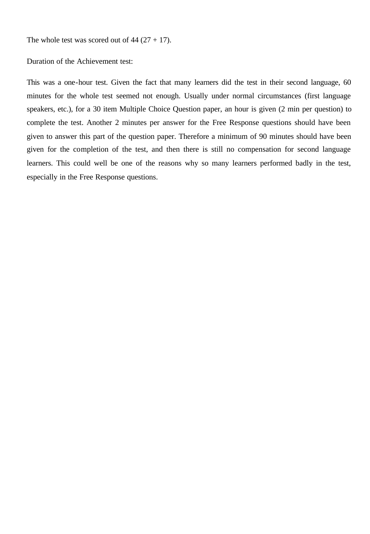The whole test was scored out of  $44 (27 + 17)$ .

Duration of the Achievement test:

This was a one-hour test. Given the fact that many learners did the test in their second language, 60 minutes for the whole test seemed not enough. Usually under normal circumstances (first language speakers, etc.), for a 30 item Multiple Choice Question paper, an hour is given (2 min per question) to complete the test. Another 2 minutes per answer for the Free Response questions should have been given to answer this part of the question paper. Therefore a minimum of 90 minutes should have been given for the completion of the test, and then there is still no compensation for second language learners. This could well be one of the reasons why so many learners performed badly in the test, especially in the Free Response questions.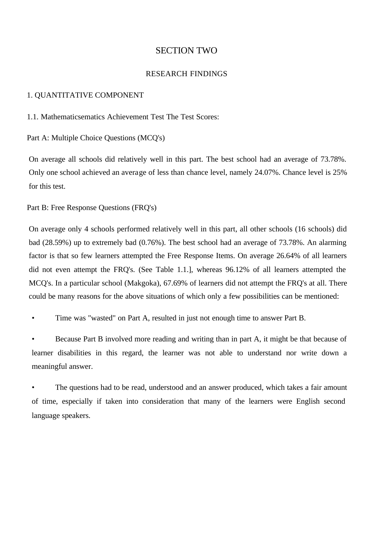#### SECTION TWO

#### RESEARCH FINDINGS

#### 1. QUANTITATIVE COMPONENT

1.1. Mathematicsematics Achievement Test The Test Scores:

Part A: Multiple Choice Questions (MCQ's)

On average all schools did relatively well in this part. The best school had an average of 73.78%. Only one school achieved an average of less than chance level, namely 24.07%. Chance level is 25% for this test.

Part B: Free Response Questions (FRQ's)

On average only 4 schools performed relatively well in this part, all other schools (16 schools) did bad (28.59%) up to extremely bad (0.76%). The best school had an average of 73.78%. An alarming factor is that so few learners attempted the Free Response Items. On average 26.64% of all learners did not even attempt the FRQ's. (See Table 1.1.], whereas 96.12% of all learners attempted the MCQ's. In a particular school (Makgoka), 67.69% of learners did not attempt the FRQ's at all. There could be many reasons for the above situations of which only a few possibilities can be mentioned:

• Time was "wasted" on Part A, resulted in just not enough time to answer Part B.

Because Part B involved more reading and writing than in part A, it might be that because of learner disabilities in this regard, the learner was not able to understand nor write down a meaningful answer.

The questions had to be read, understood and an answer produced, which takes a fair amount of time, especially if taken into consideration that many of the learners were English second language speakers.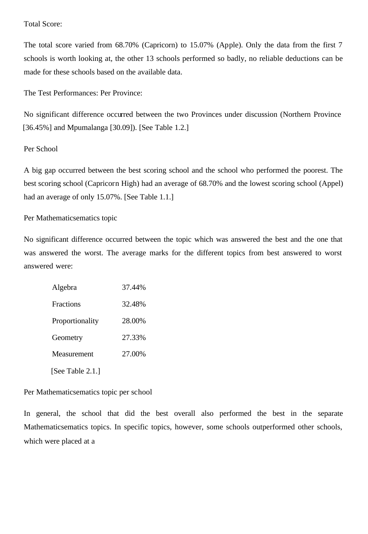#### Total Score:

The total score varied from 68.70% (Capricorn) to 15.07% (Apple). Only the data from the first 7 schools is worth looking at, the other 13 schools performed so badly, no reliable deductions can be made for these schools based on the available data.

The Test Performances: Per Province:

No significant difference occurred between the two Provinces under discussion (Northern Province [36.45%] and Mpumalanga [30.09]). [See Table 1.2.]

#### Per School

A big gap occurred between the best scoring school and the school who performed the poorest. The best scoring school (Capricorn High) had an average of 68.70% and the lowest scoring school (Appel) had an average of only 15.07%. [See Table 1.1.]

#### Per Mathematicsematics topic

No significant difference occurred between the topic which was answered the best and the one that was answered the worst. The average marks for the different topics from best answered to worst answered were:

| Algebra          | 37.44% |
|------------------|--------|
| <b>Fractions</b> | 32.48% |
| Proportionality  | 28.00% |
| Geometry         | 27.33% |
| Measurement      | 27.00% |
| [See Table 2.1.] |        |

Per Mathematicsematics topic per school

In general, the school that did the best overall also performed the best in the separate Mathematicsematics topics. In specific topics, however, some schools outperformed other schools, which were placed at a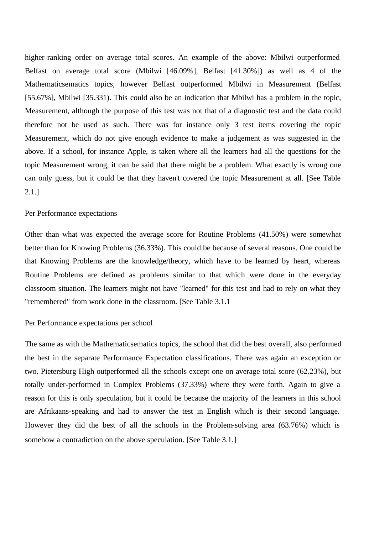higher-ranking order on average total scores. An example of the above: Mbilwi outperformed Belfast on average total score (Mbilwi [46.09%], Belfast [41.30%]) as well as 4 of the Mathematicsematics topics, however Belfast outperformed Mbilwi in Measurement (Belfast [55.67%], Mbilwi [35.331). This could also be an indication that Mbilwi has a problem in the topic, Measurement, although the purpose of this test was not that of a diagnostic test and the data could therefore not be used as such. There was for instance only 3 test items covering the topic Measurement, which do not give enough evidence to make a judgement as was suggested in the above. If a school, for instance Apple, is taken where all the learners had all the questions for the topic Measurement wrong, it can be said that there might be a problem. What exactly is wrong one can only guess, but it could be that they haven't covered the topic Measurement at all. [See Table 2.1.]

#### Per Performance expectations

Other than what was expected the average score for Routine Problems (41.50%) were somewhat better than for Knowing Problems (36.33%). This could be because of several reasons. One could be that Knowing Problems are the knowledge/theory, which have to be learned by heart, whereas Routine Problems are defined as problems similar to that which were done in the everyday classroom situation. The learners might not have "learned" for this test and had to rely on what they "remembered" from work done in the classroom. [See Table 3.1.1

#### Per Performance expectations per school

The same as with the Mathematicsematics topics, the school that did the best overall, also performed the best in the separate Performance Expectation classifications. There was again an exception or two. Pietersburg High outperformed all the schools except one on average total score (62.23%), but totally under-performed in Complex Problems (37.33%) where they were forth. Again to give a reason for this is only speculation, but it could be because the majority of the learners in this school are Afrikaans-speaking and had to answer the test in English which is their second language. However they did the best of all the schools in the Problem-solving area (63.76%) which is somehow a contradiction on the above speculation. [See Table 3.1.]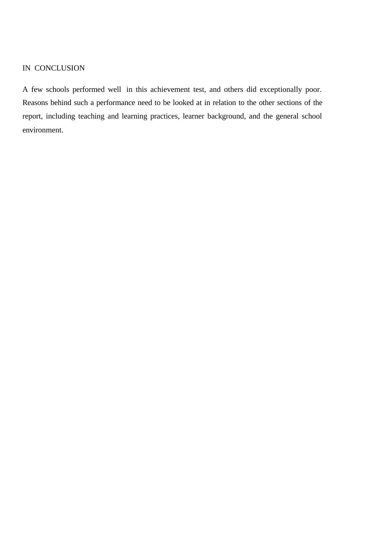#### IN CONCLUSION

A few schools performed well in this achievement test, and others did exceptionally poor. Reasons behind such a performance need to be looked at in relation to the other sections of the report, including teaching and learning practices, learner background, and the general school environment.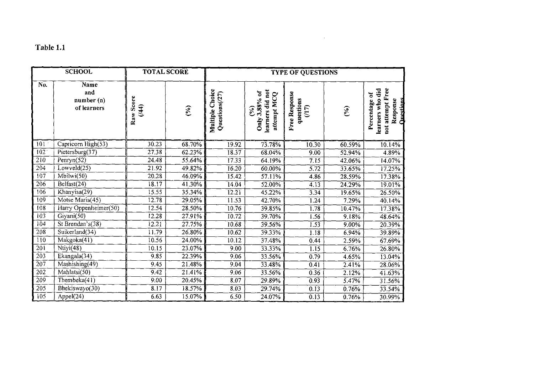# Table 1.1

|                  | <b>SCHOOL</b>                            | <b>TOTAL SCORE</b> |           |                                      | <b>TYPE OF QUESTIONS</b>                                          |                                     |        |                                                                                  |  |  |
|------------------|------------------------------------------|--------------------|-----------|--------------------------------------|-------------------------------------------------------------------|-------------------------------------|--------|----------------------------------------------------------------------------------|--|--|
| No.              | Name<br>and<br>number (n)<br>of learners | Raw Score<br>(144) | $($ % $)$ | Choice<br>Questions(/27)<br>Multiple | learners did not<br>Only 3.88% of<br>attempt MCQ<br>$\mathcal{S}$ | Free Response<br>questions<br>(117) | $(\%)$ | not attempt Free<br>learners who did<br>ð<br>Questions<br>Response<br>Percentage |  |  |
| 101              | Capricorn High(53)                       | 30.23              | 68.70%    | 19.92                                | 73.78%                                                            | 10.30                               | 60.59% | 10.14%                                                                           |  |  |
| 102              | Pietersburg( $37$ )                      | 27.38              | 62.23%    | 18.37                                | 68.04%                                                            | 9.00                                | 52.94% | 4.89%                                                                            |  |  |
| $\overline{210}$ | Penryn $(52)$                            | 24.48              | 55.64%    | $17.\overline{33}$                   | 64.19%                                                            | 7.15                                | 42.06% | 14.07%                                                                           |  |  |
| 204              | Lowveld(25)                              | 21.92              | 49.82%    | 16.20                                | 60.00%                                                            | $\overline{5.72}$                   | 33.65% | 17.25%                                                                           |  |  |
| $\overline{107}$ | $\overline{\text{Mbilwi}(50)}$           | 20.28              | 46.09%    | 15.42                                | 57.11%                                                            | 4.86                                | 28.59% | 17.38%                                                                           |  |  |
| 206              | Belfast(24)                              | 18.17              | $41.30\%$ | $14.\overline{0}4$                   | 52.00%                                                            | 4.13                                | 24.29% | 19.01%                                                                           |  |  |
| 106              | Khanyisa(29)                             | 15.55              | 35.34%    | 12.21                                | 45.22%                                                            | 3.34                                | 19.65% | 26.50%                                                                           |  |  |
| 109              | Motse Maria(45)                          | 12.78              | 29.05%    | 11.53                                | 42.70%                                                            | 1.24                                | 7.29%  | 40.14%                                                                           |  |  |
| 108              | Harry Oppenheimer(50)                    | 12.54              | 28.50%    | 10.76                                | 39.85%                                                            | $\overline{1.78}$                   | 10.47% | 17.38%                                                                           |  |  |
| 103              | Giyani(50)                               | 12.28              | 27.91%    | 10,72                                | 39.70%                                                            | 1.56                                | 9.18%  | 48.64%                                                                           |  |  |
| 104              | St Brendan's(38)                         | 12.21              | 27.75%    | $10.\overline{68}$                   | 39.56%                                                            | $\overline{1.53}$                   | 9.00%  | 20.39%                                                                           |  |  |
| 208              | Suikerland(34)                           | 11.79              | 26.80%    | 10.62                                | 39.33%                                                            | 1.18                                | 6.94%  | 39.89%                                                                           |  |  |
| 110              | Makgoka(41)                              | 10.56              | $24.00\%$ | 10.12                                | 37.48%                                                            | 0.44                                | 2.59%  | 67.69%                                                                           |  |  |
| 201              | $N$ tiyi $(48)$                          | 10.15              | 23.07%    | 9,00                                 | 33.33%                                                            | 1.15                                | 6.76%  | 26.80%                                                                           |  |  |
| $\overline{203}$ | Ekangala(34)                             | 9.85               | 22.39%    | 9,06                                 | 33.56%                                                            | 0.79                                | 4.65%  | 13.04%                                                                           |  |  |
| 207              | Mashishing(49)                           | 9.45               | 21.48%    | 9.04                                 | 33.48%                                                            | 0.41                                | 2.41%  | 28.06%                                                                           |  |  |
| 202              | Mahlatsi(50)                             | 9.42               | 21.41%    | 9.06                                 | 33.56%                                                            | 0.36                                | 2.12%  | 41.63%                                                                           |  |  |
| 209              | Thembeka $(41)$                          | 9.00               | 20.45%    | 8,07                                 | 29.89%                                                            | 0.93                                | 5.47%  | 31.56%                                                                           |  |  |
| $\overline{205}$ | Bhekiswayo(30)                           | 8.17               | 18.57%    | 8.03                                 | 29.74%                                                            | 0.13                                | 0.76%  | 33.54%                                                                           |  |  |
| $\overline{105}$ | Appel(24)                                | 6.63               | 15.07%    | 6,50                                 | $24.07\%$                                                         | $\overline{0.13}$                   | 0.76%  | 30.99%                                                                           |  |  |

 $\mathcal{L}^{\text{max}}_{\text{max}}$  and  $\mathcal{L}^{\text{max}}_{\text{max}}$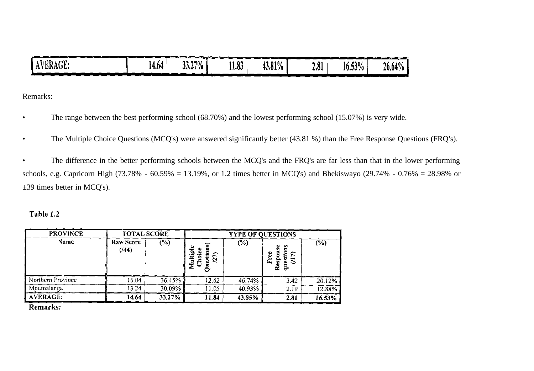|          |       |                      |       |        |             |           | _____  |
|----------|-------|----------------------|-------|--------|-------------|-----------|--------|
| AVERAGE: | 14.64 | $13.27\%$ H<br>33.21 | .1.83 | 43.81% | $\angle 81$ | $16.53\%$ | 26.64% |
|          |       |                      |       |        |             |           |        |

Remarks:

- The range between the best performing school (68.70%) and the lowest performing school (15.07%) is very wide.
- The Multiple Choice Questions (MCQ's) were answered significantly better (43.81 %) than the Free Response Questions (FRQ's).

• The difference in the better performing schools between the MCQ's and the FRQ's are far less than that in the lower performing schools, e.g. Capricorn High (73.78% - 60.59% = 13.19%, or 1.2 times better in MCQ's) and Bhekiswayo (29.74% - 0.76% = 28.98% or ±39 times better in MCQ's).

#### Table 1.2

| <b>PROVINCE</b>   | <b>TOTAL SCORE</b>       |        | <b>TYPE OF QUESTIONS</b> |        |                                         |        |  |  |  |
|-------------------|--------------------------|--------|--------------------------|--------|-----------------------------------------|--------|--|--|--|
| Name              | <b>Raw Score</b><br>(44) | (%)    | ≌<br>Multipl<br>Ř<br>N   | $(\%)$ | Ÿ.<br>ω<br>êsp<br>$\Xi$<br>Ľ.<br>ω<br>≃ | (%)    |  |  |  |
| Northern Province | 16.04                    | 36.45% | 12.62                    | 46.74% | 3.42                                    | 20.12% |  |  |  |
| Mpumalanga        | 13.24                    | 30.09% | 11.05                    | 40.93% | 2.19                                    | 12.88% |  |  |  |
| AVERAGE:          | 14.64                    | 33.27% | 11.84                    | 43.85% | 2.81                                    | 16.53% |  |  |  |

**Remarks:**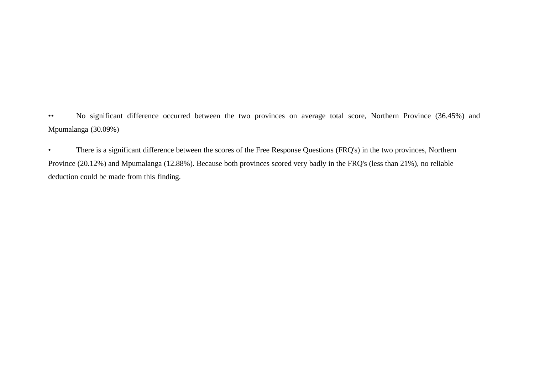•• No significant difference occurred between the two provinces on average total score, Northern Province (36.45%) and Mpumalanga (30.09%)

• There is a significant difference between the scores of the Free Response Questions (FRQ's) in the two provinces, Northern Province (20.12%) and Mpumalanga (12.88%). Because both provinces scored very badly in the FRQ's (less than 21%), no reliable deduction could be made from this finding.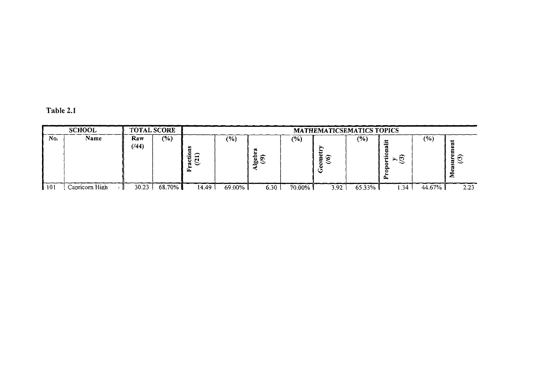| Table 2.1 |  |  |  |
|-----------|--|--|--|
|-----------|--|--|--|

|     | <b>SCHOOL</b>  | <b>TOTAL SCORE</b>                                                  |        |       |                                                               |       |        | MATHEMATICSEMATICS TOPICS                          |                  |       |        |                  |
|-----|----------------|---------------------------------------------------------------------|--------|-------|---------------------------------------------------------------|-------|--------|----------------------------------------------------|------------------|-------|--------|------------------|
| No. | Name           | Raw<br>(44)<br>كالأوصيل والمستوات المتوازل والمهير والمستوات والمست | $(\%)$ |       | (9)<br>مسور الأنسوب والموالي أستخدمها المتحدث الانسوب الأنسوب | ۰ مع  | (9/6)  | ⊾<br>التقاسي والمتواصل والمتناج والمتواطن المتواصل | (%<br>----<br>__ | σ     | (%     | ω<br>=<br>∽<br>- |
|     | Capricorn High | 30.23                                                               | 68.70% | 14.49 | 69.00%                                                        | .30 ن | 70.00% | 3.92                                               | 65.33%           | . .34 | 44.67% | 2.23             |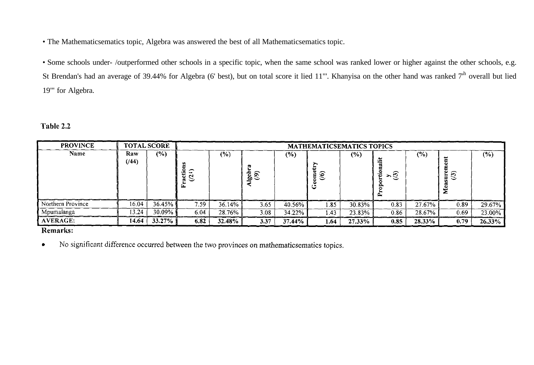• The Mathematicsematics topic, Algebra was answered the best of all Mathematicsematics topic.

• Some schools under- /outperformed other schools in a specific topic, when the same school was ranked lower or higher against the other schools, e.g. St Brendan's had an average of 39.44% for Algebra (6' best), but on total score it lied 11"'. Khanyisa on the other hand was ranked 7<sup>th</sup> overall but lied 19"' for Algebra.

#### Table 2.2

| <b>PROVINCE</b>   |              | <b>TOTAL SCORE</b> | <b>MATHEMATICSEMATICS TOPICS</b> |         |               |        |                                   |        |      |        |                         |        |  |
|-------------------|--------------|--------------------|----------------------------------|---------|---------------|--------|-----------------------------------|--------|------|--------|-------------------------|--------|--|
| Name              | Raw<br>(744) | $\frac{6}{2}$      | ∼<br>$\mathbf{r}$<br>$\epsilon$  | $(\% )$ | $\frac{5}{9}$ | $(\%)$ | $\widehat{\mathcal{S}}$<br>ε<br>C | $(\%)$ | ≻ত   | $(\%)$ | $\widehat{\bm{\sigma}}$ | $(\%)$ |  |
| Northern Province | 16.04        | 36.45%             | 7.59                             | 36.14%  | 3.65          | 40.56% | 1.85                              | 30.83% | 0.83 | 27.67% | 0.89                    | 29.67% |  |
| Mpumalanga        | 13.24        | 30.09%             | 6.04                             | 28.76%  | 3.08          | 34.22% | 1.43                              | 23.83% | 0.86 | 28.67% | 0.69                    | 23.00% |  |
| <b>AVERAGE:</b>   | 14.64        | $33.27\%$          | 6.82                             | 32.48%  | 3.37          | 37.44% | 1.64                              | 27.33% | 0.85 | 28,33% | 0.79                    | 26.33% |  |

#### Remarks:

No significant difference occurred between the two provinces on mathematicsematics topics.  $\bullet$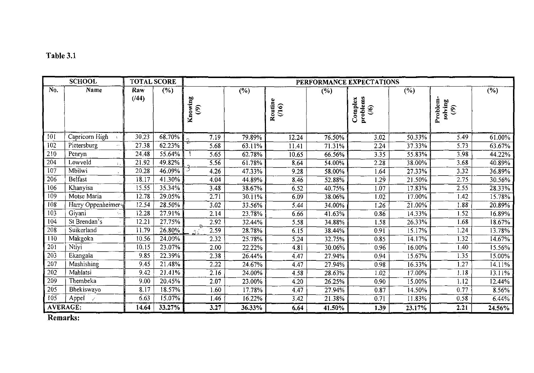# Table 3.1

| <b>SCHOOL</b>     |                    | <b>TOTAL SCORE</b> |        | PERFORMANCE EXPECTATIONS            |        |                  |        |                                                |                      |                                               |        |  |  |
|-------------------|--------------------|--------------------|--------|-------------------------------------|--------|------------------|--------|------------------------------------------------|----------------------|-----------------------------------------------|--------|--|--|
| No.               | Name               | Raw                | (%)    |                                     | (%)    |                  | $(\%)$ |                                                | $\overline{(\%)}$    |                                               | (%)    |  |  |
|                   |                    | (144)              |        | Knowing<br>$\widehat{\mathfrak{S}}$ |        | Routine<br>(116) |        | problems<br>Complex<br>$\widehat{\mathcal{S}}$ |                      | Problem<br>solving<br>$\widehat{\mathcal{E}}$ |        |  |  |
| 101               | Capricorn High     | 30.23              | 68.70% | 7.19                                | 79.89% | 12.24            | 76.50% | 3.02                                           | 50.33%               | 5.49                                          | 61.00% |  |  |
| 102               | Pietersburg        | 27.38              | 62.23% | 5.68                                | 63.11% | 11.41            | 71.31% | 2.24                                           | 37.33%               | 5.73                                          | 63.67% |  |  |
| 210               | Penryn             | 24.48              | 55.64% | 5.65                                | 62.78% | 10.65            | 66.56% | 3.35                                           | 55.83%               | 3.98                                          | 44.22% |  |  |
| $20\overline{4}$  | Lowveld            | 21.92              | 49.82% | 5.56                                | 61.78% | 8,64             | 54.00% | $\overline{2.28}$                              | 38.00%               | 3.68                                          | 40.89% |  |  |
| 107               | Mbilwi             | 20.28              | 46.09% | ว<br>4.26                           | 47.33% | 9.28             | 58.00% | 1.64                                           | 27.33%               | 3.32                                          | 36.89% |  |  |
| 206               | <b>Belfast</b>     | 18.17              | 41.30% | 4.04                                | 44.89% | 8,46             | 52.88% | 1.29                                           | 21.50%               | 2.75                                          | 30.56% |  |  |
| 106               | Khanyisa           | 15.55              | 35.34% | 3.48                                | 38.67% | 6.52             | 40.75% | 1.07                                           | 17.83%               | 2.55                                          | 28.33% |  |  |
| $10\overline{9}$  | Motse Maria        | 12.78              | 29.05% | 2.71                                | 30.11% | 6.09             | 38.06% | 1.02                                           | 17.00%               | 1.42                                          | 15.78% |  |  |
| 108               | Harry Oppenheimer  | 12.54              | 28.50% | 3.02                                | 33.56% | 5,44             | 34.00% | 1.26                                           | 21.00%               | 1.88                                          | 20.89% |  |  |
| $10\overline{3}$  | Giyani             | 12.28              | 27.91% | 2.14                                | 23.78% | 6.66             | 41.63% | 0.86                                           | 14.33%               | 1.52                                          | 16.89% |  |  |
| 104               | St Brendan's       | 12.21              | 27.75% | 2.92                                | 32.44% | 5.58             | 34.88% | 1.58                                           | $\overline{26.33\%}$ | 1.68                                          | 18.67% |  |  |
| $20\overline{8}$  | Suikerland         | 11.79              | 26.80% | 2.59<br>$\gamma$                    | 28.78% | 6.15             | 38.44% | $0.9\overline{1}$                              | 15.17%               | 1.24                                          | 13.78% |  |  |
| 110               | Makgoka            | 10.56              | 24.00% | 2.32                                | 25.78% | 5.24             | 32.75% | 0.85                                           | 14.17%               | 1.32                                          | 14.67% |  |  |
| 201               | Ntivi              | 10.15              | 23.07% | 2.00                                | 22.22% | 4.81             | 30.06% | 0.96                                           | 16.00%               | 1.40                                          | 15.56% |  |  |
| 203               | Ekangala           | 9.85               | 22.39% | 2.38                                | 26.44% | 4.47             | 27.94% | 0.94                                           | 15.67%               | $\overline{1.35}$                             | 15.00% |  |  |
| 207               | Mashishing         | 9.45               | 21.48% | 2.22                                | 24.67% | 4.47             | 27.94% | 0.98                                           | 16.33%               | 1.27                                          | 14.11% |  |  |
| 202               | Mahlatsi           | 9.42               | 21.41% | 2.16                                | 24.00% | 4.58             | 28.63% | 1.02                                           | 17.00%               | 1.18                                          | 13.11% |  |  |
| 209               | Thembeka           | 9.00               | 20.45% | 2.07                                | 23.00% | 4.20             | 26.25% | 0.90                                           | 15.00%               | 1.12                                          | 12.44% |  |  |
| 205               | Bhekiswayo         | 8.17               | 18.57% | 1.60                                | 17.78% | 4.47             | 27.94% | 0.87                                           | 14.50%               | 0.77                                          | 8.56%  |  |  |
| 105               | Appel $\checkmark$ | 6.63               | 15.07% | 1.46                                | 16.22% | 3.42             | 21.38% | 0.71                                           | 11.83%               | 0.58                                          | 6.44%  |  |  |
| D <sub>omou</sub> | AVERAGE:           | 14.64              | 33.27% | 3.27                                | 36.33% | 6.64             | 41.50% | 1.39                                           | 23.17%               | 2.21                                          | 24.56% |  |  |

Remarks: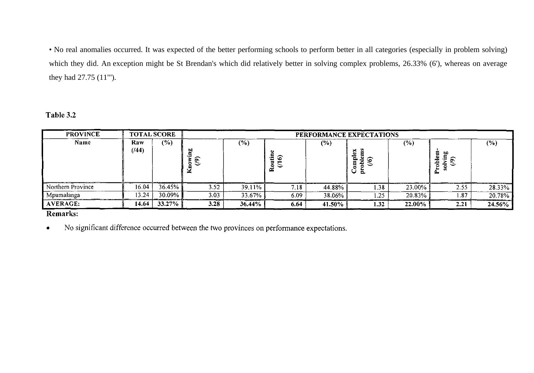• No real anomalies occurred. It was expected of the better performing schools to perform better in all categories (especially in problem solving) which they did. An exception might be St Brendan's which did relatively better in solving complex problems, 26.33% (6'), whereas on average they had 27.75 (11"').

Table 3.2

| <b>PROVINCE</b>   | <b>TOTAL SCORE</b> |        | PERFORMANCE EXPECTATIONS |        |                   |         |                             |        |        |           |  |  |
|-------------------|--------------------|--------|--------------------------|--------|-------------------|---------|-----------------------------|--------|--------|-----------|--|--|
| Name              | Raw<br>(144)       | (%)    | ъо<br>. ලා               | $(\%)$ | ΕĒ<br>⋍<br>0<br>≃ | $(\% )$ | č.<br>ല<br>Е<br>$\sim$<br>U | $(\%)$ | ິ<br>÷ | $(\%)$    |  |  |
| Northern Province | 16.04              | 36.45% | 3.52                     | 39.11% | 7.18              | 44.88%  | 1.38                        | 23.00% | 2.55   | 28.33%    |  |  |
| Mpumalanga        | 13.24              | 30.09% | 3.03                     | 33.67% | 6.09              | 38.06%  | .25                         | 20.83% | 87ء،   | $20.78\%$ |  |  |
| AVERAGE:          | 14.64              | 33.27% | 3.28                     | 36.44% | 6.64              | 41.50%  | 1.32                        | 22.00% | 2.21   | $24.56\%$ |  |  |

Remarks:

No significant difference occurred between the two provinces on performance expectations.  $\bullet$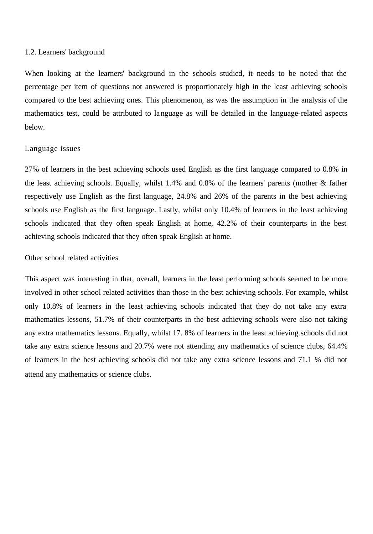#### 1.2. Learners' background

When looking at the learners' background in the schools studied, it needs to be noted that the percentage per item of questions not answered is proportionately high in the least achieving schools compared to the best achieving ones. This phenomenon, as was the assumption in the analysis of the mathematics test, could be attributed to language as will be detailed in the language-related aspects below.

#### Language issues

27% of learners in the best achieving schools used English as the first language compared to 0.8% in the least achieving schools. Equally, whilst 1.4% and 0.8% of the learners' parents (mother & father respectively use English as the first language, 24.8% and 26% of the parents in the best achieving schools use English as the first language. Lastly, whilst only 10.4% of learners in the least achieving schools indicated that they often speak English at home, 42.2% of their counterparts in the best achieving schools indicated that they often speak English at home.

#### Other school related activities

This aspect was interesting in that, overall, learners in the least performing schools seemed to be more involved in other school related activities than those in the best achieving schools. For example, whilst only 10.8% of learners in the least achieving schools indicated that they do not take any extra mathematics lessons, 51.7% of their counterparts in the best achieving schools were also not taking any extra mathematics lessons. Equally, whilst 17. 8% of learners in the least achieving schools did not take any extra science lessons and 20.7% were not attending any mathematics of science clubs, 64.4% of learners in the best achieving schools did not take any extra science lessons and 71.1 % did not attend any mathematics or science clubs.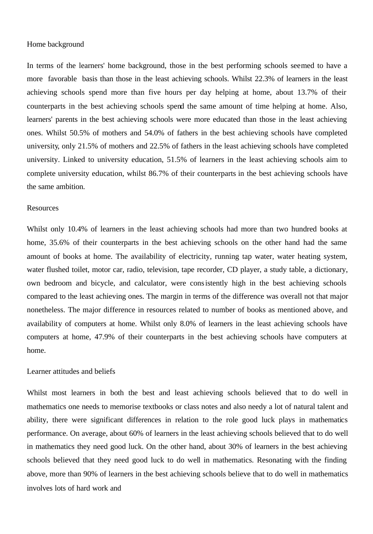#### Home background

In terms of the learners' home background, those in the best performing schools seemed to have a more favorable basis than those in the least achieving schools. Whilst 22.3% of learners in the least achieving schools spend more than five hours per day helping at home, about 13.7% of their counterparts in the best achieving schools spend the same amount of time helping at home. Also, learners' parents in the best achieving schools were more educated than those in the least achieving ones. Whilst 50.5% of mothers and 54.0% of fathers in the best achieving schools have completed university, only 21.5% of mothers and 22.5% of fathers in the least achieving schools have completed university. Linked to university education, 51.5% of learners in the least achieving schools aim to complete university education, whilst 86.7% of their counterparts in the best achieving schools have the same ambition.

#### **Resources**

Whilst only 10.4% of learners in the least achieving schools had more than two hundred books at home, 35.6% of their counterparts in the best achieving schools on the other hand had the same amount of books at home. The availability of electricity, running tap water, water heating system, water flushed toilet, motor car, radio, television, tape recorder, CD player, a study table, a dictionary, own bedroom and bicycle, and calculator, were consistently high in the best achieving schools compared to the least achieving ones. The margin in terms of the difference was overall not that major nonetheless. The major difference in resources related to number of books as mentioned above, and availability of computers at home. Whilst only 8.0% of learners in the least achieving schools have computers at home, 47.9% of their counterparts in the best achieving schools have computers at home.

#### Learner attitudes and beliefs

Whilst most learners in both the best and least achieving schools believed that to do well in mathematics one needs to memorise textbooks or class notes and also needy a lot of natural talent and ability, there were significant differences in relation to the role good luck plays in mathematics performance. On average, about 60% of learners in the least achieving schools believed that to do well in mathematics they need good luck. On the other hand, about 30% of learners in the best achieving schools believed that they need good luck to do well in mathematics. Resonating with the finding above, more than 90% of learners in the best achieving schools believe that to do well in mathematics involves lots of hard work and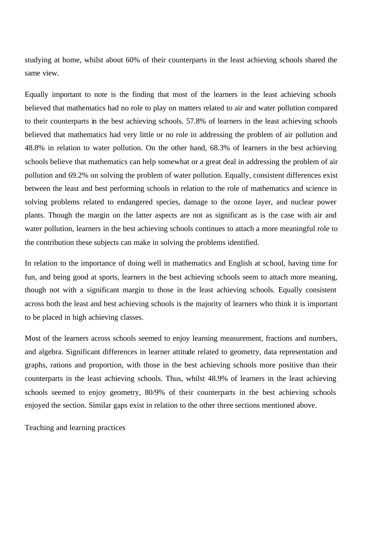studying at home, whilst about 60% of their counterparts in the least achieving schools shared the same view.

Equally important to note is the finding that most of the learners in the least achieving schools believed that mathematics had no role to play on matters related to air and water pollution compared to their counterparts in the best achieving schools. 57.8% of learners in the least achieving schools believed that mathematics had very little or no role in addressing the problem of air pollution and 48.8% in relation to water pollution. On the other hand, 68.3% of learners in the best achieving schools believe that mathematics can help somewhat or a great deal in addressing the problem of air pollution and 69.2% on solving the problem of water pollution. Equally, consistent differences exist between the least and best performing schools in relation to the role of mathematics and science in solving problems related to endangered species, damage to the ozone layer, and nuclear power plants. Though the margin on the latter aspects are not as significant as is the case with air and water pollution, learners in the best achieving schools continues to attach a more meaningful role to the contribution these subjects can make in solving the problems identified.

In relation to the importance of doing well in mathematics and English at school, having time for fun, and being good at sports, learners in the best achieving schools seem to attach more meaning, though not with a significant margin to those in the least achieving schools. Equally consistent across both the least and best achieving schools is the majority of learners who think it is important to be placed in high achieving classes.

Most of the learners across schools seemed to enjoy learning measurement, fractions and numbers, and algebra. Significant differences in learner attitude related to geometry, data representation and graphs, rations and proportion, with those in the best achieving schools more positive than their counterparts in the least achieving schools. Thus, whilst 48.9% of learners in the least achieving schools seemed to enjoy geometry, 80/9% of their counterparts in the best achieving schools enjoyed the section. Similar gaps exist in relation to the other three sections mentioned above.

Teaching and learning practices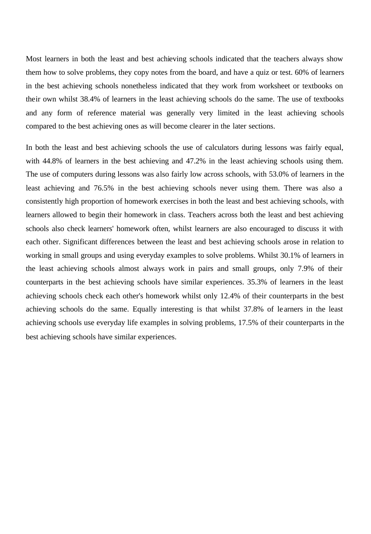Most learners in both the least and best achieving schools indicated that the teachers always show them how to solve problems, they copy notes from the board, and have a quiz or test. 60% of learners in the best achieving schools nonetheless indicated that they work from worksheet or textbooks on their own whilst 38.4% of learners in the least achieving schools do the same. The use of textbooks and any form of reference material was generally very limited in the least achieving schools compared to the best achieving ones as will become clearer in the later sections.

In both the least and best achieving schools the use of calculators during lessons was fairly equal, with 44.8% of learners in the best achieving and 47.2% in the least achieving schools using them. The use of computers during lessons was also fairly low across schools, with 53.0% of learners in the least achieving and 76.5% in the best achieving schools never using them. There was also a consistently high proportion of homework exercises in both the least and best achieving schools, with learners allowed to begin their homework in class. Teachers across both the least and best achieving schools also check learners' homework often, whilst learners are also encouraged to discuss it with each other. Significant differences between the least and best achieving schools arose in relation to working in small groups and using everyday examples to solve problems. Whilst 30.1% of learners in the least achieving schools almost always work in pairs and small groups, only 7.9% of their counterparts in the best achieving schools have similar experiences. 35.3% of learners in the least achieving schools check each other's homework whilst only 12.4% of their counterparts in the best achieving schools do the same. Equally interesting is that whilst 37.8% of le arners in the least achieving schools use everyday life examples in solving problems, 17.5% of their counterparts in the best achieving schools have similar experiences.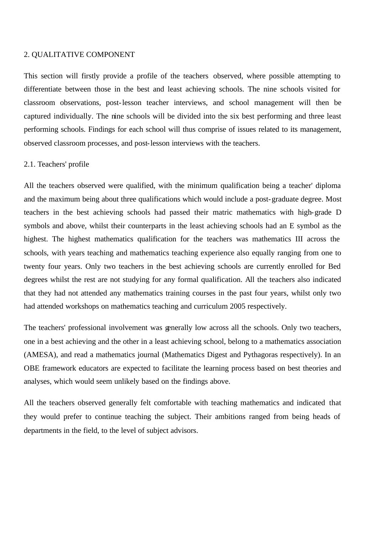#### 2. QUALITATIVE COMPONENT

This section will firstly provide a profile of the teachers observed, where possible attempting to differentiate between those in the best and least achieving schools. The nine schools visited for classroom observations, post-lesson teacher interviews, and school management will then be captured individually. The nine schools will be divided into the six best performing and three least performing schools. Findings for each school will thus comprise of issues related to its management, observed classroom processes, and post-lesson interviews with the teachers.

#### 2.1. Teachers' profile

All the teachers observed were qualified, with the minimum qualification being a teacher' diploma and the maximum being about three qualifications which would include a post-graduate degree. Most teachers in the best achieving schools had passed their matric mathematics with high-grade D symbols and above, whilst their counterparts in the least achieving schools had an E symbol as the highest. The highest mathematics qualification for the teachers was mathematics III across the schools, with years teaching and mathematics teaching experience also equally ranging from one to twenty four years. Only two teachers in the best achieving schools are currently enrolled for Bed degrees whilst the rest are not studying for any formal qualification. All the teachers also indicated that they had not attended any mathematics training courses in the past four years, whilst only two had attended workshops on mathematics teaching and curriculum 2005 respectively.

The teachers' professional involvement was generally low across all the schools. Only two teachers, one in a best achieving and the other in a least achieving school, belong to a mathematics association (AMESA), and read a mathematics journal (Mathematics Digest and Pythagoras respectively). In an OBE framework educators are expected to facilitate the learning process based on best theories and analyses, which would seem unlikely based on the findings above.

All the teachers observed generally felt comfortable with teaching mathematics and indicated that they would prefer to continue teaching the subject. Their ambitions ranged from being heads of departments in the field, to the level of subject advisors.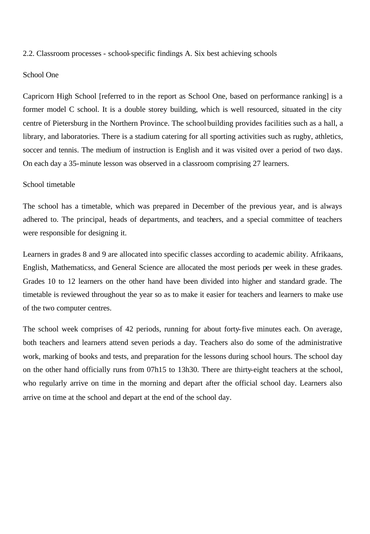2.2. Classroom processes - school-specific findings A. Six best achieving schools

#### School One

Capricorn High School [referred to in the report as School One, based on performance ranking] is a former model C school. It is a double storey building, which is well resourced, situated in the city centre of Pietersburg in the Northern Province. The school building provides facilities such as a hall, a library, and laboratories. There is a stadium catering for all sporting activities such as rugby, athletics, soccer and tennis. The medium of instruction is English and it was visited over a period of two days. On each day a 35-minute lesson was observed in a classroom comprising 27 learners.

#### School timetable

The school has a timetable, which was prepared in December of the previous year, and is always adhered to. The principal, heads of departments, and teachers, and a special committee of teachers were responsible for designing it.

Learners in grades 8 and 9 are allocated into specific classes according to academic ability. Afrikaans, English, Mathematicss, and General Science are allocated the most periods per week in these grades. Grades 10 to 12 learners on the other hand have been divided into higher and standard grade. The timetable is reviewed throughout the year so as to make it easier for teachers and learners to make use of the two computer centres.

The school week comprises of 42 periods, running for about forty-five minutes each. On average, both teachers and learners attend seven periods a day. Teachers also do some of the administrative work, marking of books and tests, and preparation for the lessons during school hours. The school day on the other hand officially runs from 07h15 to 13h30. There are thirty-eight teachers at the school, who regularly arrive on time in the morning and depart after the official school day. Learners also arrive on time at the school and depart at the end of the school day.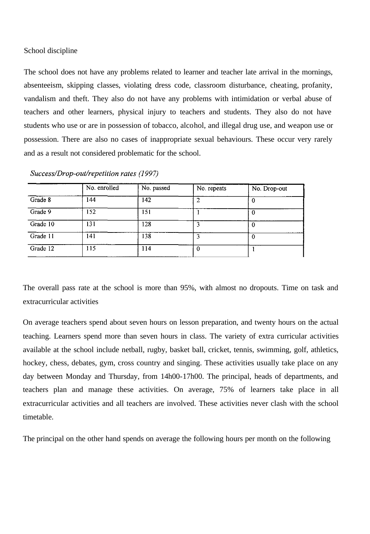### School discipline

The school does not have any problems related to learner and teacher late arrival in the mornings, absenteeism, skipping classes, violating dress code, classroom disturbance, cheating, profanity, vandalism and theft. They also do not have any problems with intimidation or verbal abuse of teachers and other learners, physical injury to teachers and students. They also do not have students who use or are in possession of tobacco, alcohol, and illegal drug use, and weapon use or possession. There are also no cases of inappropriate sexual behaviours. These occur very rarely and as a result not considered problematic for the school.

|          | No. enrolled | No. passed | No. repeats | No. Drop-out |
|----------|--------------|------------|-------------|--------------|
| Grade 8  | 144          | 142        |             |              |
| Grade 9  | 152          | 151        |             | U            |
| Grade 10 | 131          | 128        |             | 0            |
| Grade 11 | 141          | 138        | 3           | 0            |
| Grade 12 | 115          | 114        | $\bf{0}$    |              |

Success/Drop-out/repetition rates (1997)

The overall pass rate at the school is more than 95%, with almost no dropouts. Time on task and extracurricular activities

On average teachers spend about seven hours on lesson preparation, and twenty hours on the actual teaching. Learners spend more than seven hours in class. The variety of extra curricular activities available at the school include netball, rugby, basket ball, cricket, tennis, swimming, golf, athletics, hockey, chess, debates, gym, cross country and singing. These activities usually take place on any day between Monday and Thursday, from 14h00-17h00. The principal, heads of departments, and teachers plan and manage these activities. On average, 75% of learners take place in all extracurricular activities and all teachers are involved. These activities never clash with the school timetable.

The principal on the other hand spends on average the following hours per month on the following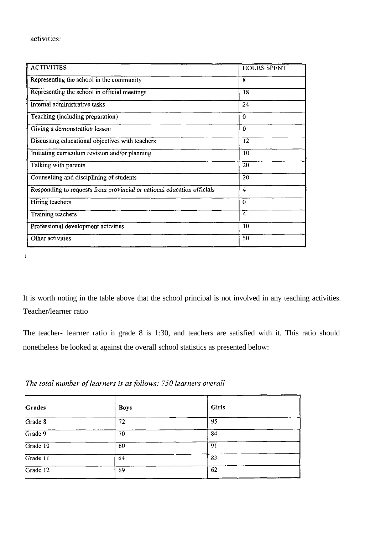$\mathbf{I}$ 

| <b>ACTIVITIES</b>                                                      | <b>HOURS SPENT</b> |
|------------------------------------------------------------------------|--------------------|
| Representing the school in the community                               | 8                  |
| Representing the school in official meetings                           | 18                 |
| Internal administrative tasks                                          | 24                 |
| Teaching (including preparation)                                       | $\bf{0}$           |
| Giving a demonstration lesson                                          | $\bf{0}$           |
| Discussing educational objectives with teachers                        | 12                 |
| Initiating curriculum revision and/or planning                         | 10                 |
| Talking with parents                                                   | 20                 |
| Counselling and disciplining of students                               | 20                 |
| Responding to requests from provincial or national education officials | 4                  |
| Hiring teachers                                                        | $\theta$           |
| Training teachers                                                      | 4                  |
| Professional development activities                                    | 10                 |
| Other activities                                                       | 50                 |

It is worth noting in the table above that the school principal is not involved in any teaching activities. Teacher/learner ratio

The teacher- learner ratio in grade 8 is 1:30, and teachers are satisfied with it. This ratio should nonetheless be looked at against the overall school statistics as presented below:

| The total number of learners is as follows: 750 learners overall |  |
|------------------------------------------------------------------|--|
|                                                                  |  |

| Grades   | <b>Boys</b> | Girls |
|----------|-------------|-------|
| Grade 8  | 72          | 95    |
| Grade 9  | 70          | 84    |
| Grade 10 | 60          | 91    |
| Grade 11 | 64          | 83    |
| Grade 12 | 69          | 62    |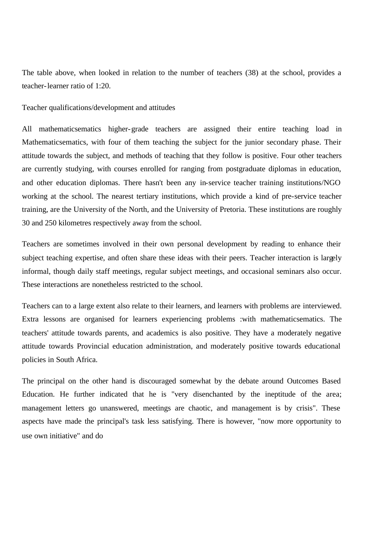The table above, when looked in relation to the number of teachers (38) at the school, provides a teacher-learner ratio of 1:20.

Teacher qualifications/development and attitudes

All mathematicsematics higher-grade teachers are assigned their entire teaching load in Mathematicsematics, with four of them teaching the subject for the junior secondary phase. Their attitude towards the subject, and methods of teaching that they follow is positive. Four other teachers are currently studying, with courses enrolled for ranging from postgraduate diplomas in education, and other education diplomas. There hasn't been any in-service teacher training institutions/NGO working at the school. The nearest tertiary institutions, which provide a kind of pre-service teacher training, are the University of the North, and the University of Pretoria. These institutions are roughly 30 and 250 kilometres respectively away from the school.

Teachers are sometimes involved in their own personal development by reading to enhance their subject teaching expertise, and often share these ideas with their peers. Teacher interaction is largely informal, though daily staff meetings, regular subject meetings, and occasional seminars also occur. These interactions are nonetheless restricted to the school.

Teachers can to a large extent also relate to their learners, and learners with problems are interviewed. Extra lessons are organised for learners experiencing problems :with mathematicsematics. The teachers' attitude towards parents, and academics is also positive. They have a moderately negative attitude towards Provincial education administration, and moderately positive towards educational policies in South Africa.

The principal on the other hand is discouraged somewhat by the debate around Outcomes Based Education. He further indicated that he is "very disenchanted by the ineptitude of the area; management letters go unanswered, meetings are chaotic, and management is by crisis". These aspects have made the principal's task less satisfying. There is however, "now more opportunity to use own initiative" and do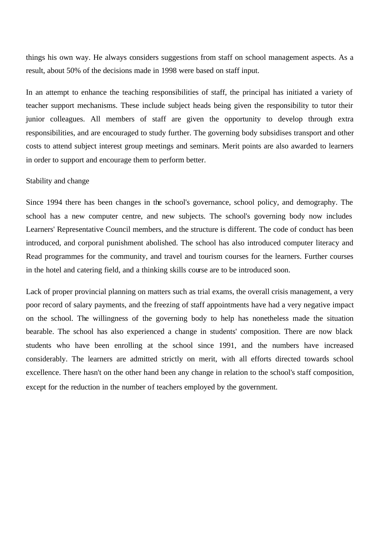things his own way. He always considers suggestions from staff on school management aspects. As a result, about 50% of the decisions made in 1998 were based on staff input.

In an attempt to enhance the teaching responsibilities of staff, the principal has initiated a variety of teacher support mechanisms. These include subject heads being given the responsibility to tutor their junior colleagues. All members of staff are given the opportunity to develop through extra responsibilities, and are encouraged to study further. The governing body subsidises transport and other costs to attend subject interest group meetings and seminars. Merit points are also awarded to learners in order to support and encourage them to perform better.

## Stability and change

Since 1994 there has been changes in the school's governance, school policy, and demography. The school has a new computer centre, and new subjects. The school's governing body now includes Learners' Representative Council members, and the structure is different. The code of conduct has been introduced, and corporal punishment abolished. The school has also introduced computer literacy and Read programmes for the community, and travel and tourism courses for the learners. Further courses in the hotel and catering field, and a thinking skills course are to be introduced soon.

Lack of proper provincial planning on matters such as trial exams, the overall crisis management, a very poor record of salary payments, and the freezing of staff appointments have had a very negative impact on the school. The willingness of the governing body to help has nonetheless made the situation bearable. The school has also experienced a change in students' composition. There are now black students who have been enrolling at the school since 1991, and the numbers have increased considerably. The learners are admitted strictly on merit, with all efforts directed towards school excellence. There hasn't on the other hand been any change in relation to the school's staff composition, except for the reduction in the number of teachers employed by the government.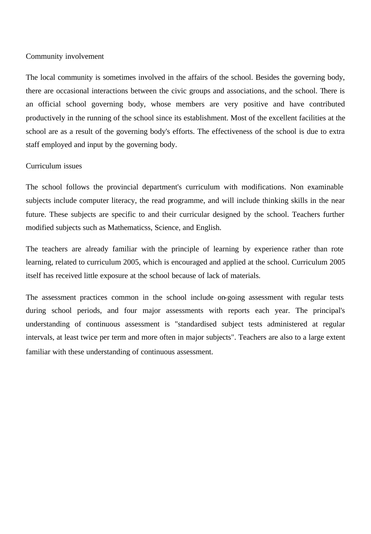### Community involvement

The local community is sometimes involved in the affairs of the school. Besides the governing body, there are occasional interactions between the civic groups and associations, and the school. There is an official school governing body, whose members are very positive and have contributed productively in the running of the school since its establishment. Most of the excellent facilities at the school are as a result of the governing body's efforts. The effectiveness of the school is due to extra staff employed and input by the governing body.

## Curriculum issues

The school follows the provincial department's curriculum with modifications. Non examinable subjects include computer literacy, the read programme, and will include thinking skills in the near future. These subjects are specific to and their curricular designed by the school. Teachers further modified subjects such as Mathematicss, Science, and English.

The teachers are already familiar with the principle of learning by experience rather than rote learning, related to curriculum 2005, which is encouraged and applied at the school. Curriculum 2005 itself has received little exposure at the school because of lack of materials.

The assessment practices common in the school include on-going assessment with regular tests during school periods, and four major assessments with reports each year. The principal's understanding of continuous assessment is "standardised subject tests administered at regular intervals, at least twice per term and more often in major subjects". Teachers are also to a large extent familiar with these understanding of continuous assessment.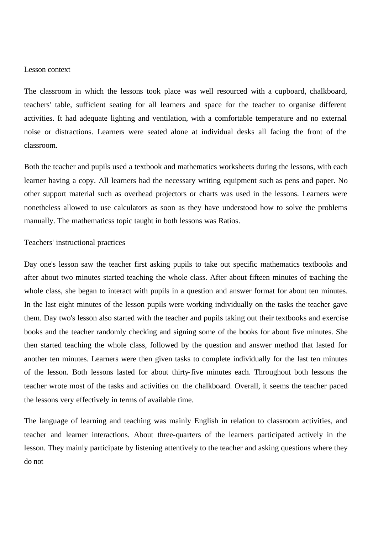### Lesson context

The classroom in which the lessons took place was well resourced with a cupboard, chalkboard, teachers' table, sufficient seating for all learners and space for the teacher to organise different activities. It had adequate lighting and ventilation, with a comfortable temperature and no external noise or distractions. Learners were seated alone at individual desks all facing the front of the classroom.

Both the teacher and pupils used a textbook and mathematics worksheets during the lessons, with each learner having a copy. All learners had the necessary writing equipment such as pens and paper. No other support material such as overhead projectors or charts was used in the lessons. Learners were nonetheless allowed to use calculators as soon as they have understood how to solve the problems manually. The mathematicss topic taught in both lessons was Ratios.

#### Teachers' instructional practices

Day one's lesson saw the teacher first asking pupils to take out specific mathematics textbooks and after about two minutes started teaching the whole class. After about fifteen minutes of teaching the whole class, she began to interact with pupils in a question and answer format for about ten minutes. In the last eight minutes of the lesson pupils were working individually on the tasks the teacher gave them. Day two's lesson also started with the teacher and pupils taking out their textbooks and exercise books and the teacher randomly checking and signing some of the books for about five minutes. She then started teaching the whole class, followed by the question and answer method that lasted for another ten minutes. Learners were then given tasks to complete individually for the last ten minutes of the lesson. Both lessons lasted for about thirty-five minutes each. Throughout both lessons the teacher wrote most of the tasks and activities on the chalkboard. Overall, it seems the teacher paced the lessons very effectively in terms of available time.

The language of learning and teaching was mainly English in relation to classroom activities, and teacher and learner interactions. About three-quarters of the learners participated actively in the lesson. They mainly participate by listening attentively to the teacher and asking questions where they do not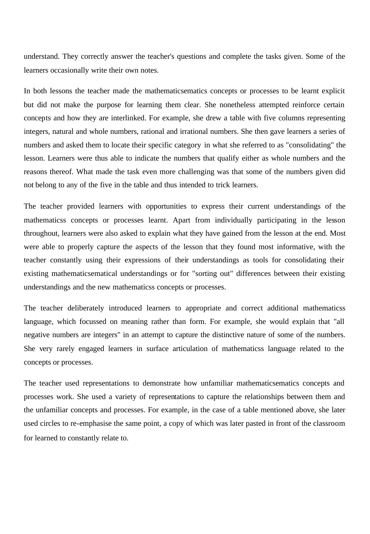understand. They correctly answer the teacher's questions and complete the tasks given. Some of the learners occasionally write their own notes.

In both lessons the teacher made the mathematicsematics concepts or processes to be learnt explicit but did not make the purpose for learning them clear. She nonetheless attempted reinforce certain concepts and how they are interlinked. For example, she drew a table with five columns representing integers, natural and whole numbers, rational and irrational numbers. She then gave learners a series of numbers and asked them to locate their specific category in what she referred to as "consolidating" the lesson. Learners were thus able to indicate the numbers that qualify either as whole numbers and the reasons thereof. What made the task even more challenging was that some of the numbers given did not belong to any of the five in the table and thus intended to trick learners.

The teacher provided learners with opportunities to express their current understandings of the mathematicss concepts or processes learnt. Apart from individually participating in the lesson throughout, learners were also asked to explain what they have gained from the lesson at the end. Most were able to properly capture the aspects of the lesson that they found most informative, with the teacher constantly using their expressions of their understandings as tools for consolidating their existing mathematicsematical understandings or for "sorting out" differences between their existing understandings and the new mathematicss concepts or processes.

The teacher deliberately introduced learners to appropriate and correct additional mathematicss language, which focussed on meaning rather than form. For example, she would explain that "all negative numbers are integers" in an attempt to capture the distinctive nature of some of the numbers. She very rarely engaged learners in surface articulation of mathematicss language related to the concepts or processes.

The teacher used representations to demonstrate how unfamiliar mathematicsematics concepts and processes work. She used a variety of representations to capture the relationships between them and the unfamiliar concepts and processes. For example, in the case of a table mentioned above, she later used circles to re-emphasise the same point, a copy of which was later pasted in front of the classroom for learned to constantly relate to.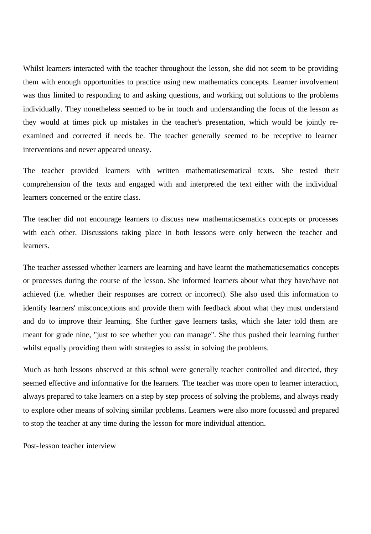Whilst learners interacted with the teacher throughout the lesson, she did not seem to be providing them with enough opportunities to practice using new mathematics concepts. Learner involvement was thus limited to responding to and asking questions, and working out solutions to the problems individually. They nonetheless seemed to be in touch and understanding the focus of the lesson as they would at times pick up mistakes in the teacher's presentation, which would be jointly reexamined and corrected if needs be. The teacher generally seemed to be receptive to learner interventions and never appeared uneasy.

The teacher provided learners with written mathematicsematical texts. She tested their comprehension of the texts and engaged with and interpreted the text either with the individual learners concerned or the entire class.

The teacher did not encourage learners to discuss new mathematicsematics concepts or processes with each other. Discussions taking place in both lessons were only between the teacher and learners.

The teacher assessed whether learners are learning and have learnt the mathematicsematics concepts or processes during the course of the lesson. She informed learners about what they have/have not achieved (i.e. whether their responses are correct or incorrect). She also used this information to identify learners' misconceptions and provide them with feedback about what they must understand and do to improve their learning. She further gave learners tasks, which she later told them are meant for grade nine, "just to see whether you can manage". She thus pushed their learning further whilst equally providing them with strategies to assist in solving the problems.

Much as both lessons observed at this school were generally teacher controlled and directed, they seemed effective and informative for the learners. The teacher was more open to learner interaction, always prepared to take learners on a step by step process of solving the problems, and always ready to explore other means of solving similar problems. Learners were also more focussed and prepared to stop the teacher at any time during the lesson for more individual attention.

Post-lesson teacher interview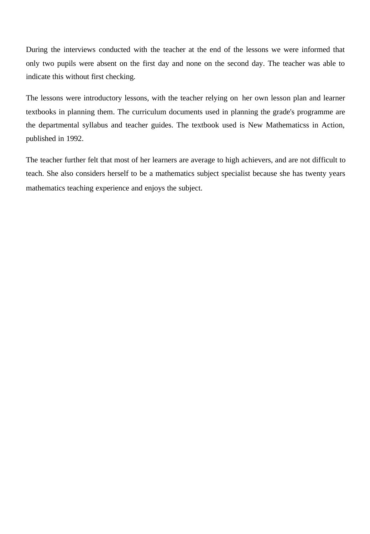During the interviews conducted with the teacher at the end of the lessons we were informed that only two pupils were absent on the first day and none on the second day. The teacher was able to indicate this without first checking.

The lessons were introductory lessons, with the teacher relying on her own lesson plan and learner textbooks in planning them. The curriculum documents used in planning the grade's programme are the departmental syllabus and teacher guides. The textbook used is New Mathematicss in Action, published in 1992.

The teacher further felt that most of her learners are average to high achievers, and are not difficult to teach. She also considers herself to be a mathematics subject specialist because she has twenty years mathematics teaching experience and enjoys the subject.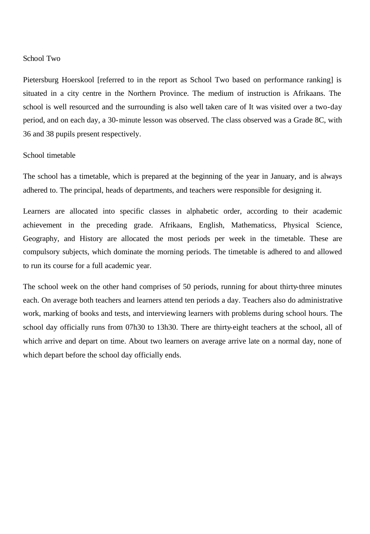#### School Two

Pietersburg Hoerskool [referred to in the report as School Two based on performance ranking] is situated in a city centre in the Northern Province. The medium of instruction is Afrikaans. The school is well resourced and the surrounding is also well taken care of It was visited over a two-day period, and on each day, a 30-minute lesson was observed. The class observed was a Grade 8C, with 36 and 38 pupils present respectively.

## School timetable

The school has a timetable, which is prepared at the beginning of the year in January, and is always adhered to. The principal, heads of departments, and teachers were responsible for designing it.

Learners are allocated into specific classes in alphabetic order, according to their academic achievement in the preceding grade. Afrikaans, English, Mathematicss, Physical Science, Geography, and History are allocated the most periods per week in the timetable. These are compulsory subjects, which dominate the morning periods. The timetable is adhered to and allowed to run its course for a full academic year.

The school week on the other hand comprises of 50 periods, running for about thirty-three minutes each. On average both teachers and learners attend ten periods a day. Teachers also do administrative work, marking of books and tests, and interviewing learners with problems during school hours. The school day officially runs from 07h30 to 13h30. There are thirty-eight teachers at the school, all of which arrive and depart on time. About two learners on average arrive late on a normal day, none of which depart before the school day officially ends.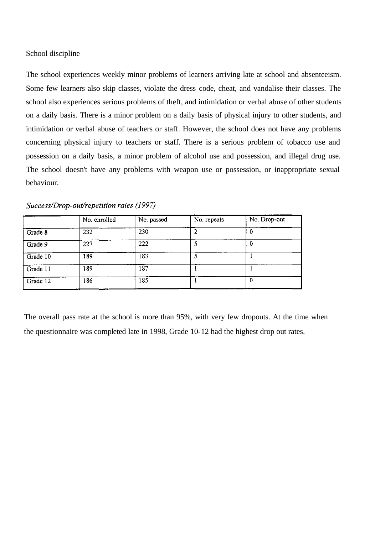### School discipline

The school experiences weekly minor problems of learners arriving late at school and absenteeism. Some few learners also skip classes, violate the dress code, cheat, and vandalise their classes. The school also experiences serious problems of theft, and intimidation or verbal abuse of other students on a daily basis. There is a minor problem on a daily basis of physical injury to other students, and intimidation or verbal abuse of teachers or staff. However, the school does not have any problems concerning physical injury to teachers or staff. There is a serious problem of tobacco use and possession on a daily basis, a minor problem of alcohol use and possession, and illegal drug use. The school doesn't have any problems with weapon use or possession, or inappropriate sexual behaviour.

|          | No. enrolled     | No. passed | No. repeats | No. Drop-out |
|----------|------------------|------------|-------------|--------------|
| Grade 8  | 232              | 230        |             |              |
| Grade 9  | 227              | 222        |             |              |
| Grade 10 | $\overline{189}$ | 183        |             |              |
| Grade 11 | 189              | 187        |             |              |
| Grade 12 | 186              | 185        |             | 0            |

Success/Drop-out/repetition rates (1997)

The overall pass rate at the school is more than 95%, with very few dropouts. At the time when the questionnaire was completed late in 1998, Grade 10-12 had the highest drop out rates.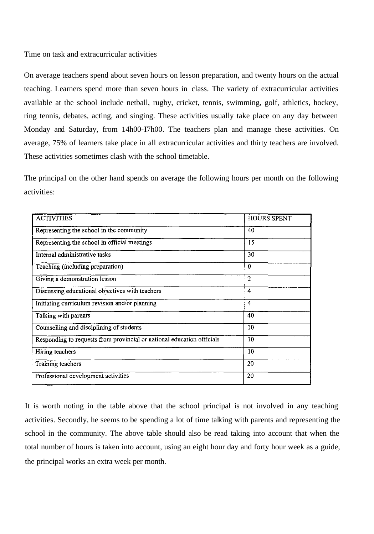Time on task and extracurricular activities

On average teachers spend about seven hours on lesson preparation, and twenty hours on the actual teaching. Learners spend more than seven hours in class. The variety of extracurricular activities available at the school include netball, rugby, cricket, tennis, swimming, golf, athletics, hockey, ring tennis, debates, acting, and singing. These activities usually take place on any day between Monday and Saturday, from 14h00-I7h00. The teachers plan and manage these activities. On average, 75% of learners take place in all extracurricular activities and thirty teachers are involved. These activities sometimes clash with the school timetable.

The principal on the other hand spends on average the following hours per month on the following activities:

| <b>ACTIVITIES</b>                                                      | <b>HOURS SPENT</b> |
|------------------------------------------------------------------------|--------------------|
| Representing the school in the community                               | 40                 |
| Representing the school in official meetings                           | 15                 |
| Internal administrative tasks                                          | 30                 |
| Teaching (including preparation)                                       | 0                  |
| Giving a demonstration lesson                                          | $\overline{2}$     |
| Discussing educational objectives with teachers                        | 4                  |
| Initiating curriculum revision and/or planning                         | 4                  |
| Talking with parents                                                   | 40                 |
| Counselling and disciplining of students                               | 10                 |
| Responding to requests from provincial or national education officials | 10                 |
| Hiring teachers                                                        | 10                 |
| Training teachers                                                      | 20                 |
| Professional development activities                                    | 20                 |

It is worth noting in the table above that the school principal is not involved in any teaching activities. Secondly, he seems to be spending a lot of time talking with parents and representing the school in the community. The above table should also be read taking into account that when the total number of hours is taken into account, using an eight hour day and forty hour week as a guide, the principal works an extra week per month.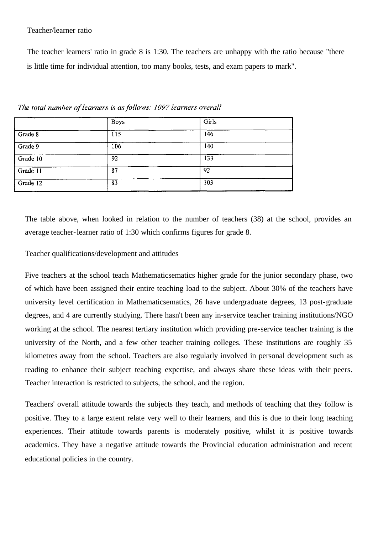## Teacher/learner ratio

The teacher learners' ratio in grade 8 is 1:30. The teachers are unhappy with the ratio because "there is little time for individual attention, too many books, tests, and exam papers to mark".

|          | <b>Boys</b> | Girls |  |
|----------|-------------|-------|--|
| Grade 8  | 115         | 146   |  |
| Grade 9  | 106         | 140   |  |
| Grade 10 | 92          | 133   |  |
| Grade 11 | 87          | 92    |  |
| Grade 12 | 83          | 103   |  |

The total number of learners is as follows: 1097 learners overall

The table above, when looked in relation to the number of teachers (38) at the school, provides an average teacher-learner ratio of 1:30 which confirms figures for grade 8.

# Teacher qualifications/development and attitudes

Five teachers at the school teach Mathematicsematics higher grade for the junior secondary phase, two of which have been assigned their entire teaching load to the subject. About 30% of the teachers have university level certification in Mathematicsematics, 26 have undergraduate degrees, 13 post-graduate degrees, and 4 are currently studying. There hasn't been any in-service teacher training institutions/NGO working at the school. The nearest tertiary institution which providing pre-service teacher training is the university of the North, and a few other teacher training colleges. These institutions are roughly 35 kilometres away from the school. Teachers are also regularly involved in personal development such as reading to enhance their subject teaching expertise, and always share these ideas with their peers. Teacher interaction is restricted to subjects, the school, and the region.

Teachers' overall attitude towards the subjects they teach, and methods of teaching that they follow is positive. They to a large extent relate very well to their learners, and this is due to their long teaching experiences. Their attitude towards parents is moderately positive, whilst it is positive towards academics. They have a negative attitude towards the Provincial education administration and recent educational policie s in the country.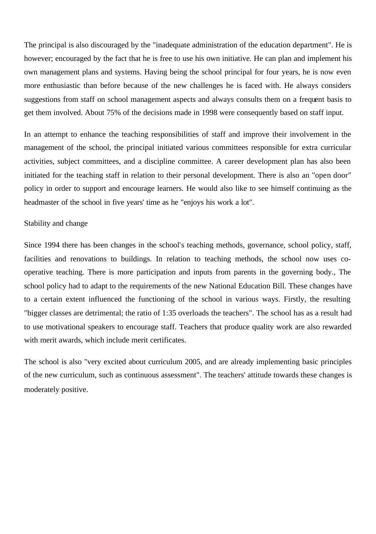The principal is also discouraged by the "inadequate administration of the education department". He is however; encouraged by the fact that he is free to use his own initiative. He can plan and implement his own management plans and systems. Having being the school principal for four years, he is now even more enthusiastic than before because of the new challenges he is faced with. He always considers suggestions from staff on school management aspects and always consults them on a frequent basis to get them involved. About 75% of the decisions made in 1998 were consequently based on staff input.

In an attempt to enhance the teaching responsibilities of staff and improve their involvement in the management of the school, the principal initiated various committees responsible for extra curricular activities, subject committees, and a discipline committee. A career development plan has also been initiated for the teaching staff in relation to their personal development. There is also an "open door" policy in order to support and encourage learners. He would also like to see himself continuing as the headmaster of the school in five years' time as he "enjoys his work a lot".

### Stability and change

Since 1994 there has been changes in the school's teaching methods, governance, school policy, staff, facilities and renovations to buildings. In relation to teaching methods, the school now uses cooperative teaching. There is more participation and inputs from parents in the governing body., The school policy had to adapt to the requirements of the new National Education Bill. These changes have to a certain extent influenced the functioning of the school in various ways. Firstly, the resulting "bigger classes are detrimental; the ratio of 1:35 overloads the teachers". The school has as a result had to use motivational speakers to encourage staff. Teachers that produce quality work are also rewarded with merit awards, which include merit certificates.

The school is also "very excited about curriculum 2005, and are already implementing basic principles of the new curriculum, such as continuous assessment". The teachers' attitude towards these changes is moderately positive.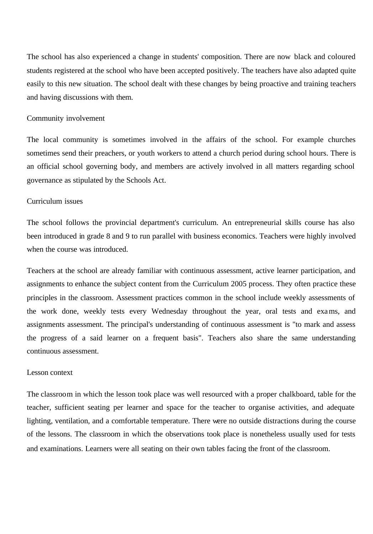The school has also experienced a change in students' composition. There are now black and coloured students registered at the school who have been accepted positively. The teachers have also adapted quite easily to this new situation. The school dealt with these changes by being proactive and training teachers and having discussions with them.

## Community involvement

The local community is sometimes involved in the affairs of the school. For example churches sometimes send their preachers, or youth workers to attend a church period during school hours. There is an official school governing body, and members are actively involved in all matters regarding school governance as stipulated by the Schools Act.

# Curriculum issues

The school follows the provincial department's curriculum. An entrepreneurial skills course has also been introduced in grade 8 and 9 to run parallel with business economics. Teachers were highly involved when the course was introduced.

Teachers at the school are already familiar with continuous assessment, active learner participation, and assignments to enhance the subject content from the Curriculum 2005 process. They often practice these principles in the classroom. Assessment practices common in the school include weekly assessments of the work done, weekly tests every Wednesday throughout the year, oral tests and exams, and assignments assessment. The principal's understanding of continuous assessment is "to mark and assess the progress of a said learner on a frequent basis". Teachers also share the same understanding continuous assessment.

#### Lesson context

The classroom in which the lesson took place was well resourced with a proper chalkboard, table for the teacher, sufficient seating per learner and space for the teacher to organise activities, and adequate lighting, ventilation, and a comfortable temperature. There were no outside distractions during the course of the lessons. The classroom in which the observations took place is nonetheless usually used for tests and examinations. Learners were all seating on their own tables facing the front of the classroom.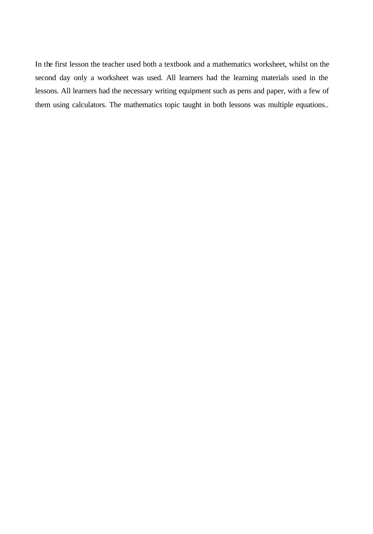In the first lesson the teacher used both a textbook and a mathematics worksheet, whilst on the second day only a worksheet was used. All learners had the learning materials used in the lessons. All learners had the necessary writing equipment such as pens and paper, with a few of them using calculators. The mathematics topic taught in both lessons was multiple equations..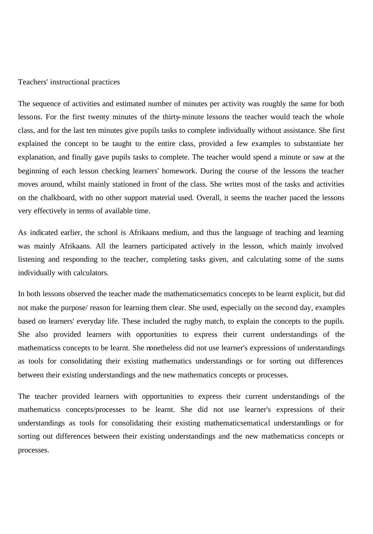#### Teachers' instructional practices

The sequence of activities and estimated number of minutes per activity was roughly the same for both lessons. For the first twenty minutes of the thirty-minute lessons the teacher would teach the whole class, and for the last ten minutes give pupils tasks to complete individually without assistance. She first explained the concept to be taught to the entire class, provided a few examples to substantiate her explanation, and finally gave pupils tasks to complete. The teacher would spend a minute or saw at the beginning of each lesson checking learners' homework. During the course of the lessons the teacher moves around, whilst mainly stationed in front of the class. She writes most of the tasks and activities on the chalkboard, with no other support material used. Overall, it seems the teacher paced the lessons very effectively in terms of available time.

As indicated earlier, the school is Afrikaans medium, and thus the language of teaching and learning was mainly Afrikaans. All the learners participated actively in the lesson, which mainly involved listening and responding to the teacher, completing tasks given, and calculating some of the sums individually with calculators.

In both lessons observed the teacher made the mathematicsematics concepts to be learnt explicit, but did not make the purpose/ reason for learning them clear. She used, especially on the second day, examples based on learners' everyday life. These included the rugby match, to explain the concepts to the pupils. She also provided learners with opportunities to express their current understandings of the mathematicss concepts to be learnt. She nonetheless did not use learner's expressions of understandings as tools for consolidating their existing mathematics understandings or for sorting out differences between their existing understandings and the new mathematics concepts or processes.

The teacher provided learners with opportunities to express their current understandings of the mathematicss concepts/processes to be learnt. She did not use learner's expressions of their understandings as tools for consolidating their existing mathematicsematical understandings or for sorting out differences between their existing understandings and the new mathematicss concepts or processes.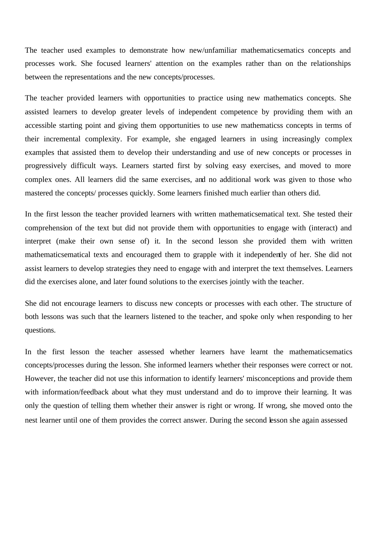The teacher used examples to demonstrate how new/unfamiliar mathematicsematics concepts and processes work. She focused learners' attention on the examples rather than on the relationships between the representations and the new concepts/processes.

The teacher provided learners with opportunities to practice using new mathematics concepts. She assisted learners to develop greater levels of independent competence by providing them with an accessible starting point and giving them opportunities to use new mathematicss concepts in terms of their incremental complexity. For example, she engaged learners in using increasingly complex examples that assisted them to develop their understanding and use of new concepts or processes in progressively difficult ways. Learners started first by solving easy exercises, and moved to more complex ones. All learners did the same exercises, and no additional work was given to those who mastered the concepts/ processes quickly. Some learners finished much earlier than others did.

In the first lesson the teacher provided learners with written mathematicsematical text. She tested their comprehension of the text but did not provide them with opportunities to engage with (interact) and interpret (make their own sense of) it. In the second lesson she provided them with written mathematicsematical texts and encouraged them to grapple with it independently of her. She did not assist learners to develop strategies they need to engage with and interpret the text themselves. Learners did the exercises alone, and later found solutions to the exercises jointly with the teacher.

She did not encourage learners to discuss new concepts or processes with each other. The structure of both lessons was such that the learners listened to the teacher, and spoke only when responding to her questions.

In the first lesson the teacher assessed whether learners have learnt the mathematicsematics concepts/processes during the lesson. She informed learners whether their responses were correct or not. However, the teacher did not use this information to identify learners' misconceptions and provide them with information/feedback about what they must understand and do to improve their learning. It was only the question of telling them whether their answer is right or wrong. If wrong, she moved onto the nest learner until one of them provides the correct answer. During the second lesson she again assessed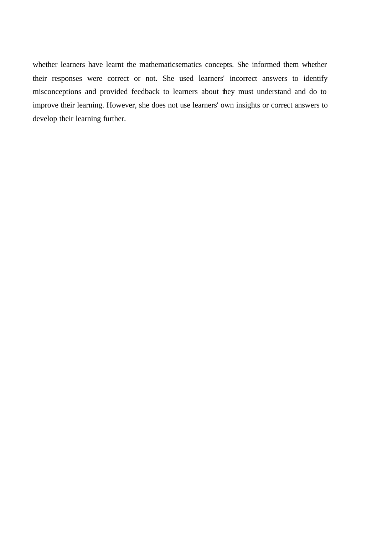whether learners have learnt the mathematicsematics concepts. She informed them whether their responses were correct or not. She used learners' incorrect answers to identify misconceptions and provided feedback to learners about they must understand and do to improve their learning. However, she does not use learners' own insights or correct answers to develop their learning further.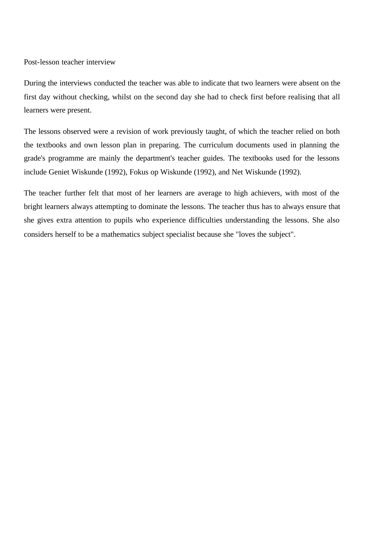Post-lesson teacher interview

During the interviews conducted the teacher was able to indicate that two learners were absent on the first day without checking, whilst on the second day she had to check first before realising that all learners were present.

The lessons observed were a revision of work previously taught, of which the teacher relied on both the textbooks and own lesson plan in preparing. The curriculum documents used in planning the grade's programme are mainly the department's teacher guides. The textbooks used for the lessons include Geniet Wiskunde (1992), Fokus op Wiskunde (1992), and Net Wiskunde (1992).

The teacher further felt that most of her learners are average to high achievers, with most of the bright learners always attempting to dominate the lessons. The teacher thus has to always ensure that she gives extra attention to pupils who experience difficulties understanding the lessons. She also considers herself to be a mathematics subject specialist because she "loves the subject".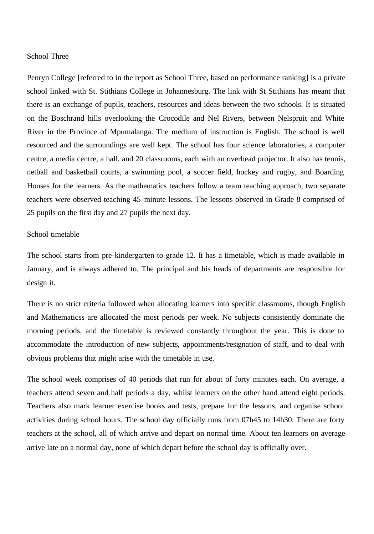#### School Three

Penryn College [referred to in the report as School Three, based on performance ranking] is a private school linked with St. Stithians College in Johannesburg. The link with St Stithians has meant that there is an exchange of pupils, teachers, resources and ideas between the two schools. It is situated on the Boschrand hills overlooking the Crocodile and Nel Rivers, between Nelspruit and White River in the Province of Mpumalanga. The medium of instruction is English. The school is well resourced and the surroundings are well kept. The school has four science laboratories, a computer centre, a media centre, a hall, and 20 classrooms, each with an overhead projector. It also has tennis, netball and basketball courts, a swimming pool, a soccer field, hockey and rugby, and Boarding Houses for the learners. As the mathematics teachers follow a team teaching approach, two separate teachers were observed teaching 45-minute lessons. The lessons observed in Grade 8 comprised of 25 pupils on the first day and 27 pupils the next day.

## School timetable

The school starts from pre-kindergarten to grade 12. It has a timetable, which is made available in January, and is always adhered to. The principal and his heads of departments are responsible for design it.

There is no strict criteria followed when allocating learners into specific classrooms, though English and Mathematicss are allocated the most periods per week. No subjects consistently dominate the morning periods, and the timetable is reviewed constantly throughout the year. This is done to accommodate the introduction of new subjects, appointments/resignation of staff, and to deal with obvious problems that might arise with the timetable in use.

The school week comprises of 40 periods that run for about of forty minutes each. On average, a teachers attend seven and half periods a day, whilst learners on the other hand attend eight periods. Teachers also mark learner exercise books and tests, prepare for the lessons, and organise school activities during school hours. The school day officially runs from 07h45 to 14h30. There are forty teachers at the school, all of which arrive and depart on normal time. About ten learners on average arrive late on a normal day, none of which depart before the school day is officially over.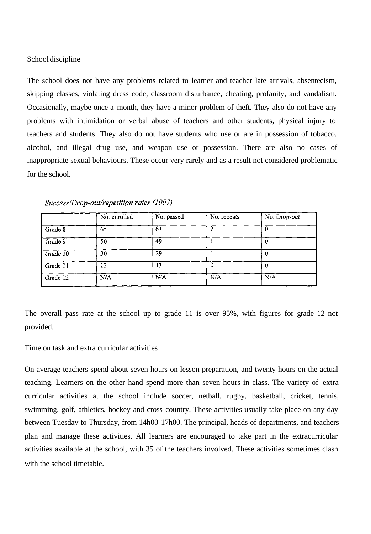### School discipline

The school does not have any problems related to learner and teacher late arrivals, absenteeism, skipping classes, violating dress code, classroom disturbance, cheating, profanity, and vandalism. Occasionally, maybe once a month, they have a minor problem of theft. They also do not have any problems with intimidation or verbal abuse of teachers and other students, physical injury to teachers and students. They also do not have students who use or are in possession of tobacco, alcohol, and illegal drug use, and weapon use or possession. There are also no cases of inappropriate sexual behaviours. These occur very rarely and as a result not considered problematic for the school.

|          | No. enrolled | No. passed | No. repeats | No. Drop-out |
|----------|--------------|------------|-------------|--------------|
| Grade 8  | 65           | 63         |             |              |
| Grade 9  | 50           | 49         |             |              |
| Grade 10 | 30           | 29         |             |              |
| Grade 11 | 13           | 13         |             |              |
| Grade 12 | N/A          | N/A        | N/A         | N/A          |

Success/Drop-out/repetition rates (1997)

The overall pass rate at the school up to grade 11 is over 95%, with figures for grade 12 not provided.

Time on task and extra curricular activities

On average teachers spend about seven hours on lesson preparation, and twenty hours on the actual teaching. Learners on the other hand spend more than seven hours in class. The variety of extra curricular activities at the school include soccer, netball, rugby, basketball, cricket, tennis, swimming, golf, athletics, hockey and cross-country. These activities usually take place on any day between Tuesday to Thursday, from 14h00-17h00. The principal, heads of departments, and teachers plan and manage these activities. All learners are encouraged to take part in the extracurricular activities available at the school, with 35 of the teachers involved. These activities sometimes clash with the school timetable.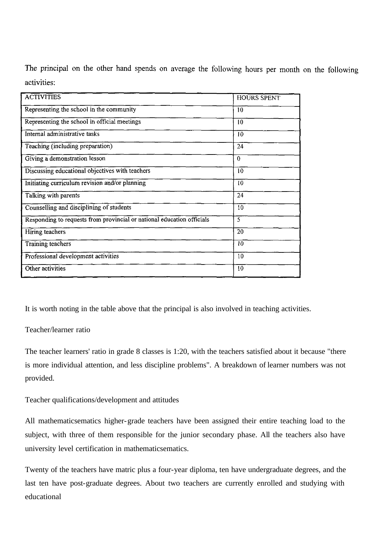The principal on the other hand spends on average the following hours per month on the following activities:

| <b>ACTIVITIES</b>                                                      | <b>HOURS SPENT</b> |
|------------------------------------------------------------------------|--------------------|
| Representing the school in the community                               | 10                 |
| Representing the school in official meetings                           | 10                 |
| Internal administrative tasks                                          | 10                 |
| Teaching (including preparation)                                       | 24                 |
| Giving a demonstration lesson                                          | $\Omega$           |
| Discussing educational objectives with teachers                        | 10                 |
| Initiating curriculum revision and/or planning                         | 10                 |
| Talking with parents                                                   | 24                 |
| Counselling and disciplining of students                               | 10                 |
| Responding to requests from provincial or national education officials | 5                  |
| Hiring teachers                                                        | $\overline{20}$    |
| Training teachers                                                      | 10                 |
| Professional development activities                                    | 10                 |
| Other activities                                                       | 10                 |

It is worth noting in the table above that the principal is also involved in teaching activities.

## Teacher/learner ratio

The teacher learners' ratio in grade 8 classes is 1:20, with the teachers satisfied about it because "there is more individual attention, and less discipline problems". A breakdown of learner numbers was not provided.

Teacher qualifications/development and attitudes

All mathematicsematics higher-grade teachers have been assigned their entire teaching load to the subject, with three of them responsible for the junior secondary phase. All the teachers also have university level certification in mathematicsematics.

Twenty of the teachers have matric plus a four-year diploma, ten have undergraduate degrees, and the last ten have post-graduate degrees. About two teachers are currently enrolled and studying with educational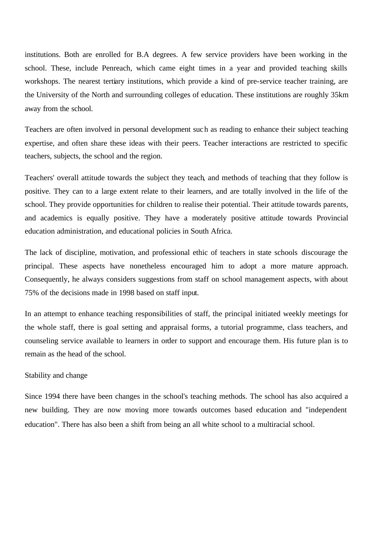institutions. Both are enrolled for B.A degrees. A few service providers have been working in the school. These, include Penreach, which came eight times in a year and provided teaching skills workshops. The nearest tertiary institutions, which provide a kind of pre-service teacher training, are the University of the North and surrounding colleges of education. These institutions are roughly 35km away from the school.

Teachers are often involved in personal development such as reading to enhance their subject teaching expertise, and often share these ideas with their peers. Teacher interactions are restricted to specific teachers, subjects, the school and the region.

Teachers' overall attitude towards the subject they teach, and methods of teaching that they follow is positive. They can to a large extent relate to their learners, and are totally involved in the life of the school. They provide opportunities for children to realise their potential. Their attitude towards parents, and academics is equally positive. They have a moderately positive attitude towards Provincial education administration, and educational policies in South Africa.

The lack of discipline, motivation, and professional ethic of teachers in state schools discourage the principal. These aspects have nonetheless encouraged him to adopt a more mature approach. Consequently, he always considers suggestions from staff on school management aspects, with about 75% of the decisions made in 1998 based on staff input.

In an attempt to enhance teaching responsibilities of staff, the principal initiated weekly meetings for the whole staff, there is goal setting and appraisal forms, a tutorial programme, class teachers, and counseling service available to learners in order to support and encourage them. His future plan is to remain as the head of the school.

#### Stability and change

Since 1994 there have been changes in the school's teaching methods. The school has also acquired a new building. They are now moving more towards outcomes based education and "independent education". There has also been a shift from being an all white school to a multiracial school.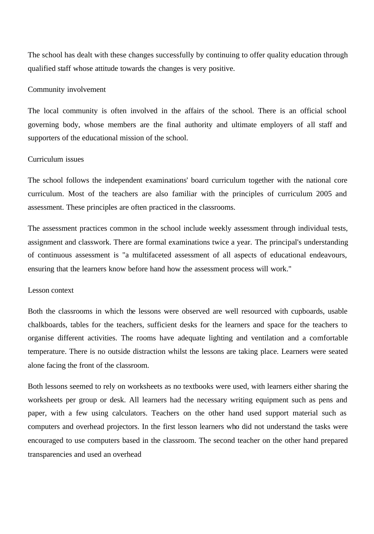The school has dealt with these changes successfully by continuing to offer quality education through qualified staff whose attitude towards the changes is very positive.

## Community involvement

The local community is often involved in the affairs of the school. There is an official school governing body, whose members are the final authority and ultimate employers of all staff and supporters of the educational mission of the school.

# Curriculum issues

The school follows the independent examinations' board curriculum together with the national core curriculum. Most of the teachers are also familiar with the principles of curriculum 2005 and assessment. These principles are often practiced in the classrooms.

The assessment practices common in the school include weekly assessment through individual tests, assignment and classwork. There are formal examinations twice a year. The principal's understanding of continuous assessment is "a multifaceted assessment of all aspects of educational endeavours, ensuring that the learners know before hand how the assessment process will work."

#### Lesson context

Both the classrooms in which the lessons were observed are well resourced with cupboards, usable chalkboards, tables for the teachers, sufficient desks for the learners and space for the teachers to organise different activities. The rooms have adequate lighting and ventilation and a comfortable temperature. There is no outside distraction whilst the lessons are taking place. Learners were seated alone facing the front of the classroom.

Both lessons seemed to rely on worksheets as no textbooks were used, with learners either sharing the worksheets per group or desk. All learners had the necessary writing equipment such as pens and paper, with a few using calculators. Teachers on the other hand used support material such as computers and overhead projectors. In the first lesson learners who did not understand the tasks were encouraged to use computers based in the classroom. The second teacher on the other hand prepared transparencies and used an overhead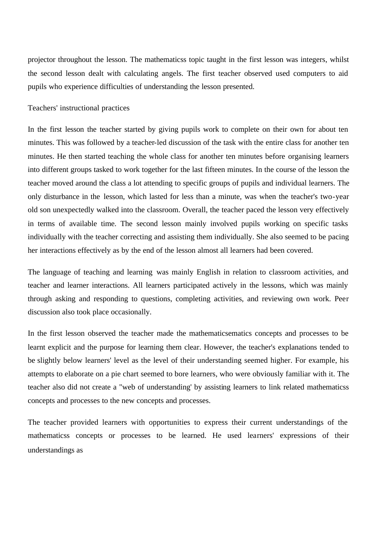projector throughout the lesson. The mathematicss topic taught in the first lesson was integers, whilst the second lesson dealt with calculating angels. The first teacher observed used computers to aid pupils who experience difficulties of understanding the lesson presented.

## Teachers' instructional practices

In the first lesson the teacher started by giving pupils work to complete on their own for about ten minutes. This was followed by a teacher-led discussion of the task with the entire class for another ten minutes. He then started teaching the whole class for another ten minutes before organising learners into different groups tasked to work together for the last fifteen minutes. In the course of the lesson the teacher moved around the class a lot attending to specific groups of pupils and individual learners. The only disturbance in the lesson, which lasted for less than a minute, was when the teacher's two-year old son unexpectedly walked into the classroom. Overall, the teacher paced the lesson very effectively in terms of available time. The second lesson mainly involved pupils working on specific tasks individually with the teacher correcting and assisting them individually. She also seemed to be pacing her interactions effectively as by the end of the lesson almost all learners had been covered.

The language of teaching and learning was mainly English in relation to classroom activities, and teacher and learner interactions. All learners participated actively in the lessons, which was mainly through asking and responding to questions, completing activities, and reviewing own work. Peer discussion also took place occasionally.

In the first lesson observed the teacher made the mathematicsematics concepts and processes to be learnt explicit and the purpose for learning them clear. However, the teacher's explanations tended to be slightly below learners' level as the level of their understanding seemed higher. For example, his attempts to elaborate on a pie chart seemed to bore learners, who were obviously familiar with it. The teacher also did not create a "web of understanding' by assisting learners to link related mathematicss concepts and processes to the new concepts and processes.

The teacher provided learners with opportunities to express their current understandings of the mathematicss concepts or processes to be learned. He used learners' expressions of their understandings as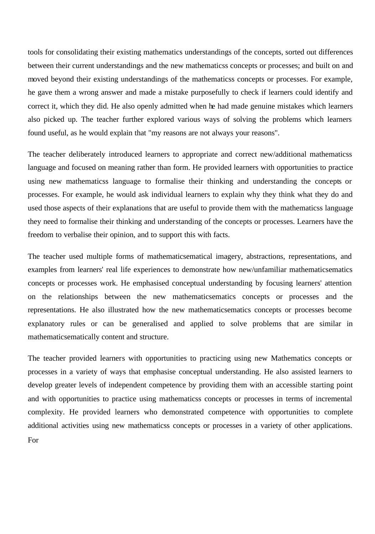tools for consolidating their existing mathematics understandings of the concepts, sorted out differences between their current understandings and the new mathematicss concepts or processes; and built on and moved beyond their existing understandings of the mathematicss concepts or processes. For example, he gave them a wrong answer and made a mistake purposefully to check if learners could identify and correct it, which they did. He also openly admitted when he had made genuine mistakes which learners also picked up. The teacher further explored various ways of solving the problems which learners found useful, as he would explain that "my reasons are not always your reasons".

The teacher deliberately introduced learners to appropriate and correct new/additional mathematicss language and focused on meaning rather than form. He provided learners with opportunities to practice using new mathematicss language to formalise their thinking and understanding the concepts or processes. For example, he would ask individual learners to explain why they think what they do and used those aspects of their explanations that are useful to provide them with the mathematicss language they need to formalise their thinking and understanding of the concepts or processes. Learners have the freedom to verbalise their opinion, and to support this with facts.

The teacher used multiple forms of mathematicsematical imagery, abstractions, representations, and examples from learners' real life experiences to demonstrate how new/unfamiliar mathematicsematics concepts or processes work. He emphasised conceptual understanding by focusing learners' attention on the relationships between the new mathematicsematics concepts or processes and the representations. He also illustrated how the new mathematicsematics concepts or processes become explanatory rules or can be generalised and applied to solve problems that are similar in mathematicsematically content and structure.

The teacher provided learners with opportunities to practicing using new Mathematics concepts or processes in a variety of ways that emphasise conceptual understanding. He also assisted learners to develop greater levels of independent competence by providing them with an accessible starting point and with opportunities to practice using mathematicss concepts or processes in terms of incremental complexity. He provided learners who demonstrated competence with opportunities to complete additional activities using new mathematicss concepts or processes in a variety of other applications. For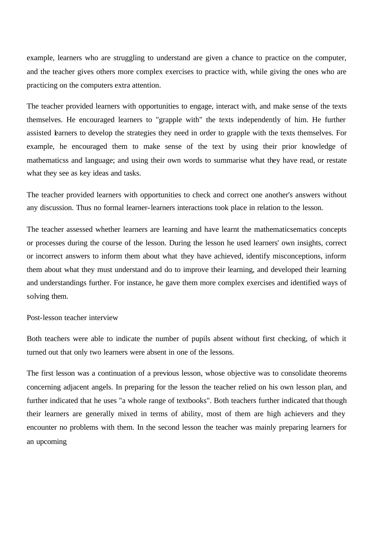example, learners who are struggling to understand are given a chance to practice on the computer, and the teacher gives others more complex exercises to practice with, while giving the ones who are practicing on the computers extra attention.

The teacher provided learners with opportunities to engage, interact with, and make sense of the texts themselves. He encouraged learners to "grapple with" the texts independently of him. He further assisted learners to develop the strategies they need in order to grapple with the texts themselves. For example, he encouraged them to make sense of the text by using their prior knowledge of mathematicss and language; and using their own words to summarise what they have read, or restate what they see as key ideas and tasks.

The teacher provided learners with opportunities to check and correct one another's answers without any discussion. Thus no formal learner-learners interactions took place in relation to the lesson.

The teacher assessed whether learners are learning and have learnt the mathematicsematics concepts or processes during the course of the lesson. During the lesson he used learners' own insights, correct or incorrect answers to inform them about what they have achieved, identify misconceptions, inform them about what they must understand and do to improve their learning, and developed their learning and understandings further. For instance, he gave them more complex exercises and identified ways of solving them.

Post-lesson teacher interview

Both teachers were able to indicate the number of pupils absent without first checking, of which it turned out that only two learners were absent in one of the lessons.

The first lesson was a continuation of a previous lesson, whose objective was to consolidate theorems concerning adjacent angels. In preparing for the lesson the teacher relied on his own lesson plan, and further indicated that he uses "a whole range of textbooks". Both teachers further indicated that though their learners are generally mixed in terms of ability, most of them are high achievers and they encounter no problems with them. In the second lesson the teacher was mainly preparing learners for an upcoming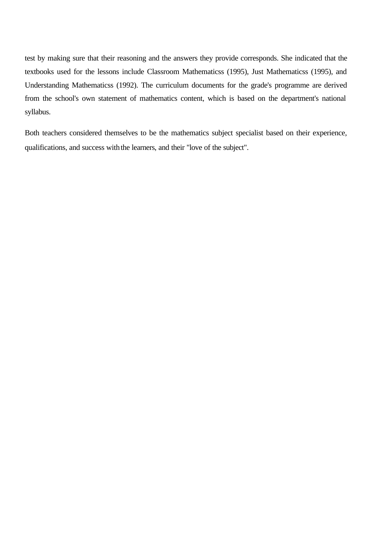test by making sure that their reasoning and the answers they provide corresponds. She indicated that the textbooks used for the lessons include Classroom Mathematicss (1995), Just Mathematicss (1995), and Understanding Mathematicss (1992). The curriculum documents for the grade's programme are derived from the school's own statement of mathematics content, which is based on the department's national syllabus.

Both teachers considered themselves to be the mathematics subject specialist based on their experience, qualifications, and success with the learners, and their "love of the subject".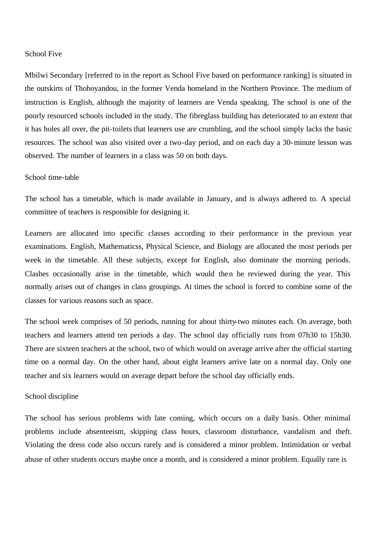#### School Five

Mbilwi Secondary [referred to in the report as School Five based on performance ranking] is situated in the outskirts of Thohoyandou, in the former Venda homeland in the Northern Province. The medium of instruction is English, although the majority of learners are Venda speaking. The school is one of the poorly resourced schools included in the study. The fibreglass building has deteriorated to an extent that it has holes all over, the pit-toilets that learners use are crumbling, and the school simply lacks the basic resources. The school was also visited over a two-day period, and on each day a 30-minute lesson was observed. The number of learners in a class was 50 on both days.

#### School time-table

The school has a timetable, which is made available in January, and is always adhered to. A special committee of teachers is responsible for designing it.

Learners are allocated into specific classes according to their performance in the previous year examinations. English, Mathematicss, Physical Science, and Biology are allocated the most periods per week in the timetable. All these subjects, except for English, also dominate the morning periods. Clashes occasionally arise in the timetable, which would then be reviewed during the year. This normally arises out of changes in class groupings. At times the school is forced to combine some of the classes for various reasons such as space.

The school week comprises of 50 periods, running for about thirty-two minutes each. On average, both teachers and learners attend ten periods a day. The school day officially runs from 07h30 to 15h30. There are sixteen teachers at the school, two of which would on average arrive after the official starting time on a normal day. On the other hand, about eight learners arrive late on a normal day. Only one teacher and six learners would on average depart before the school day officially ends.

#### School discipline

The school has serious problems with late coming, which occurs on a daily basis. Other minimal problems include absenteeism, skipping class hours, classroom disturbance, vandalism and theft. Violating the dress code also occurs rarely and is considered a minor problem. Intimidation or verbal abuse of other students occurs maybe once a month, and is considered a minor problem. Equally rare is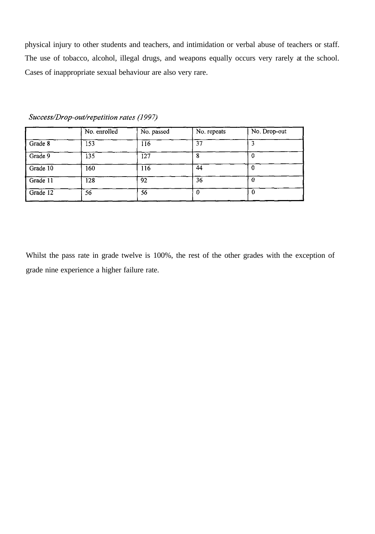physical injury to other students and teachers, and intimidation or verbal abuse of teachers or staff. The use of tobacco, alcohol, illegal drugs, and weapons equally occurs very rarely at the school. Cases of inappropriate sexual behaviour are also very rare.

|          | No. enrolled | No. passed | No. repeats | No. Drop-out |
|----------|--------------|------------|-------------|--------------|
| Grade 8  | 153          | 116        | 37          |              |
| Grade 9  | 135          | 127        | 8           |              |
| Grade 10 | 160          | 116        | 44          |              |
| Grade 11 | 128          | 92         | 36          |              |
| Grade 12 | 56           | 56         | $\Omega$    | 0            |

Success/Drop-out/repetition rates (1997)

Whilst the pass rate in grade twelve is 100%, the rest of the other grades with the exception of grade nine experience a higher failure rate.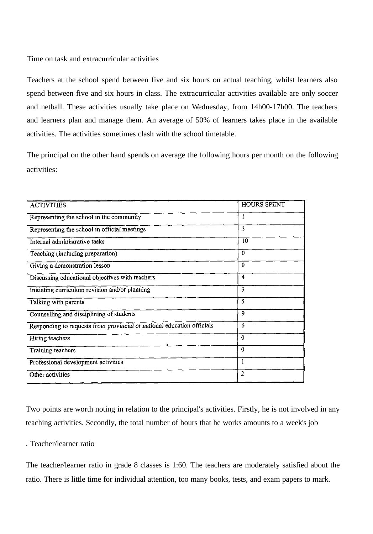Time on task and extracurricular activities

Teachers at the school spend between five and six hours on actual teaching, whilst learners also spend between five and six hours in class. The extracurricular activities available are only soccer and netball. These activities usually take place on Wednesday, from 14h00-17h00. The teachers and learners plan and manage them. An average of 50% of learners takes place in the available activities. The activities sometimes clash with the school timetable.

The principal on the other hand spends on average the following hours per month on the following activities:

| <b>ACTIVITIES</b>                                                      | <b>HOURS SPENT</b> |
|------------------------------------------------------------------------|--------------------|
| Representing the school in the community                               | ł                  |
| Representing the school in official meetings                           | 3                  |
| Internal administrative tasks                                          | 10                 |
| Teaching (including preparation)                                       | $\theta$           |
| Giving a demonstration lesson                                          | $\theta$           |
| Discussing educational objectives with teachers                        | $\overline{4}$     |
| Initiating curriculum revision and/or planning                         | 3                  |
| Talking with parents                                                   | 5                  |
| Counselling and disciplining of students                               | 9                  |
| Responding to requests from provincial or national education officials | 6                  |
| Hiring teachers                                                        | $\theta$           |
| Training teachers                                                      | $\theta$           |
| Professional development activities                                    |                    |
| Other activities                                                       | $\overline{2}$     |

Two points are worth noting in relation to the principal's activities. Firstly, he is not involved in any teaching activities. Secondly, the total number of hours that he works amounts to a week's job

## . Teacher/learner ratio

The teacher/learner ratio in grade 8 classes is 1:60. The teachers are moderately satisfied about the ratio. There is little time for individual attention, too many books, tests, and exam papers to mark.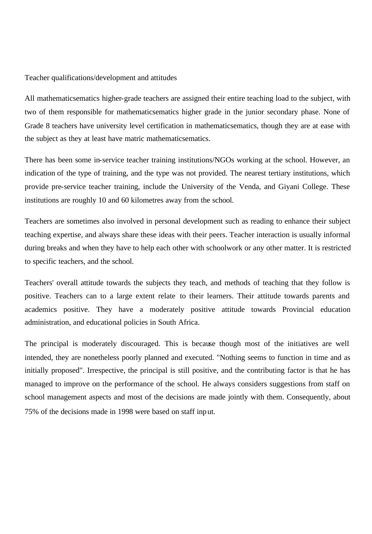Teacher qualifications/development and attitudes

All mathematicsematics higher-grade teachers are assigned their entire teaching load to the subject, with two of them responsible for mathematicsematics higher grade in the junior secondary phase. None of Grade 8 teachers have university level certification in mathematicsematics, though they are at ease with the subject as they at least have matric mathematicsematics.

There has been some in-service teacher training institutions/NGOs working at the school. However, an indication of the type of training, and the type was not provided. The nearest tertiary institutions, which provide pre-service teacher training, include the University of the Venda, and Giyani College. These institutions are roughly 10 and 60 kilometres away from the school.

Teachers are sometimes also involved in personal development such as reading to enhance their subject teaching expertise, and always share these ideas with their peers. Teacher interaction is usually informal during breaks and when they have to help each other with schoolwork or any other matter. It is restricted to specific teachers, and the school.

Teachers' overall attitude towards the subjects they teach, and methods of teaching that they follow is positive. Teachers can to a large extent relate to their learners. Their attitude towards parents and academics positive. They have a moderately positive attitude towards Provincial education administration, and educational policies in South Africa.

The principal is moderately discouraged. This is because though most of the initiatives are well intended, they are nonetheless poorly planned and executed. "Nothing seems to function in time and as initially proposed". Irrespective, the principal is still positive, and the contributing factor is that he has managed to improve on the performance of the school. He always considers suggestions from staff on school management aspects and most of the decisions are made jointly with them. Consequently, about 75% of the decisions made in 1998 were based on staff input.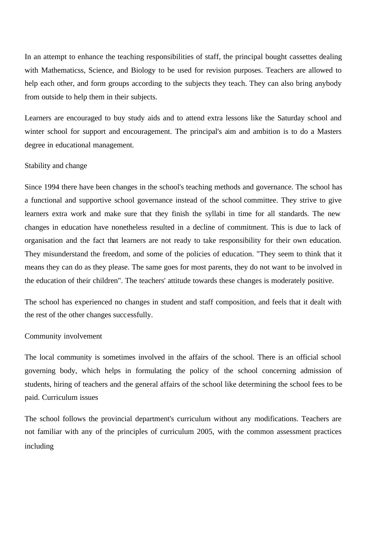In an attempt to enhance the teaching responsibilities of staff, the principal bought cassettes dealing with Mathematicss, Science, and Biology to be used for revision purposes. Teachers are allowed to help each other, and form groups according to the subjects they teach. They can also bring anybody from outside to help them in their subjects.

Learners are encouraged to buy study aids and to attend extra lessons like the Saturday school and winter school for support and encouragement. The principal's aim and ambition is to do a Masters degree in educational management.

## Stability and change

Since 1994 there have been changes in the school's teaching methods and governance. The school has a functional and supportive school governance instead of the school committee. They strive to give learners extra work and make sure that they finish the syllabi in time for all standards. The new changes in education have nonetheless resulted in a decline of commitment. This is due to lack of organisation and the fact that learners are not ready to take responsibility for their own education. They misunderstand the freedom, and some of the policies of education. "They seem to think that it means they can do as they please. The same goes for most parents, they do not want to be involved in the education of their children". The teachers' attitude towards these changes is moderately positive.

The school has experienced no changes in student and staff composition, and feels that it dealt with the rest of the other changes successfully.

#### Community involvement

The local community is sometimes involved in the affairs of the school. There is an official school governing body, which helps in formulating the policy of the school concerning admission of students, hiring of teachers and the general affairs of the school like determining the school fees to be paid. Curriculum issues

The school follows the provincial department's curriculum without any modifications. Teachers are not familiar with any of the principles of curriculum 2005, with the common assessment practices including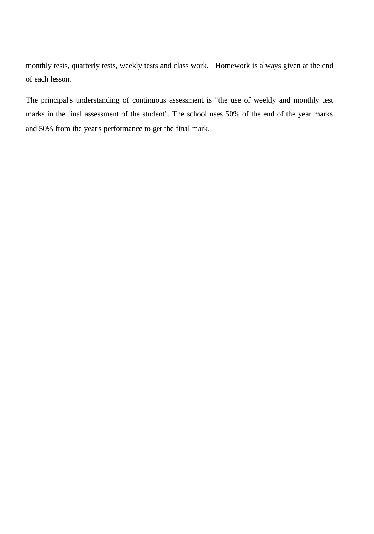monthly tests, quarterly tests, weekly tests and class work. Homework is always given at the end of each lesson.

The principal's understanding of continuous assessment is "the use of weekly and monthly test marks in the final assessment of the student". The school uses 50% of the end of the year marks and 50% from the year's performance to get the final mark.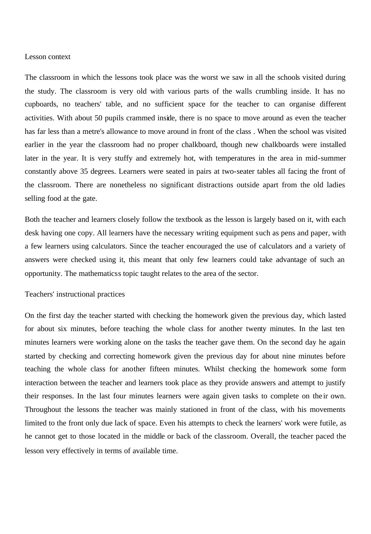#### Lesson context

The classroom in which the lessons took place was the worst we saw in all the schools visited during the study. The classroom is very old with various parts of the walls crumbling inside. It has no cupboards, no teachers' table, and no sufficient space for the teacher to can organise different activities. With about 50 pupils crammed inside, there is no space to move around as even the teacher has far less than a metre's allowance to move around in front of the class . When the school was visited earlier in the year the classroom had no proper chalkboard, though new chalkboards were installed later in the year. It is very stuffy and extremely hot, with temperatures in the area in mid-summer constantly above 35 degrees. Learners were seated in pairs at two-seater tables all facing the front of the classroom. There are nonetheless no significant distractions outside apart from the old ladies selling food at the gate.

Both the teacher and learners closely follow the textbook as the lesson is largely based on it, with each desk having one copy. All learners have the necessary writing equipment such as pens and paper, with a few learners using calculators. Since the teacher encouraged the use of calculators and a variety of answers were checked using it, this meant that only few learners could take advantage of such an opportunity. The mathematicss topic taught relates to the area of the sector.

## Teachers' instructional practices

On the first day the teacher started with checking the homework given the previous day, which lasted for about six minutes, before teaching the whole class for another twenty minutes. In the last ten minutes learners were working alone on the tasks the teacher gave them. On the second day he again started by checking and correcting homework given the previous day for about nine minutes before teaching the whole class for another fifteen minutes. Whilst checking the homework some form interaction between the teacher and learners took place as they provide answers and attempt to justify their responses. In the last four minutes learners were again given tasks to complete on the ir own. Throughout the lessons the teacher was mainly stationed in front of the class, with his movements limited to the front only due lack of space. Even his attempts to check the learners' work were futile, as he cannot get to those located in the middle or back of the classroom. Overall, the teacher paced the lesson very effectively in terms of available time.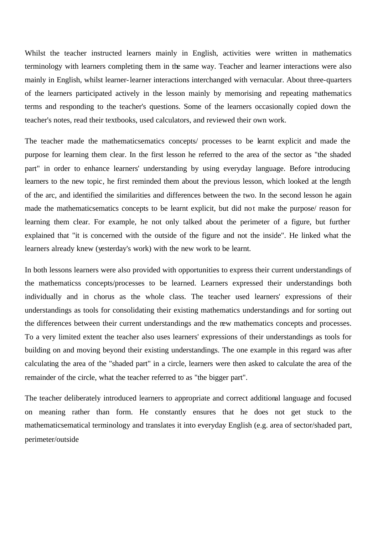Whilst the teacher instructed learners mainly in English, activities were written in mathematics terminology with learners completing them in the same way. Teacher and learner interactions were also mainly in English, whilst learner-learner interactions interchanged with vernacular. About three-quarters of the learners participated actively in the lesson mainly by memorising and repeating mathematics terms and responding to the teacher's questions. Some of the learners occasionally copied down the teacher's notes, read their textbooks, used calculators, and reviewed their own work.

The teacher made the mathematicsematics concepts/ processes to be learnt explicit and made the purpose for learning them clear. In the first lesson he referred to the area of the sector as "the shaded part" in order to enhance learners' understanding by using everyday language. Before introducing learners to the new topic, he first reminded them about the previous lesson, which looked at the length of the arc, and identified the similarities and differences between the two. In the second lesson he again made the mathematicsematics concepts to be learnt explicit, but did not make the purpose/ reason for learning them clear. For example, he not only talked about the perimeter of a figure, but further explained that "it is concerned with the outside of the figure and not the inside". He linked what the learners already knew (yesterday's work) with the new work to be learnt.

In both lessons learners were also provided with opportunities to express their current understandings of the mathematicss concepts/processes to be learned. Learners expressed their understandings both individually and in chorus as the whole class. The teacher used learners' expressions of their understandings as tools for consolidating their existing mathematics understandings and for sorting out the differences between their current understandings and the new mathematics concepts and processes. To a very limited extent the teacher also uses learners' expressions of their understandings as tools for building on and moving beyond their existing understandings. The one example in this regard was after calculating the area of the "shaded part" in a circle, learners were then asked to calculate the area of the remainder of the circle, what the teacher referred to as "the bigger part".

The teacher deliberately introduced learners to appropriate and correct additional language and focused on meaning rather than form. He constantly ensures that he does not get stuck to the mathematicsematical terminology and translates it into everyday English (e.g. area of sector/shaded part, perimeter/outside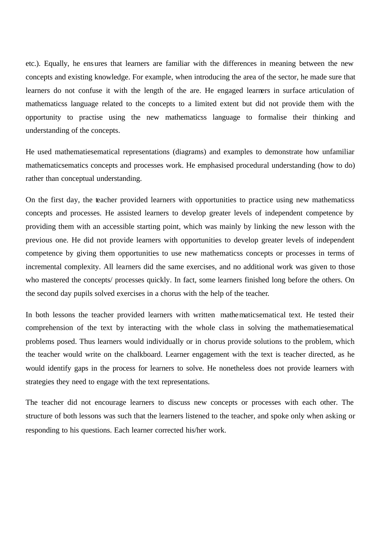etc.). Equally, he ensures that learners are familiar with the differences in meaning between the new concepts and existing knowledge. For example, when introducing the area of the sector, he made sure that learners do not confuse it with the length of the are. He engaged learners in surface articulation of mathematicss language related to the concepts to a limited extent but did not provide them with the opportunity to practise using the new mathematicss language to formalise their thinking and understanding of the concepts.

He used mathematiesematical representations (diagrams) and examples to demonstrate how unfamiliar mathematicsematics concepts and processes work. He emphasised procedural understanding (how to do) rather than conceptual understanding.

On the first day, the teacher provided learners with opportunities to practice using new mathematicss concepts and processes. He assisted learners to develop greater levels of independent competence by providing them with an accessible starting point, which was mainly by linking the new lesson with the previous one. He did not provide learners with opportunities to develop greater levels of independent competence by giving them opportunities to use new mathematicss concepts or processes in terms of incremental complexity. All learners did the same exercises, and no additional work was given to those who mastered the concepts/ processes quickly. In fact, some learners finished long before the others. On the second day pupils solved exercises in a chorus with the help of the teacher.

In both lessons the teacher provided learners with written mathematicsematical text. He tested their comprehension of the text by interacting with the whole class in solving the mathematiesematical problems posed. Thus learners would individually or in chorus provide solutions to the problem, which the teacher would write on the chalkboard. Learner engagement with the text is teacher directed, as he would identify gaps in the process for learners to solve. He nonetheless does not provide learners with strategies they need to engage with the text representations.

The teacher did not encourage learners to discuss new concepts or processes with each other. The structure of both lessons was such that the learners listened to the teacher, and spoke only when asking or responding to his questions. Each learner corrected his/her work.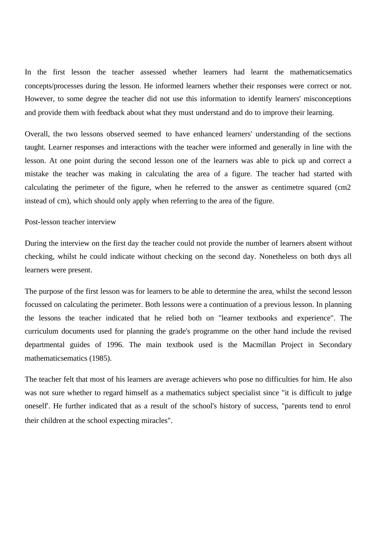In the first lesson the teacher assessed whether learners had learnt the mathematicsematics concepts/processes during the lesson. He informed learners whether their responses were correct or not. However, to some degree the teacher did not use this information to identify learners' misconceptions and provide them with feedback about what they must understand and do to improve their learning.

Overall, the two lessons observed seemed to have enhanced learners' understanding of the sections taught. Learner responses and interactions with the teacher were informed and generally in line with the lesson. At one point during the second lesson one of the learners was able to pick up and correct a mistake the teacher was making in calculating the area of a figure. The teacher had started with calculating the perimeter of the figure, when he referred to the answer as centimetre squared (cm2 instead of cm), which should only apply when referring to the area of the figure.

Post-lesson teacher interview

During the interview on the first day the teacher could not provide the number of learners absent without checking, whilst he could indicate without checking on the second day. Nonetheless on both days all learners were present.

The purpose of the first lesson was for learners to be able to determine the area, whilst the second lesson focussed on calculating the perimeter. Both lessons were a continuation of a previous lesson. In planning the lessons the teacher indicated that he relied both on "learner textbooks and experience". The curriculum documents used for planning the grade's programme on the other hand include the revised departmental guides of 1996. The main textbook used is the Macmillan Project in Secondary mathematicsematics (1985).

The teacher felt that most of his learners are average achievers who pose no difficulties for him. He also was not sure whether to regard himself as a mathematics subject specialist since "it is difficult to judge oneself'. He further indicated that as a result of the school's history of success, "parents tend to enrol their children at the school expecting miracles".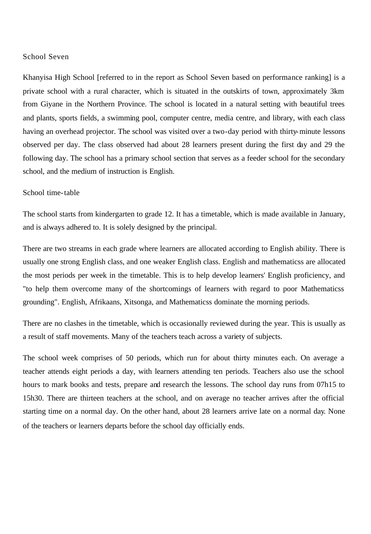## School Seven

Khanyisa High School [referred to in the report as School Seven based on performance ranking] is a private school with a rural character, which is situated in the outskirts of town, approximately 3km from Giyane in the Northern Province. The school is located in a natural setting with beautiful trees and plants, sports fields, a swimming pool, computer centre, media centre, and library, with each class having an overhead projector. The school was visited over a two-day period with thirty-minute lessons observed per day. The class observed had about 28 learners present during the first day and 29 the following day. The school has a primary school section that serves as a feeder school for the secondary school, and the medium of instruction is English.

### School time-table

The school starts from kindergarten to grade 12. It has a timetable, which is made available in January, and is always adhered to. It is solely designed by the principal.

There are two streams in each grade where learners are allocated according to English ability. There is usually one strong English class, and one weaker English class. English and mathematicss are allocated the most periods per week in the timetable. This is to help develop learners' English proficiency, and "to help them overcome many of the shortcomings of learners with regard to poor Mathematicss grounding". English, Afrikaans, Xitsonga, and Mathematicss dominate the morning periods.

There are no clashes in the timetable, which is occasionally reviewed during the year. This is usually as a result of staff movements. Many of the teachers teach across a variety of subjects.

The school week comprises of 50 periods, which run for about thirty minutes each. On average a teacher attends eight periods a day, with learners attending ten periods. Teachers also use the school hours to mark books and tests, prepare and research the lessons. The school day runs from 07h15 to 15h30. There are thirteen teachers at the school, and on average no teacher arrives after the official starting time on a normal day. On the other hand, about 28 learners arrive late on a normal day. None of the teachers or learners departs before the school day officially ends.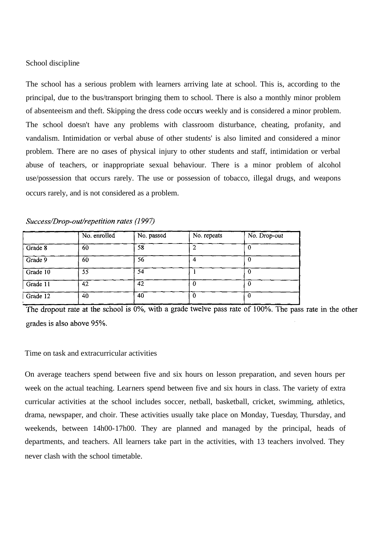## School discipline

The school has a serious problem with learners arriving late at school. This is, according to the principal, due to the bus/transport bringing them to school. There is also a monthly minor problem of absenteeism and theft. Skipping the dress code occurs weekly and is considered a minor problem. The school doesn't have any problems with classroom disturbance, cheating, profanity, and vandalism. Intimidation or verbal abuse of other students' is also limited and considered a minor problem. There are no cases of physical injury to other students and staff, intimidation or verbal abuse of teachers, or inappropriate sexual behaviour. There is a minor problem of alcohol use/possession that occurs rarely. The use or possession of tobacco, illegal drugs, and weapons occurs rarely, and is not considered as a problem.

| Success/Drop-out/repetition rates (1997) |  |  |
|------------------------------------------|--|--|
|------------------------------------------|--|--|

|            | No. enrolled | No. passed | No. repeats | No. Drop-out |
|------------|--------------|------------|-------------|--------------|
| Grade 8    | 60           | 58         |             |              |
| Grade 9    | 60           | 56         |             |              |
| Grade 10   | 55           | 54         |             |              |
| Grade $11$ | 42           | 42         |             |              |
| Grade 12   | 40           | 40         | 0           |              |

The dropout rate at the school is  $0\%$ , with a grade twelve pass rate of  $100\%$ . The pass rate in the other grades is also above 95%.

## Time on task and extracurricular activities

On average teachers spend between five and six hours on lesson preparation, and seven hours per week on the actual teaching. Learners spend between five and six hours in class. The variety of extra curricular activities at the school includes soccer, netball, basketball, cricket, swimming, athletics, drama, newspaper, and choir. These activities usually take place on Monday, Tuesday, Thursday, and weekends, between 14h00-17h00. They are planned and managed by the principal, heads of departments, and teachers. All learners take part in the activities, with 13 teachers involved. They never clash with the school timetable.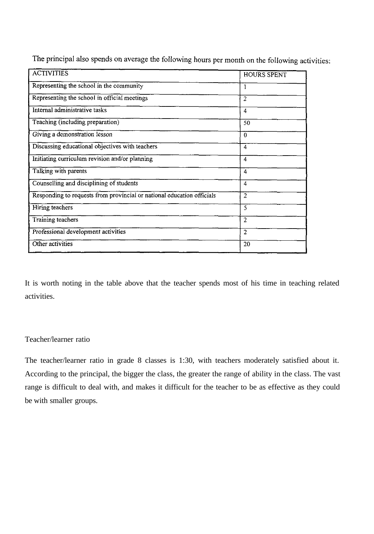| <b>ACTIVITIES</b>                                                      | <b>HOURS SPENT</b> |
|------------------------------------------------------------------------|--------------------|
| Representing the school in the community                               |                    |
| Representing the school in official meetings                           | 2                  |
| Internal administrative tasks                                          | 4                  |
| Teaching (including preparation)                                       | 50                 |
| Giving a demonstration lesson                                          | $\bf{0}$           |
| Discussing educational objectives with teachers                        | 4                  |
| Initiating curriculum revision and/or planning                         | 4                  |
| Talking with parents                                                   | 4                  |
| Counselling and disciplining of students                               | 4                  |
| Responding to requests from provincial or national education officials | 2                  |
| Hiring teachers                                                        | 5                  |
| Training teachers                                                      | $\overline{2}$     |
| Professional development activities                                    | $\overline{2}$     |
| Other activities                                                       | 20                 |

The principal also spends on average the following hours per month on the following activities:

It is worth noting in the table above that the teacher spends most of his time in teaching related activities.

# Teacher/learner ratio

The teacher/learner ratio in grade 8 classes is 1:30, with teachers moderately satisfied about it. According to the principal, the bigger the class, the greater the range of ability in the class. The vast range is difficult to deal with, and makes it difficult for the teacher to be as effective as they could be with smaller groups.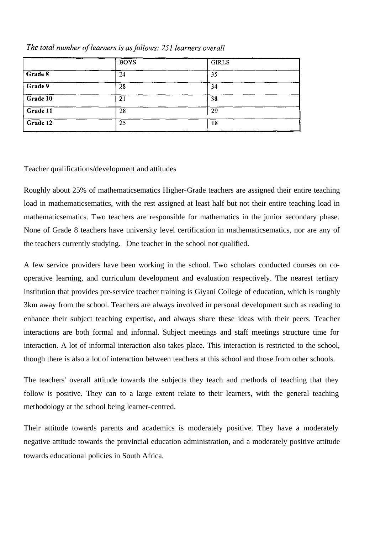|          | <b>BOYS</b> | <b>GIRLS</b> |  |
|----------|-------------|--------------|--|
| Grade 8  | 24          | 35           |  |
| Grade 9  | 28          | 34           |  |
| Grade 10 | 21          | 38           |  |
| Grade 11 | 28          | 29           |  |
| Grade 12 | 25          | 18           |  |

# The total number of learners is as follows: 251 learners overall

# Teacher qualifications/development and attitudes

Roughly about 25% of mathematicsematics Higher-Grade teachers are assigned their entire teaching load in mathematicsematics, with the rest assigned at least half but not their entire teaching load in mathematicsematics. Two teachers are responsible for mathematics in the junior secondary phase. None of Grade 8 teachers have university level certification in mathematicsematics, nor are any of the teachers currently studying. One teacher in the school not qualified.

A few service providers have been working in the school. Two scholars conducted courses on cooperative learning, and curriculum development and evaluation respectively. The nearest tertiary institution that provides pre-service teacher training is Giyani College of education, which is roughly 3km away from the school. Teachers are always involved in personal development such as reading to enhance their subject teaching expertise, and always share these ideas with their peers. Teacher interactions are both formal and informal. Subject meetings and staff meetings structure time for interaction. A lot of informal interaction also takes place. This interaction is restricted to the school, though there is also a lot of interaction between teachers at this school and those from other schools.

The teachers' overall attitude towards the subjects they teach and methods of teaching that they follow is positive. They can to a large extent relate to their learners, with the general teaching methodology at the school being learner-centred.

Their attitude towards parents and academics is moderately positive. They have a moderately negative attitude towards the provincial education administration, and a moderately positive attitude towards educational policies in South Africa.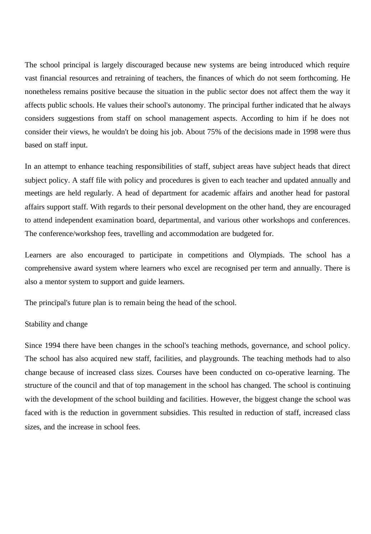The school principal is largely discouraged because new systems are being introduced which require vast financial resources and retraining of teachers, the finances of which do not seem forthcoming. He nonetheless remains positive because the situation in the public sector does not affect them the way it affects public schools. He values their school's autonomy. The principal further indicated that he always considers suggestions from staff on school management aspects. According to him if he does not consider their views, he wouldn't be doing his job. About 75% of the decisions made in 1998 were thus based on staff input.

In an attempt to enhance teaching responsibilities of staff, subject areas have subject heads that direct subject policy. A staff file with policy and procedures is given to each teacher and updated annually and meetings are held regularly. A head of department for academic affairs and another head for pastoral affairs support staff. With regards to their personal development on the other hand, they are encouraged to attend independent examination board, departmental, and various other workshops and conferences. The conference/workshop fees, travelling and accommodation are budgeted for.

Learners are also encouraged to participate in competitions and Olympiads. The school has a comprehensive award system where learners who excel are recognised per term and annually. There is also a mentor system to support and guide learners.

The principal's future plan is to remain being the head of the school.

# Stability and change

Since 1994 there have been changes in the school's teaching methods, governance, and school policy. The school has also acquired new staff, facilities, and playgrounds. The teaching methods had to also change because of increased class sizes. Courses have been conducted on co-operative learning. The structure of the council and that of top management in the school has changed. The school is continuing with the development of the school building and facilities. However, the biggest change the school was faced with is the reduction in government subsidies. This resulted in reduction of staff, increased class sizes, and the increase in school fees.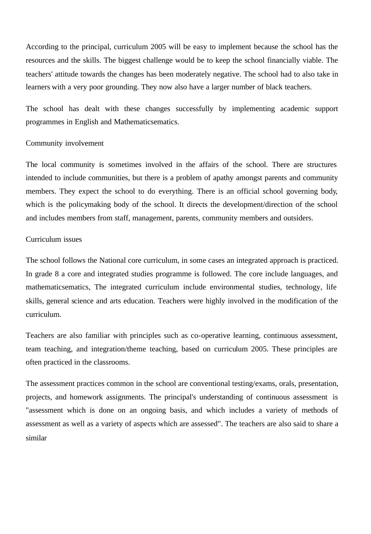According to the principal, curriculum 2005 will be easy to implement because the school has the resources and the skills. The biggest challenge would be to keep the school financially viable. The teachers' attitude towards the changes has been moderately negative. The school had to also take in learners with a very poor grounding. They now also have a larger number of black teachers.

The school has dealt with these changes successfully by implementing academic support programmes in English and Mathematicsematics.

## Community involvement

The local community is sometimes involved in the affairs of the school. There are structures intended to include communities, but there is a problem of apathy amongst parents and community members. They expect the school to do everything. There is an official school governing body, which is the policymaking body of the school. It directs the development/direction of the school and includes members from staff, management, parents, community members and outsiders.

## Curriculum issues

The school follows the National core curriculum, in some cases an integrated approach is practiced. In grade 8 a core and integrated studies programme is followed. The core include languages, and mathematicsematics, The integrated curriculum include environmental studies, technology, life skills, general science and arts education. Teachers were highly involved in the modification of the curriculum.

Teachers are also familiar with principles such as co-operative learning, continuous assessment, team teaching, and integration/theme teaching, based on curriculum 2005. These principles are often practiced in the classrooms.

The assessment practices common in the school are conventional testing/exams, orals, presentation, projects, and homework assignments. The principal's understanding of continuous assessment is "assessment which is done on an ongoing basis, and which includes a variety of methods of assessment as well as a variety of aspects which are assessed". The teachers are also said to share a similar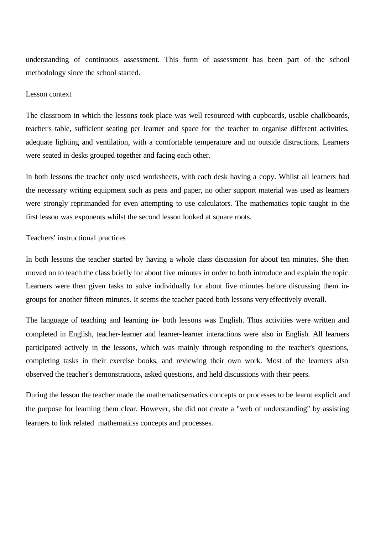understanding of continuous assessment. This form of assessment has been part of the school methodology since the school started.

#### Lesson context

The classroom in which the lessons took place was well resourced with cupboards, usable chalkboards, teacher's table, sufficient seating per learner and space for the teacher to organise different activities, adequate lighting and ventilation, with a comfortable temperature and no outside distractions. Learners were seated in desks grouped together and facing each other.

In both lessons the teacher only used worksheets, with each desk having a copy. Whilst all learners had the necessary writing equipment such as pens and paper, no other support material was used as learners were strongly reprimanded for even attempting to use calculators. The mathematics topic taught in the first lesson was exponents whilst the second lesson looked at square roots.

## Teachers' instructional practices

In both lessons the teacher started by having a whole class discussion for about ten minutes. She then moved on to teach the class briefly for about five minutes in order to both introduce and explain the topic. Learners were then given tasks to solve individually for about five minutes before discussing them ingroups for another fifteen minutes. It seems the teacher paced both lessons very effectively overall.

The language of teaching and learning in- both lessons was English. Thus activities were written and completed in English, teacher-learner and learner-learner interactions were also in English. All learners participated actively in the lessons, which was mainly through responding to the teacher's questions, completing tasks in their exercise books, and reviewing their own work. Most of the learners also observed the teacher's demonstrations, asked questions, and held discussions with their peers.

During the lesson the teacher made the mathematicsematics concepts or processes to be learnt explicit and the purpose for learning them clear. However, she did not create a "web of understanding" by assisting learners to link related mathematicss concepts and processes.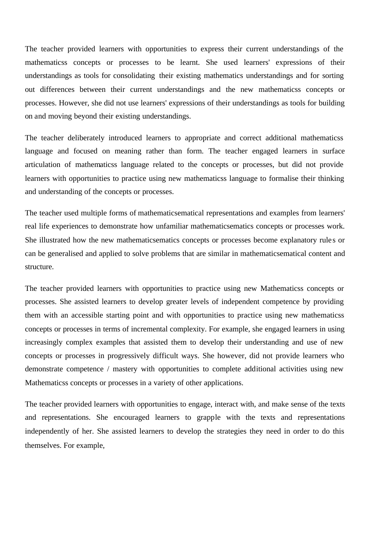The teacher provided learners with opportunities to express their current understandings of the mathematicss concepts or processes to be learnt. She used learners' expressions of their understandings as tools for consolidating their existing mathematics understandings and for sorting out differences between their current understandings and the new mathematicss concepts or processes. However, she did not use learners' expressions of their understandings as tools for building on and moving beyond their existing understandings.

The teacher deliberately introduced learners to appropriate and correct additional mathematicss language and focused on meaning rather than form. The teacher engaged learners in surface articulation of mathematicss language related to the concepts or processes, but did not provide learners with opportunities to practice using new mathematicss language to formalise their thinking and understanding of the concepts or processes.

The teacher used multiple forms of mathematicsematical representations and examples from learners' real life experiences to demonstrate how unfamiliar mathematicsematics concepts or processes work. She illustrated how the new mathematicsematics concepts or processes become explanatory rule s or can be generalised and applied to solve problems that are similar in mathematicsematical content and structure.

The teacher provided learners with opportunities to practice using new Mathematicss concepts or processes. She assisted learners to develop greater levels of independent competence by providing them with an accessible starting point and with opportunities to practice using new mathematicss concepts or processes in terms of incremental complexity. For example, she engaged learners in using increasingly complex examples that assisted them to develop their understanding and use of new concepts or processes in progressively difficult ways. She however, did not provide learners who demonstrate competence / mastery with opportunities to complete additional activities using new Mathematicss concepts or processes in a variety of other applications.

The teacher provided learners with opportunities to engage, interact with, and make sense of the texts and representations. She encouraged learners to grapple with the texts and representations independently of her. She assisted learners to develop the strategies they need in order to do this themselves. For example,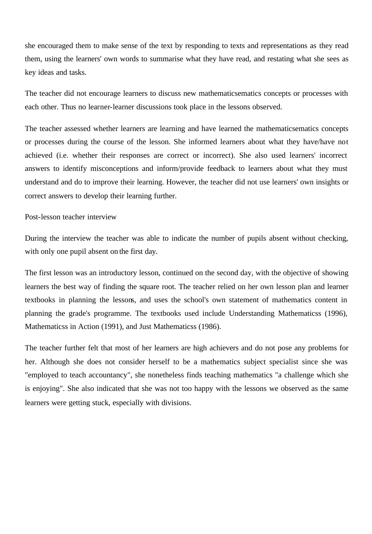she encouraged them to make sense of the text by responding to texts and representations as they read them, using the learners' own words to summarise what they have read, and restating what she sees as key ideas and tasks.

The teacher did not encourage learners to discuss new mathematicsematics concepts or processes with each other. Thus no learner-learner discussions took place in the lessons observed.

The teacher assessed whether learners are learning and have learned the mathematicsematics concepts or processes during the course of the lesson. She informed learners about what they have/have not achieved (i.e. whether their responses are correct or incorrect). She also used learners' incorrect answers to identify misconceptions and inform/provide feedback to learners about what they must understand and do to improve their learning. However, the teacher did not use learners' own insights or correct answers to develop their learning further.

## Post-lesson teacher interview

During the interview the teacher was able to indicate the number of pupils absent without checking, with only one pupil absent on the first day.

The first lesson was an introductory lesson, continued on the second day, with the objective of showing learners the best way of finding the square root. The teacher relied on her own lesson plan and learner textbooks in planning the lessons, and uses the school's own statement of mathematics content in planning the grade's programme. The textbooks used include Understanding Mathematicss (1996), Mathematicss in Action (1991), and Just Mathematicss (1986).

The teacher further felt that most of her learners are high achievers and do not pose any problems for her. Although she does not consider herself to be a mathematics subject specialist since she was "employed to teach accountancy", she nonetheless finds teaching mathematics "a challenge which she is enjoying". She also indicated that she was not too happy with the lessons we observed as the same learners were getting stuck, especially with divisions.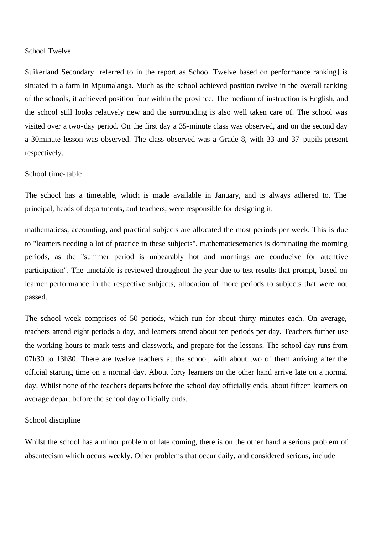# School Twelve

Suikerland Secondary [referred to in the report as School Twelve based on performance ranking] is situated in a farm in Mpumalanga. Much as the school achieved position twelve in the overall ranking of the schools, it achieved position four within the province. The medium of instruction is English, and the school still looks relatively new and the surrounding is also well taken care of. The school was visited over a two-day period. On the first day a 35-minute class was observed, and on the second day a 30minute lesson was observed. The class observed was a Grade 8, with 33 and 37 pupils present respectively.

# School time-table

The school has a timetable, which is made available in January, and is always adhered to. The principal, heads of departments, and teachers, were responsible for designing it.

mathematicss, accounting, and practical subjects are allocated the most periods per week. This is due to "learners needing a lot of practice in these subjects". mathematicsematics is dominating the morning periods, as the "summer period is unbearably hot and mornings are conducive for attentive participation". The timetable is reviewed throughout the year due to test results that prompt, based on learner performance in the respective subjects, allocation of more periods to subjects that were not passed.

The school week comprises of 50 periods, which run for about thirty minutes each. On average, teachers attend eight periods a day, and learners attend about ten periods per day. Teachers further use the working hours to mark tests and classwork, and prepare for the lessons. The school day runs from 07h30 to 13h30. There are twelve teachers at the school, with about two of them arriving after the official starting time on a normal day. About forty learners on the other hand arrive late on a normal day. Whilst none of the teachers departs before the school day officially ends, about fifteen learners on average depart before the school day officially ends.

#### School discipline

Whilst the school has a minor problem of late coming, there is on the other hand a serious problem of absenteeism which occurs weekly. Other problems that occur daily, and considered serious, include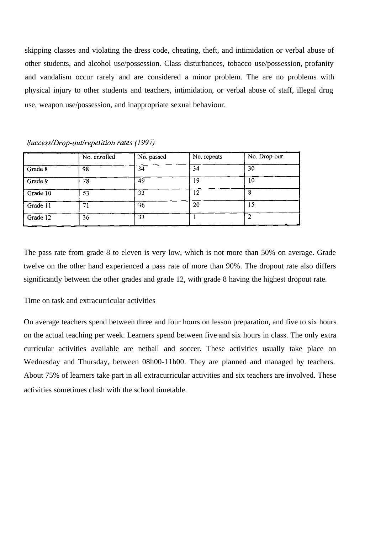skipping classes and violating the dress code, cheating, theft, and intimidation or verbal abuse of other students, and alcohol use/possession. Class disturbances, tobacco use/possession, profanity and vandalism occur rarely and are considered a minor problem. The are no problems with physical injury to other students and teachers, intimidation, or verbal abuse of staff, illegal drug use, weapon use/possession, and inappropriate sexual behaviour.

|                 | No. enrolled | No. passed | No. repeats | No. Drop-out |
|-----------------|--------------|------------|-------------|--------------|
| Grade 8         | 98           | 34         | 34          | 30           |
| $\sqrt{Grade9}$ | 78           | 49         | 19          | 10           |
| Grade 10        | 53           | 33         | 12          |              |
| Grade 11        | 71           | 36         | 20          | 15           |
| Grade 12        | 36           | 33         |             |              |

Success/Drop-out/repetition rates (1997)

The pass rate from grade 8 to eleven is very low, which is not more than 50% on average. Grade twelve on the other hand experienced a pass rate of more than 90%. The dropout rate also differs significantly between the other grades and grade 12, with grade 8 having the highest dropout rate.

Time on task and extracurricular activities

On average teachers spend between three and four hours on lesson preparation, and five to six hours on the actual teaching per week. Learners spend between five and six hours in class. The only extra curricular activities available are netball and soccer. These activities usually take place on Wednesday and Thursday, between 08h00-11h00. They are planned and managed by teachers. About 75% of learners take part in all extracurricular activities and six teachers are involved. These activities sometimes clash with the school timetable.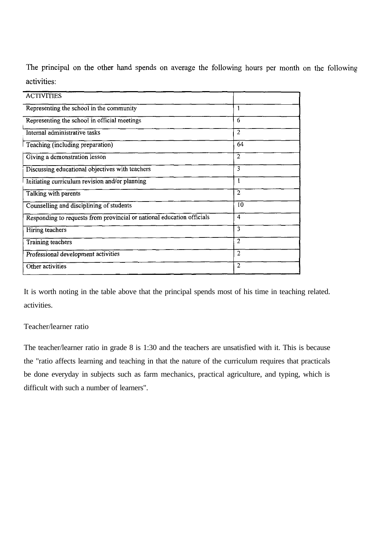The principal on the other hand spends on average the following hours per month on the following activities:

| <b>ACTIVITIES</b>                                                      |                |
|------------------------------------------------------------------------|----------------|
| Representing the school in the community                               | 1              |
| Representing the school in official meetings                           | 6              |
| Internal administrative tasks                                          | 2              |
| Teaching (including preparation)                                       | 64             |
| Giving a demonstration lesson                                          | $\overline{2}$ |
| Discussing educational objectives with teachers                        | 3              |
| Initiating curriculum revision and/or planning                         | 1              |
| Talking with parents                                                   | $\overline{2}$ |
| Counselling and disciplining of students                               | 10             |
| Responding to requests from provincial or national education officials | 4              |
| Hiring teachers                                                        | 3              |
| Training teachers                                                      | $\overline{2}$ |
| Professional development activities                                    | 2              |
| Other activities                                                       | 2              |

It is worth noting in the table above that the principal spends most of his time in teaching related. activities.

# Teacher/learner ratio

The teacher/learner ratio in grade 8 is 1:30 and the teachers are unsatisfied with it. This is because the "ratio affects learning and teaching in that the nature of the curriculum requires that practicals be done everyday in subjects such as farm mechanics, practical agriculture, and typing, which is difficult with such a number of learners".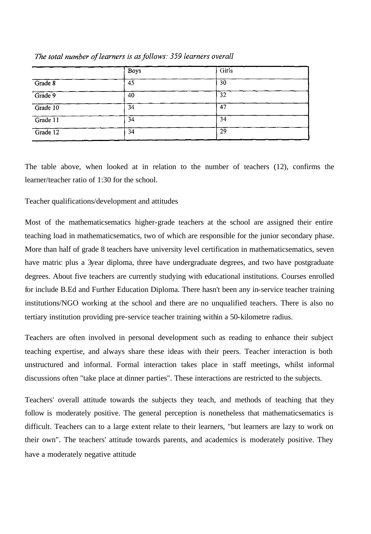|          | <b>Boys</b> | Girls |  |
|----------|-------------|-------|--|
| Grade 8  | 45          | 30    |  |
| Grade 9  | 40          | 32    |  |
| Grade 10 | 34          | 47    |  |
| Grade 11 | 34          | 34    |  |
| Grade 12 | 34          | 29    |  |

The total number of learners is as follows: 359 learners overall

The table above, when looked at in relation to the number of teachers (12), confirms the learner/teacher ratio of 1:30 for the school.

# Teacher qualifications/development and attitudes

Most of the mathematicsematics higher-grade teachers at the school are assigned their entire teaching load in mathematicsematics, two of which are responsible for the junior secondary phase. More than half of grade 8 teachers have university level certification in mathematicsematics, seven have matric plus a 3year diploma, three have undergraduate degrees, and two have postgraduate degrees. About five teachers are currently studying with educational institutions. Courses enrolled for include B.Ed and Further Education Diploma. There hasn't been any in-service teacher training institutions/NGO working at the school and there are no unqualified teachers. There is also no tertiary institution providing pre-service teacher training within a 50-kilometre radius.

Teachers are often involved in personal development such as reading to enhance their subject teaching expertise, and always share these ideas with their peers. Teacher interaction is both unstructured and informal. Formal interaction takes place in staff meetings, whilst informal discussions often "take place at dinner parties". These interactions are restricted to the subjects.

Teachers' overall attitude towards the subjects they teach, and methods of teaching that they follow is moderately positive. The general perception is nonetheless that mathematicsematics is difficult. Teachers can to a large extent relate to their learners, "but learners are lazy to work on their own". The teachers' attitude towards parents, and academics is moderately positive. They have a moderately negative attitude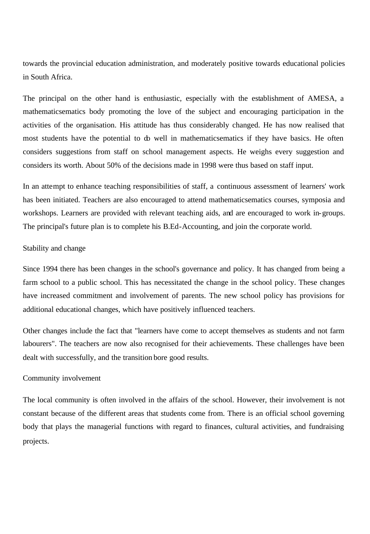towards the provincial education administration, and moderately positive towards educational policies in South Africa.

The principal on the other hand is enthusiastic, especially with the establishment of AMESA, a mathematicsematics body promoting the love of the subject and encouraging participation in the activities of the organisation. His attitude has thus considerably changed. He has now realised that most students have the potential to do well in mathematicsematics if they have basics. He often considers suggestions from staff on school management aspects. He weighs every suggestion and considers its worth. About 50% of the decisions made in 1998 were thus based on staff input.

In an attempt to enhance teaching responsibilities of staff, a continuous assessment of learners' work has been initiated. Teachers are also encouraged to attend mathematicsematics courses, symposia and workshops. Learners are provided with relevant teaching aids, and are encouraged to work in-groups. The principal's future plan is to complete his B.Ed-Accounting, and join the corporate world.

# Stability and change

Since 1994 there has been changes in the school's governance and policy. It has changed from being a farm school to a public school. This has necessitated the change in the school policy. These changes have increased commitment and involvement of parents. The new school policy has provisions for additional educational changes, which have positively influenced teachers.

Other changes include the fact that "learners have come to accept themselves as students and not farm labourers". The teachers are now also recognised for their achievements. These challenges have been dealt with successfully, and the transition bore good results.

## Community involvement

The local community is often involved in the affairs of the school. However, their involvement is not constant because of the different areas that students come from. There is an official school governing body that plays the managerial functions with regard to finances, cultural activities, and fundraising projects.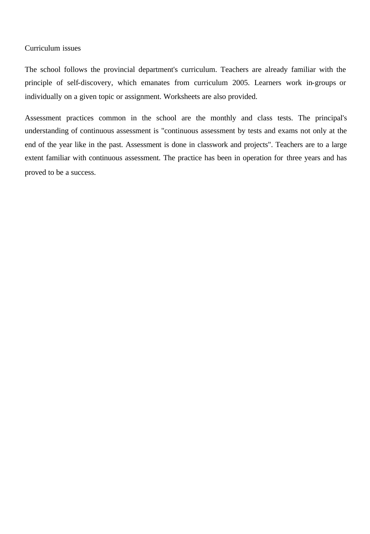# Curriculum issues

The school follows the provincial department's curriculum. Teachers are already familiar with the principle of self-discovery, which emanates from curriculum 2005. Learners work in-groups or individually on a given topic or assignment. Worksheets are also provided.

Assessment practices common in the school are the monthly and class tests. The principal's understanding of continuous assessment is "continuous assessment by tests and exams not only at the end of the year like in the past. Assessment is done in classwork and projects". Teachers are to a large extent familiar with continuous assessment. The practice has been in operation for three years and has proved to be a success.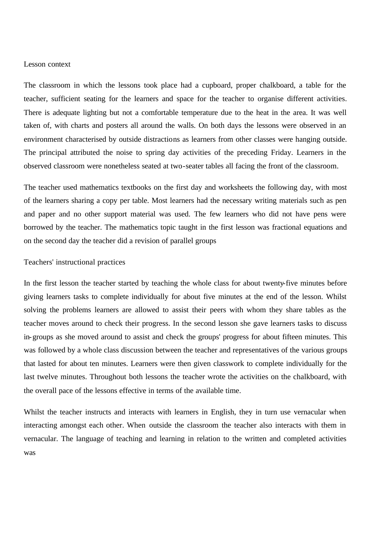## Lesson context

The classroom in which the lessons took place had a cupboard, proper chalkboard, a table for the teacher, sufficient seating for the learners and space for the teacher to organise different activities. There is adequate lighting but not a comfortable temperature due to the heat in the area. It was well taken of, with charts and posters all around the walls. On both days the lessons were observed in an environment characterised by outside distractions as learners from other classes were hanging outside. The principal attributed the noise to spring day activities of the preceding Friday. Learners in the observed classroom were nonetheless seated at two-seater tables all facing the front of the classroom.

The teacher used mathematics textbooks on the first day and worksheets the following day, with most of the learners sharing a copy per table. Most learners had the necessary writing materials such as pen and paper and no other support material was used. The few learners who did not have pens were borrowed by the teacher. The mathematics topic taught in the first lesson was fractional equations and on the second day the teacher did a revision of parallel groups

## Teachers' instructional practices

In the first lesson the teacher started by teaching the whole class for about twenty-five minutes before giving learners tasks to complete individually for about five minutes at the end of the lesson. Whilst solving the problems learners are allowed to assist their peers with whom they share tables as the teacher moves around to check their progress. In the second lesson she gave learners tasks to discuss in-groups as she moved around to assist and check the groups' progress for about fifteen minutes. This was followed by a whole class discussion between the teacher and representatives of the various groups that lasted for about ten minutes. Learners were then given classwork to complete individually for the last twelve minutes. Throughout both lessons the teacher wrote the activities on the chalkboard, with the overall pace of the lessons effective in terms of the available time.

Whilst the teacher instructs and interacts with learners in English, they in turn use vernacular when interacting amongst each other. When outside the classroom the teacher also interacts with them in vernacular. The language of teaching and learning in relation to the written and completed activities was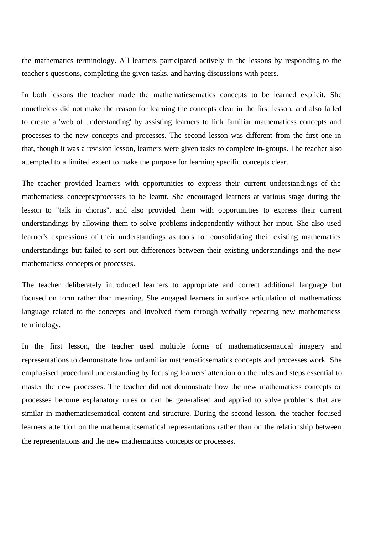the mathematics terminology. All learners participated actively in the lessons by responding to the teacher's questions, completing the given tasks, and having discussions with peers.

In both lessons the teacher made the mathematicsematics concepts to be learned explicit. She nonetheless did not make the reason for learning the concepts clear in the first lesson, and also failed to create a 'web of understanding' by assisting learners to link familiar mathematicss concepts and processes to the new concepts and processes. The second lesson was different from the first one in that, though it was a revision lesson, learners were given tasks to complete in-groups. The teacher also attempted to a limited extent to make the purpose for learning specific concepts clear.

The teacher provided learners with opportunities to express their current understandings of the mathematicss concepts/processes to be learnt. She encouraged learners at various stage during the lesson to "talk in chorus", and also provided them with opportunities to express their current understandings by allowing them to solve problems independently without her input. She also used learner's expressions of their understandings as tools for consolidating their existing mathematics understandings but failed to sort out differences between their existing understandings and the new mathematicss concepts or processes.

The teacher deliberately introduced learners to appropriate and correct additional language but focused on form rather than meaning. She engaged learners in surface articulation of mathematicss language related to the concepts and involved them through verbally repeating new mathematicss terminology.

In the first lesson, the teacher used multiple forms of mathematicsematical imagery and representations to demonstrate how unfamiliar mathematicsematics concepts and processes work. She emphasised procedural understanding by focusing learners' attention on the rules and steps essential to master the new processes. The teacher did not demonstrate how the new mathematicss concepts or processes become explanatory rules or can be generalised and applied to solve problems that are similar in mathematicsematical content and structure. During the second lesson, the teacher focused learners attention on the mathematicsematical representations rather than on the relationship between the representations and the new mathematicss concepts or processes.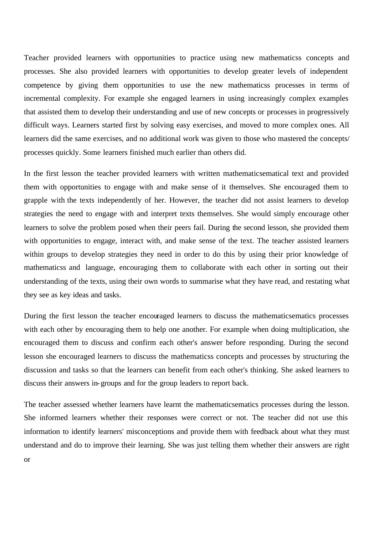Teacher provided learners with opportunities to practice using new mathematicss concepts and processes. She also provided learners with opportunities to develop greater levels of independent competence by giving them opportunities to use the new mathematicss processes in terms of incremental complexity. For example she engaged learners in using increasingly complex examples that assisted them to develop their understanding and use of new concepts or processes in progressively difficult ways. Learners started first by solving easy exercises, and moved to more complex ones. All learners did the same exercises, and no additional work was given to those who mastered the concepts/ processes quickly. Some learners finished much earlier than others did.

In the first lesson the teacher provided learners with written mathematicsematical text and provided them with opportunities to engage with and make sense of it themselves. She encouraged them to grapple with the texts independently of her. However, the teacher did not assist learners to develop strategies the need to engage with and interpret texts themselves. She would simply encourage other learners to solve the problem posed when their peers fail. During the second lesson, she provided them with opportunities to engage, interact with, and make sense of the text. The teacher assisted learners within groups to develop strategies they need in order to do this by using their prior knowledge of mathematicss and language, encouraging them to collaborate with each other in sorting out their understanding of the texts, using their own words to summarise what they have read, and restating what they see as key ideas and tasks.

During the first lesson the teacher encouraged learners to discuss the mathematicsematics processes with each other by encouraging them to help one another. For example when doing multiplication, she encouraged them to discuss and confirm each other's answer before responding. During the second lesson she encouraged learners to discuss the mathematicss concepts and processes by structuring the discussion and tasks so that the learners can benefit from each other's thinking. She asked learners to discuss their answers in-groups and for the group leaders to report back.

The teacher assessed whether learners have learnt the mathematicsematics processes during the lesson. She informed learners whether their responses were correct or not. The teacher did not use this information to identify learners' misconceptions and provide them with feedback about what they must understand and do to improve their learning. She was just telling them whether their answers are right or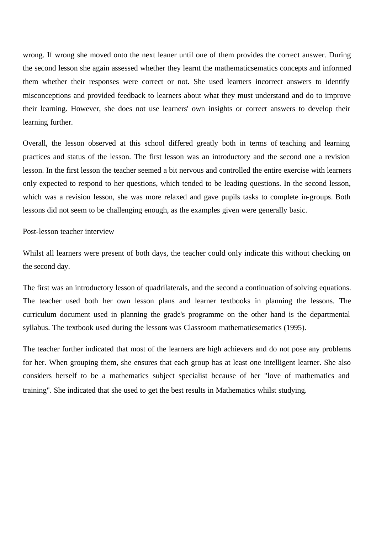wrong. If wrong she moved onto the next leaner until one of them provides the correct answer. During the second lesson she again assessed whether they learnt the mathematicsematics concepts and informed them whether their responses were correct or not. She used learners incorrect answers to identify misconceptions and provided feedback to learners about what they must understand and do to improve their learning. However, she does not use learners' own insights or correct answers to develop their learning further.

Overall, the lesson observed at this school differed greatly both in terms of teaching and learning practices and status of the lesson. The first lesson was an introductory and the second one a revision lesson. In the first lesson the teacher seemed a bit nervous and controlled the entire exercise with learners only expected to respond to her questions, which tended to be leading questions. In the second lesson, which was a revision lesson, she was more relaxed and gave pupils tasks to complete in-groups. Both lessons did not seem to be challenging enough, as the examples given were generally basic.

Post-lesson teacher interview

Whilst all learners were present of both days, the teacher could only indicate this without checking on the second day.

The first was an introductory lesson of quadrilaterals, and the second a continuation of solving equations. The teacher used both her own lesson plans and learner textbooks in planning the lessons. The curriculum document used in planning the grade's programme on the other hand is the departmental syllabus. The textbook used during the lessons was Classroom mathematicsematics (1995).

The teacher further indicated that most of the learners are high achievers and do not pose any problems for her. When grouping them, she ensures that each group has at least one intelligent learner. She also considers herself to be a mathematics subject specialist because of her "love of mathematics and training". She indicated that she used to get the best results in Mathematics whilst studying.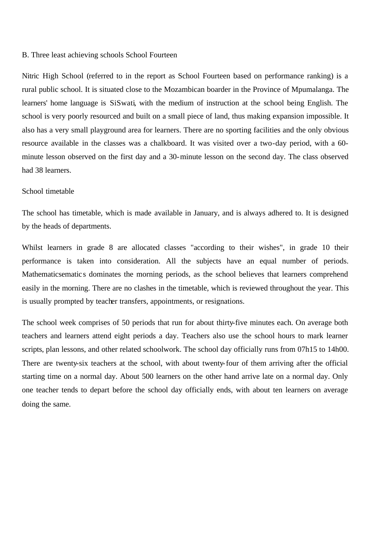### B. Three least achieving schools School Fourteen

Nitric High School (referred to in the report as School Fourteen based on performance ranking) is a rural public school. It is situated close to the Mozambican boarder in the Province of Mpumalanga. The learners' home language is SiSwati, with the medium of instruction at the school being English. The school is very poorly resourced and built on a small piece of land, thus making expansion impossible. It also has a very small playground area for learners. There are no sporting facilities and the only obvious resource available in the classes was a chalkboard. It was visited over a two-day period, with a 60 minute lesson observed on the first day and a 30-minute lesson on the second day. The class observed had 38 learners.

# School timetable

The school has timetable, which is made available in January, and is always adhered to. It is designed by the heads of departments.

Whilst learners in grade 8 are allocated classes "according to their wishes", in grade 10 their performance is taken into consideration. All the subjects have an equal number of periods. Mathematicsematic s dominates the morning periods, as the school believes that learners comprehend easily in the morning. There are no clashes in the timetable, which is reviewed throughout the year. This is usually prompted by teacher transfers, appointments, or resignations.

The school week comprises of 50 periods that run for about thirty-five minutes each. On average both teachers and learners attend eight periods a day. Teachers also use the school hours to mark learner scripts, plan lessons, and other related schoolwork. The school day officially runs from 07h15 to 14h00. There are twenty-six teachers at the school, with about twenty-four of them arriving after the official starting time on a normal day. About 500 learners on the other hand arrive late on a normal day. Only one teacher tends to depart before the school day officially ends, with about ten learners on average doing the same.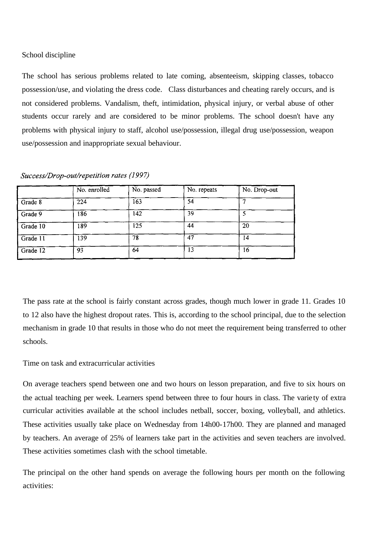# School discipline

The school has serious problems related to late coming, absenteeism, skipping classes, tobacco possession/use, and violating the dress code. Class disturbances and cheating rarely occurs, and is not considered problems. Vandalism, theft, intimidation, physical injury, or verbal abuse of other students occur rarely and are considered to be minor problems. The school doesn't have any problems with physical injury to staff, alcohol use/possession, illegal drug use/possession, weapon use/possession and inappropriate sexual behaviour.

|                        | No. enrolled | No. passed | No. repeats | No. Drop-out |
|------------------------|--------------|------------|-------------|--------------|
| Grade 8                | 224          | 163        | 54          |              |
| Grade 9                | 186          | 142        | 39          |              |
| $\overline{G}$ rade 10 | 189          | 125        | 44          | 20           |
| Grade 11               | 139          | 78         | 47          | 14           |
| Grade 12               | 93           | 64         | 13          | 16           |

#### Success/Drop-out/repetition rates (1997)

The pass rate at the school is fairly constant across grades, though much lower in grade 11. Grades 10 to 12 also have the highest dropout rates. This is, according to the school principal, due to the selection mechanism in grade 10 that results in those who do not meet the requirement being transferred to other schools.

Time on task and extracurricular activities

On average teachers spend between one and two hours on lesson preparation, and five to six hours on the actual teaching per week. Learners spend between three to four hours in class. The varie ty of extra curricular activities available at the school includes netball, soccer, boxing, volleyball, and athletics. These activities usually take place on Wednesday from 14h00-17h00. They are planned and managed by teachers. An average of 25% of learners take part in the activities and seven teachers are involved. These activities sometimes clash with the school timetable.

The principal on the other hand spends on average the following hours per month on the following activities: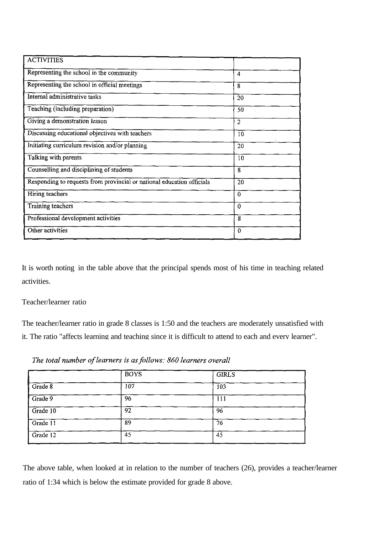| <b>ACTIVITIES</b>                                                      |                  |
|------------------------------------------------------------------------|------------------|
| Representing the school in the community                               | 4                |
| Representing the school in official meetings                           | 8                |
| Internal administrative tasks                                          | 20               |
| Teaching (including preparation)                                       | 50               |
| Giving a demonstration lesson                                          | $\overline{2}$   |
| Discussing educational objectives with teachers                        | 10               |
| Initiating curriculum revision and/or planning                         | 20               |
| Talking with parents                                                   | 10               |
| Counselling and disciplining of students                               | 8                |
| Responding to requests from provincial or national education officials | 20               |
| Hiring teachers                                                        | $\bf{0}$         |
| Training teachers                                                      | $\boldsymbol{0}$ |
| Professional development activities                                    | 8                |
| Other activities                                                       | $\theta$         |

It is worth noting in the table above that the principal spends most of his time in teaching related activities.

# Teacher/learner ratio

The teacher/learner ratio in grade 8 classes is 1:50 and the teachers are moderately unsatisfied with it. The ratio "affects learning and teaching since it is difficult to attend to each and every learner".

The total number of learners is as follows: 860 learners overall

|            | <b>BOYS</b> | <b>GIRLS</b> |  |
|------------|-------------|--------------|--|
| Grade 8    | 107         | 103          |  |
| $Grade$ 9  | 96          | 111          |  |
| Grade 10   | 92          | 96           |  |
| Grade $11$ | 89          | 76           |  |
| Grade 12   | 45          | 45           |  |

The above table, when looked at in relation to the number of teachers (26), provides a teacher/learner ratio of 1:34 which is below the estimate provided for grade 8 above.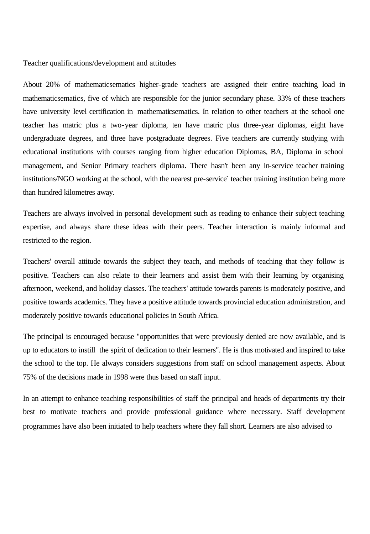Teacher qualifications/development and attitudes

About 20% of mathematicsematics higher-grade teachers are assigned their entire teaching load in mathematicsematics, five of which are responsible for the junior secondary phase. 33% of these teachers have university level certification in mathematicsematics. In relation to other teachers at the school one teacher has matric plus a two-year diploma, ten have matric plus three-year diplomas, eight have undergraduate degrees, and three have postgraduate degrees. Five teachers are currently studying with educational institutions with courses ranging from higher education Diplomas, BA, Diploma in school management, and Senior Primary teachers diploma. There hasn't been any in-service teacher training institutions/NGO working at the school, with the nearest pre-service teacher training institution being more than hundred kilometres away.

Teachers are always involved in personal development such as reading to enhance their subject teaching expertise, and always share these ideas with their peers. Teacher interaction is mainly informal and restricted to the region.

Teachers' overall attitude towards the subject they teach, and methods of teaching that they follow is positive. Teachers can also relate to their learners and assist them with their learning by organising afternoon, weekend, and holiday classes. The teachers' attitude towards parents is moderately positive, and positive towards academics. They have a positive attitude towards provincial education administration, and moderately positive towards educational policies in South Africa.

The principal is encouraged because "opportunities that were previously denied are now available, and is up to educators to instill the spirit of dedication to their learners". He is thus motivated and inspired to take the school to the top. He always considers suggestions from staff on school management aspects. About 75% of the decisions made in 1998 were thus based on staff input.

In an attempt to enhance teaching responsibilities of staff the principal and heads of departments try their best to motivate teachers and provide professional guidance where necessary. Staff development programmes have also been initiated to help teachers where they fall short. Learners are also advised to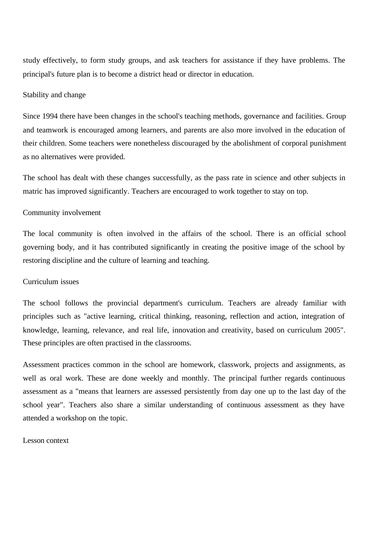study effectively, to form study groups, and ask teachers for assistance if they have problems. The principal's future plan is to become a district head or director in education.

## Stability and change

Since 1994 there have been changes in the school's teaching methods, governance and facilities. Group and teamwork is encouraged among learners, and parents are also more involved in the education of their children. Some teachers were nonetheless discouraged by the abolishment of corporal punishment as no alternatives were provided.

The school has dealt with these changes successfully, as the pass rate in science and other subjects in matric has improved significantly. Teachers are encouraged to work together to stay on top.

## Community involvement

The local community is often involved in the affairs of the school. There is an official school governing body, and it has contributed significantly in creating the positive image of the school by restoring discipline and the culture of learning and teaching.

# Curriculum issues

The school follows the provincial department's curriculum. Teachers are already familiar with principles such as "active learning, critical thinking, reasoning, reflection and action, integration of knowledge, learning, relevance, and real life, innovation and creativity, based on curriculum 2005". These principles are often practised in the classrooms.

Assessment practices common in the school are homework, classwork, projects and assignments, as well as oral work. These are done weekly and monthly. The principal further regards continuous assessment as a "means that learners are assessed persistently from day one up to the last day of the school year". Teachers also share a similar understanding of continuous assessment as they have attended a workshop on the topic.

## Lesson context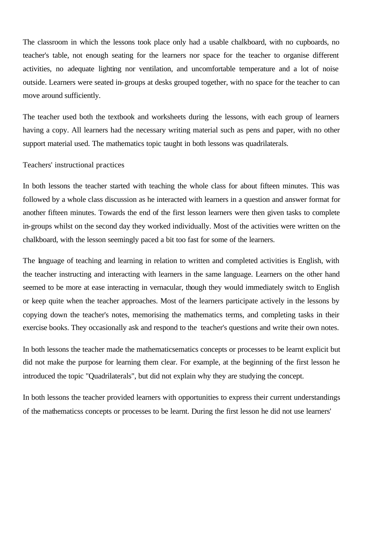The classroom in which the lessons took place only had a usable chalkboard, with no cupboards, no teacher's table, not enough seating for the learners nor space for the teacher to organise different activities, no adequate lighting nor ventilation, and uncomfortable temperature and a lot of noise outside. Learners were seated in-groups at desks grouped together, with no space for the teacher to can move around sufficiently.

The teacher used both the textbook and worksheets during the lessons, with each group of learners having a copy. All learners had the necessary writing material such as pens and paper, with no other support material used. The mathematics topic taught in both lessons was quadrilaterals.

### Teachers' instructional practices

In both lessons the teacher started with teaching the whole class for about fifteen minutes. This was followed by a whole class discussion as he interacted with learners in a question and answer format for another fifteen minutes. Towards the end of the first lesson learners were then given tasks to complete in-groups whilst on the second day they worked individually. Most of the activities were written on the chalkboard, with the lesson seemingly paced a bit too fast for some of the learners.

The language of teaching and learning in relation to written and completed activities is English, with the teacher instructing and interacting with learners in the same language. Learners on the other hand seemed to be more at ease interacting in vernacular, though they would immediately switch to English or keep quite when the teacher approaches. Most of the learners participate actively in the lessons by copying down the teacher's notes, memorising the mathematics terms, and completing tasks in their exercise books. They occasionally ask and respond to the teacher's questions and write their own notes.

In both lessons the teacher made the mathematicsematics concepts or processes to be learnt explicit but did not make the purpose for learning them clear. For example, at the beginning of the first lesson he introduced the topic "Quadrilaterals", but did not explain why they are studying the concept.

In both lessons the teacher provided learners with opportunities to express their current understandings of the mathematicss concepts or processes to be learnt. During the first lesson he did not use learners'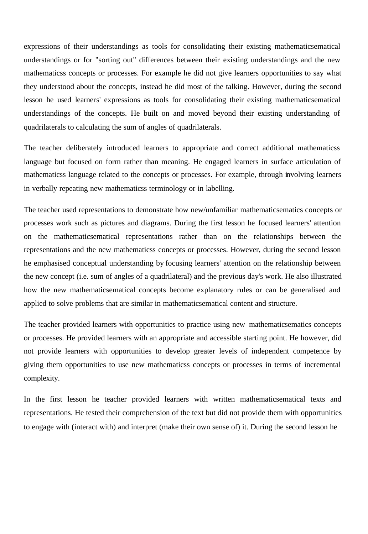expressions of their understandings as tools for consolidating their existing mathematicsematical understandings or for "sorting out" differences between their existing understandings and the new mathematicss concepts or processes. For example he did not give learners opportunities to say what they understood about the concepts, instead he did most of the talking. However, during the second lesson he used learners' expressions as tools for consolidating their existing mathematicsematical understandings of the concepts. He built on and moved beyond their existing understanding of quadrilaterals to calculating the sum of angles of quadrilaterals.

The teacher deliberately introduced learners to appropriate and correct additional mathematicss language but focused on form rather than meaning. He engaged learners in surface articulation of mathematicss language related to the concepts or processes. For example, through involving learners in verbally repeating new mathematicss terminology or in labelling.

The teacher used representations to demonstrate how new/unfamiliar mathematicsematics concepts or processes work such as pictures and diagrams. During the first lesson he focused learners' attention on the mathematicsematical representations rather than on the relationships between the representations and the new mathematicss concepts or processes. However, during the second lesson he emphasised conceptual understanding by focusing learners' attention on the relationship between the new concept (i.e. sum of angles of a quadrilateral) and the previous day's work. He also illustrated how the new mathematicsematical concepts become explanatory rules or can be generalised and applied to solve problems that are similar in mathematicsematical content and structure.

The teacher provided learners with opportunities to practice using new mathematicsematics concepts or processes. He provided learners with an appropriate and accessible starting point. He however, did not provide learners with opportunities to develop greater levels of independent competence by giving them opportunities to use new mathematicss concepts or processes in terms of incremental complexity.

In the first lesson he teacher provided learners with written mathematicsematical texts and representations. He tested their comprehension of the text but did not provide them with opportunities to engage with (interact with) and interpret (make their own sense of) it. During the second lesson he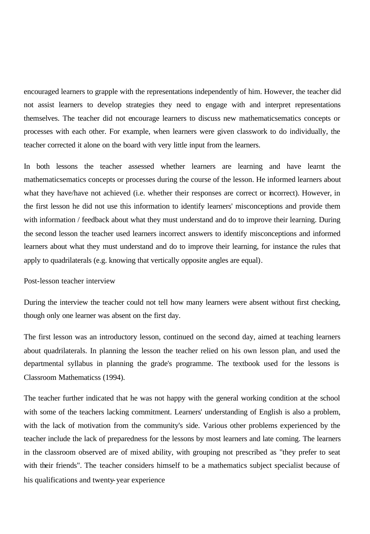encouraged learners to grapple with the representations independently of him. However, the teacher did not assist learners to develop strategies they need to engage with and interpret representations themselves. The teacher did not encourage learners to discuss new mathematicsematics concepts or processes with each other. For example, when learners were given classwork to do individually, the teacher corrected it alone on the board with very little input from the learners.

In both lessons the teacher assessed whether learners are learning and have learnt the mathematicsematics concepts or processes during the course of the lesson. He informed learners about what they have/have not achieved (i.e. whether their responses are correct or incorrect). However, in the first lesson he did not use this information to identify learners' misconceptions and provide them with information / feedback about what they must understand and do to improve their learning. During the second lesson the teacher used learners incorrect answers to identify misconceptions and informed learners about what they must understand and do to improve their learning, for instance the rules that apply to quadrilaterals (e.g. knowing that vertically opposite angles are equal).

#### Post-lesson teacher interview

During the interview the teacher could not tell how many learners were absent without first checking, though only one learner was absent on the first day.

The first lesson was an introductory lesson, continued on the second day, aimed at teaching learners about quadrilaterals. In planning the lesson the teacher relied on his own lesson plan, and used the departmental syllabus in planning the grade's programme. The textbook used for the lessons is Classroom Mathematicss (1994).

The teacher further indicated that he was not happy with the general working condition at the school with some of the teachers lacking commitment. Learners' understanding of English is also a problem, with the lack of motivation from the community's side. Various other problems experienced by the teacher include the lack of preparedness for the lessons by most learners and late coming. The learners in the classroom observed are of mixed ability, with grouping not prescribed as "they prefer to seat with their friends". The teacher considers himself to be a mathematics subject specialist because of his qualifications and twenty-year experience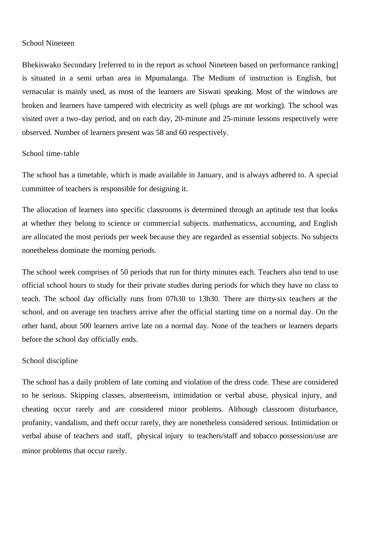# School Nineteen

Bhekiswako Secondary [referred to in the report as school Nineteen based on performance ranking] is situated in a semi urban area in Mpumalanga. The Medium of instruction is English, but vernacular is mainly used, as most of the learners are Siswati speaking. Most of the windows are broken and learners have tampered with electricity as well (plugs are not working). The school was visited over a two-day period, and on each day, 20-minute and 25-minute lessons respectively were observed. Number of learners present was 58 and 60 respectively.

## School time-table

The school has a timetable, which is made available in January, and is always adhered to. A special committee of teachers is responsible for designing it.

The allocation of learners into specific classrooms is determined through an aptitude test that looks at whether they belong to science or commercial subjects. mathematicss, accounting, and English are allocated the most periods per week because they are regarded as essential subjects. No subjects nonetheless dominate the morning periods.

The school week comprises of 50 periods that run for thirty minutes each. Teachers also tend to use official school hours to study for their private studies during periods for which they have no class to teach. The school day officially runs from 07h30 to 13h30. There are thirty-six teachers at the school, and on average ten teachers arrive after the official starting time on a normal day. On the other hand, about 500 learners arrive late on a normal day. None of the teachers or learners departs before the school day officially ends.

## School discipline

The school has a daily problem of late coming and violation of the dress code. These are considered to be serious. Skipping classes, absenteeism, intimidation or verbal abuse, physical injury, and cheating occur rarely and are considered minor problems. Although classroom disturbance, profanity, vandalism, and theft occur rarely, they are nonetheless considered serious. Intimidation or verbal abuse of teachers and staff, physical injury to teachers/staff and tobacco possession/use are minor problems that occur rarely.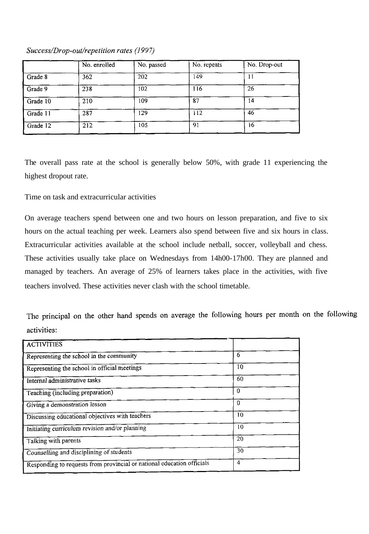|          | No. enrolled | No. passed | No. repeats | No. Drop-out |
|----------|--------------|------------|-------------|--------------|
| Grade 8  | 362          | 202        | 149         |              |
| Grade 9  | 238          | 102        | 116         | 26           |
| Grade 10 | 210          | 109        | 87          | 14           |
| Grade 11 | 287          | 129        | 112         | 46           |
| Grade 12 | 212          | 105        | 91          | 16           |

# Success/Drop-out/repetition rates (1997)

The overall pass rate at the school is generally below 50%, with grade 11 experiencing the highest dropout rate.

# Time on task and extracurricular activities

On average teachers spend between one and two hours on lesson preparation, and five to six hours on the actual teaching per week. Learners also spend between five and six hours in class. Extracurricular activities available at the school include netball, soccer, volleyball and chess. These activities usually take place on Wednesdays from 14h00-17h00. They are planned and managed by teachers. An average of 25% of learners takes place in the activities, with five teachers involved. These activities never clash with the school timetable.

The principal on the other hand spends on average the following hours per month on the following activities:

| <b>ACTIVITIES</b>                                                      |                |  |
|------------------------------------------------------------------------|----------------|--|
| Representing the school in the community                               | 6              |  |
| Representing the school in official meetings                           | 10             |  |
| Internal administrative tasks                                          | 60             |  |
| Teaching (including preparation)                                       | $\bf{0}$       |  |
| Giving a demonstration lesson                                          | $\Omega$       |  |
| Discussing educational objectives with teachers                        | 10             |  |
| Initiating curriculum revision and/or planning                         | 10             |  |
| Talking with parents                                                   | 20             |  |
| Counselling and disciplining of students                               | 30             |  |
| Responding to requests from provincial or national education officials | $\overline{4}$ |  |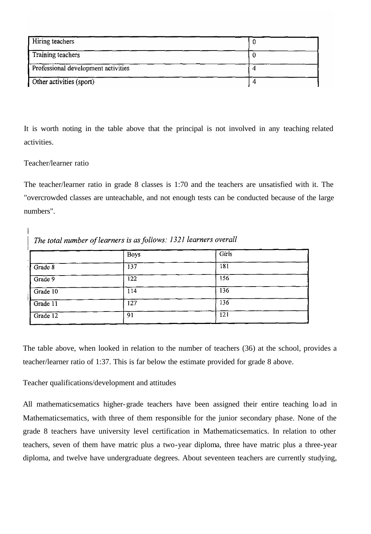| <b>Hiring teachers</b>              |  |
|-------------------------------------|--|
| Training teachers                   |  |
| Professional development activities |  |
| Other activities (sport)            |  |

It is worth noting in the table above that the principal is not involved in any teaching related activities.

# Teacher/learner ratio

 $\overline{1}$ 

The teacher/learner ratio in grade 8 classes is 1:70 and the teachers are unsatisfied with it. The "overcrowded classes are unteachable, and not enough tests can be conducted because of the large numbers".

| The total number of learners is as follows: 1321 learners overall |             |       |  |
|-------------------------------------------------------------------|-------------|-------|--|
|                                                                   | <b>Boys</b> | Girls |  |
| Grade 8                                                           | 137         | 181   |  |
| Grade 9                                                           | 122         | 156   |  |
| Grade 10                                                          | 114         | 136   |  |
| Grade 11                                                          | 127         | 136   |  |
| Grade 12                                                          | 91          | 121   |  |

The table above, when looked in relation to the number of teachers (36) at the school, provides a teacher/learner ratio of 1:37. This is far below the estimate provided for grade 8 above.

Teacher qualifications/development and attitudes

All mathematicsematics higher-grade teachers have been assigned their entire teaching load in Mathematicsematics, with three of them responsible for the junior secondary phase. None of the grade 8 teachers have university level certification in Mathematicsematics. In relation to other teachers, seven of them have matric plus a two-year diploma, three have matric plus a three-year diploma, and twelve have undergraduate degrees. About seventeen teachers are currently studying,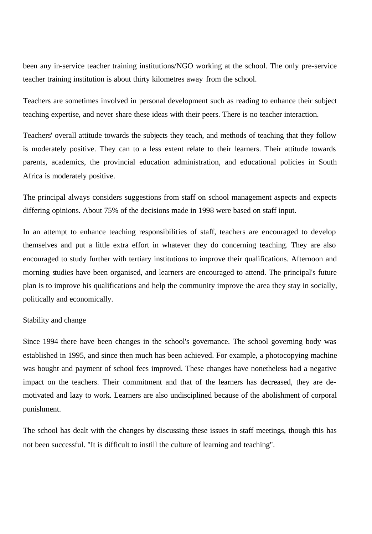been any in-service teacher training institutions/NGO working at the school. The only pre-service teacher training institution is about thirty kilometres away from the school.

Teachers are sometimes involved in personal development such as reading to enhance their subject teaching expertise, and never share these ideas with their peers. There is no teacher interaction.

Teachers' overall attitude towards the subjects they teach, and methods of teaching that they follow is moderately positive. They can to a less extent relate to their learners. Their attitude towards parents, academics, the provincial education administration, and educational policies in South Africa is moderately positive.

The principal always considers suggestions from staff on school management aspects and expects differing opinions. About 75% of the decisions made in 1998 were based on staff input.

In an attempt to enhance teaching responsibilities of staff, teachers are encouraged to develop themselves and put a little extra effort in whatever they do concerning teaching. They are also encouraged to study further with tertiary institutions to improve their qualifications. Afternoon and morning studies have been organised, and learners are encouraged to attend. The principal's future plan is to improve his qualifications and help the community improve the area they stay in socially, politically and economically.

#### Stability and change

Since 1994 there have been changes in the school's governance. The school governing body was established in 1995, and since then much has been achieved. For example, a photocopying machine was bought and payment of school fees improved. These changes have nonetheless had a negative impact on the teachers. Their commitment and that of the learners has decreased, they are demotivated and lazy to work. Learners are also undisciplined because of the abolishment of corporal punishment.

The school has dealt with the changes by discussing these issues in staff meetings, though this has not been successful. "It is difficult to instill the culture of learning and teaching".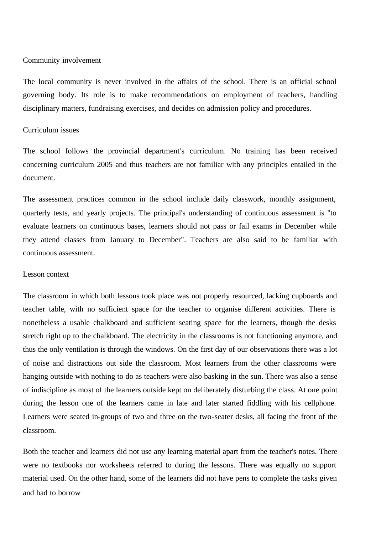#### Community involvement

The local community is never involved in the affairs of the school. There is an official school governing body. Its role is to make recommendations on employment of teachers, handling disciplinary matters, fundraising exercises, and decides on admission policy and procedures.

### Curriculum issues

The school follows the provincial department's curriculum. No training has been received concerning curriculum 2005 and thus teachers are not familiar with any principles entailed in the document.

The assessment practices common in the school include daily classwork, monthly assignment, quarterly tests, and yearly projects. The principal's understanding of continuous assessment is "to evaluate learners on continuous bases, learners should not pass or fail exams in December while they attend classes from January to December". Teachers are also said to be familiar with continuous assessment.

#### Lesson context

The classroom in which both lessons took place was not properly resourced, lacking cupboards and teacher table, with no sufficient space for the teacher to organise different activities. There is nonetheless a usable chalkboard and sufficient seating space for the learners, though the desks stretch right up to the chalkboard. The electricity in the classrooms is not functioning anymore, and thus the only ventilation is through the windows. On the first day of our observations there was a lot of noise and distractions out side the classroom. Most learners from the other classrooms were hanging outside with nothing to do as teachers were also basking in the sun. There was also a sense of indiscipline as most of the learners outside kept on deliberately disturbing the class. At one point during the lesson one of the learners came in late and later started fiddling with his cellphone. Learners were seated in-groups of two and three on the two-seater desks, all facing the front of the classroom.

Both the teacher and learners did not use any learning material apart from the teacher's notes. There were no textbooks nor worksheets referred to during the lessons. There was equally no support material used. On the other hand, some of the learners did not have pens to complete the tasks given and had to borrow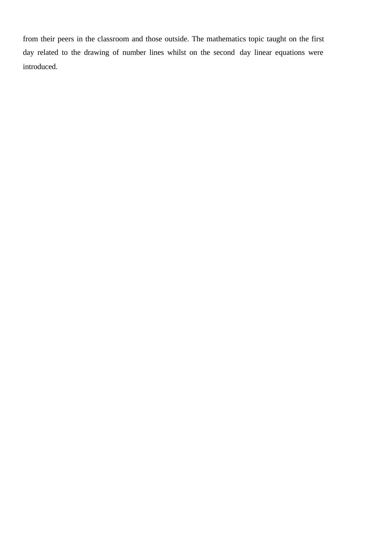from their peers in the classroom and those outside. The mathematics topic taught on the first day related to the drawing of number lines whilst on the second day linear equations were introduced.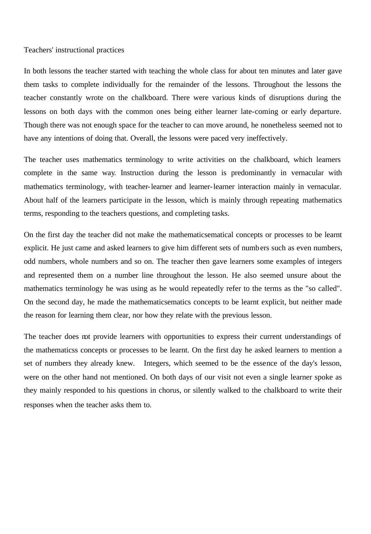### Teachers' instructional practices

In both lessons the teacher started with teaching the whole class for about ten minutes and later gave them tasks to complete individually for the remainder of the lessons. Throughout the lessons the teacher constantly wrote on the chalkboard. There were various kinds of disruptions during the lessons on both days with the common ones being either learner late-coming or early departure. Though there was not enough space for the teacher to can move around, he nonetheless seemed not to have any intentions of doing that. Overall, the lessons were paced very ineffectively.

The teacher uses mathematics terminology to write activities on the chalkboard, which learners complete in the same way. Instruction during the lesson is predominantly in vernacular with mathematics terminology, with teacher-learner and learner-learner interaction mainly in vernacular. About half of the learners participate in the lesson, which is mainly through repeating mathematics terms, responding to the teachers questions, and completing tasks.

On the first day the teacher did not make the mathematicsematical concepts or processes to be learnt explicit. He just came and asked learners to give him different sets of numbers such as even numbers, odd numbers, whole numbers and so on. The teacher then gave learners some examples of integers and represented them on a number line throughout the lesson. He also seemed unsure about the mathematics terminology he was using as he would repeatedly refer to the terms as the "so called". On the second day, he made the mathematicsematics concepts to be learnt explicit, but neither made the reason for learning them clear, nor how they relate with the previous lesson.

The teacher does not provide learners with opportunities to express their current understandings of the mathematicss concepts or processes to be learnt. On the first day he asked learners to mention a set of numbers they already knew. Integers, which seemed to be the essence of the day's lesson, were on the other hand not mentioned. On both days of our visit not even a single learner spoke as they mainly responded to his questions in chorus, or silently walked to the chalkboard to write their responses when the teacher asks them to.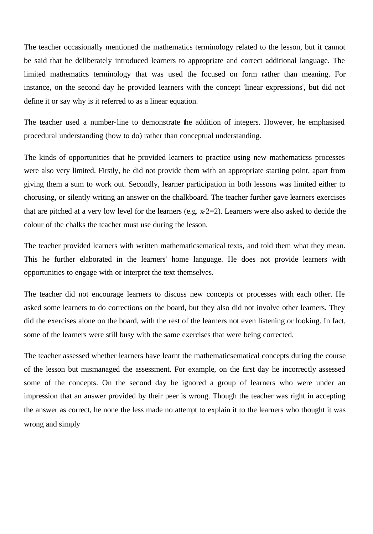The teacher occasionally mentioned the mathematics terminology related to the lesson, but it cannot be said that he deliberately introduced learners to appropriate and correct additional language. The limited mathematics terminology that was used the focused on form rather than meaning. For instance, on the second day he provided learners with the concept 'linear expressions', but did not define it or say why is it referred to as a linear equation.

The teacher used a number-line to demonstrate the addition of integers. However, he emphasised procedural understanding (how to do) rather than conceptual understanding.

The kinds of opportunities that he provided learners to practice using new mathematicss processes were also very limited. Firstly, he did not provide them with an appropriate starting point, apart from giving them a sum to work out. Secondly, learner participation in both lessons was limited either to chorusing, or silently writing an answer on the chalkboard. The teacher further gave learners exercises that are pitched at a very low level for the learners (e.g. x-2=2). Learners were also asked to decide the colour of the chalks the teacher must use during the lesson.

The teacher provided learners with written mathematicsematical texts, and told them what they mean. This he further elaborated in the learners' home language. He does not provide learners with opportunities to engage with or interpret the text themselves.

The teacher did not encourage learners to discuss new concepts or processes with each other. He asked some learners to do corrections on the board, but they also did not involve other learners. They did the exercises alone on the board, with the rest of the learners not even listening or looking. In fact, some of the learners were still busy with the same exercises that were being corrected.

The teacher assessed whether learners have learnt the mathematicsematical concepts during the course of the lesson but mismanaged the assessment. For example, on the first day he incorrectly assessed some of the concepts. On the second day he ignored a group of learners who were under an impression that an answer provided by their peer is wrong. Though the teacher was right in accepting the answer as correct, he none the less made no attempt to explain it to the learners who thought it was wrong and simply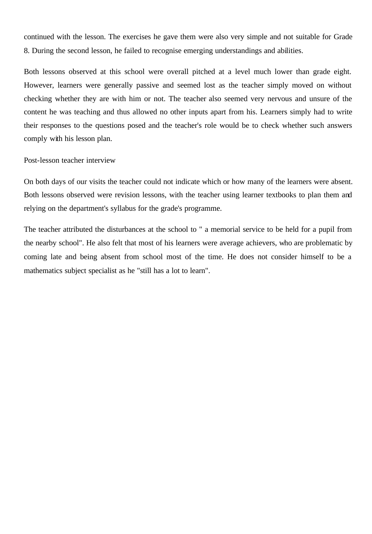continued with the lesson. The exercises he gave them were also very simple and not suitable for Grade 8. During the second lesson, he failed to recognise emerging understandings and abilities.

Both lessons observed at this school were overall pitched at a level much lower than grade eight. However, learners were generally passive and seemed lost as the teacher simply moved on without checking whether they are with him or not. The teacher also seemed very nervous and unsure of the content he was teaching and thus allowed no other inputs apart from his. Learners simply had to write their responses to the questions posed and the teacher's role would be to check whether such answers comply with his lesson plan.

#### Post-lesson teacher interview

On both days of our visits the teacher could not indicate which or how many of the learners were absent. Both lessons observed were revision lessons, with the teacher using learner textbooks to plan them and relying on the department's syllabus for the grade's programme.

The teacher attributed the disturbances at the school to " a memorial service to be held for a pupil from the nearby school". He also felt that most of his learners were average achievers, who are problematic by coming late and being absent from school most of the time. He does not consider himself to be a mathematics subject specialist as he "still has a lot to learn".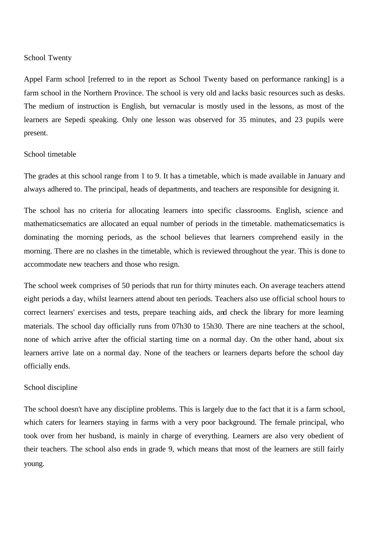## School Twenty

Appel Farm school [referred to in the report as School Twenty based on performance ranking] is a farm school in the Northern Province. The school is very old and lacks basic resources such as desks. The medium of instruction is English, but vernacular is mostly used in the lessons, as most of the learners are Sepedi speaking. Only one lesson was observed for 35 minutes, and 23 pupils were present.

### School timetable

The grades at this school range from 1 to 9. It has a timetable, which is made available in January and always adhered to. The principal, heads of departments, and teachers are responsible for designing it.

The school has no criteria for allocating learners into specific classrooms. English, science and mathematicsematics are allocated an equal number of periods in the timetable. mathematicsematics is dominating the morning periods, as the school believes that learners comprehend easily in the morning. There are no clashes in the timetable, which is reviewed throughout the year. This is done to accommodate new teachers and those who resign.

The school week comprises of 50 periods that run for thirty minutes each. On average teachers attend eight periods a day, whilst learners attend about ten periods. Teachers also use official school hours to correct learners' exercises and tests, prepare teaching aids, and check the library for more learning materials. The school day officially runs from 07h30 to 15h30. There are nine teachers at the school, none of which arrive after the official starting time on a normal day. On the other hand, about six learners arrive late on a normal day. None of the teachers or learners departs before the school day officially ends.

#### School discipline

The school doesn't have any discipline problems. This is largely due to the fact that it is a farm school, which caters for learners staying in farms with a very poor background. The female principal, who took over from her husband, is mainly in charge of everything. Learners are also very obedient of their teachers. The school also ends in grade 9, which means that most of the learners are still fairly young.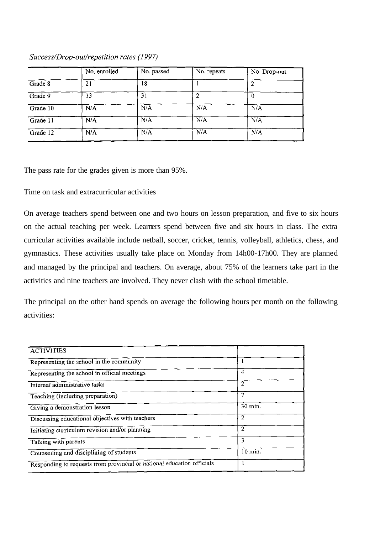|                 | No. enrolled | No. passed | No. repeats | No. Drop-out |  |
|-----------------|--------------|------------|-------------|--------------|--|
| Grade 8         | 21           | 18         |             |              |  |
| Grade 9         | 33           | 31         | 2           |              |  |
| Grade 10        | N/A          | N/A        | N/A         | N/A          |  |
| Grade 11<br>N/A |              | N/A        | N/A         | N/A          |  |
| Grade 12        | N/A          | N/A        | N/A         | N/A          |  |

Success/Drop-out/repetition rates (1997)

The pass rate for the grades given is more than 95%.

Time on task and extracurricular activities

On average teachers spend between one and two hours on lesson preparation, and five to six hours on the actual teaching per week. Learners spend between five and six hours in class. The extra curricular activities available include netball, soccer, cricket, tennis, volleyball, athletics, chess, and gymnastics. These activities usually take place on Monday from 14h00-17h00. They are planned and managed by the principal and teachers. On average, about 75% of the learners take part in the activities and nine teachers are involved. They never clash with the school timetable.

The principal on the other hand spends on average the following hours per month on the following activities:

| <b>ACTIVITIES</b>                                                      |                |
|------------------------------------------------------------------------|----------------|
| Representing the school in the community                               |                |
| Representing the school in official meetings                           | 4              |
| Internal administrative tasks                                          | $\overline{2}$ |
| Teaching (including preparation)                                       | 7              |
| Giving a demonstration lesson                                          | 30 min.        |
| Discussing educational objectives with teachers                        | 2              |
| Initiating curriculum revision and/or planning                         | $\overline{2}$ |
| Talking with parents                                                   | 3              |
| Counselling and disciplining of students                               | $10$ min.      |
| Responding to requests from provincial or national education officials |                |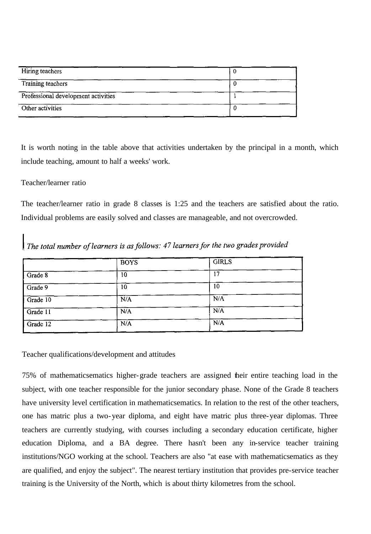| Hiring teachers                     |  |
|-------------------------------------|--|
| Training teachers                   |  |
| Professional development activities |  |
| Other activities                    |  |

It is worth noting in the table above that activities undertaken by the principal in a month, which include teaching, amount to half a weeks' work.

# Teacher/learner ratio

The teacher/learner ratio in grade 8 classes is 1:25 and the teachers are satisfied about the ratio. Individual problems are easily solved and classes are manageable, and not overcrowded.

The total number of learners is as follows: 47 learners for the two grades provided

|          | <b>BOYS</b> | <b>GIRLS</b> |  |
|----------|-------------|--------------|--|
| Grade 8  | 10          | 17           |  |
| Grade 9  | 10          | 10           |  |
| Grade 10 | N/A         | N/A          |  |
| Grade 11 | N/A         | N/A          |  |
| Grade 12 | N/A         | N/A          |  |

Teacher qualifications/development and attitudes

75% of mathematicsematics higher-grade teachers are assigned their entire teaching load in the subject, with one teacher responsible for the junior secondary phase. None of the Grade 8 teachers have university level certification in mathematicsematics. In relation to the rest of the other teachers, one has matric plus a two-year diploma, and eight have matric plus three-year diplomas. Three teachers are currently studying, with courses including a secondary education certificate, higher education Diploma, and a BA degree. There hasn't been any in-service teacher training institutions/NGO working at the school. Teachers are also "at ease with mathematicsematics as they are qualified, and enjoy the subject". The nearest tertiary institution that provides pre-service teacher training is the University of the North, which is about thirty kilometres from the school.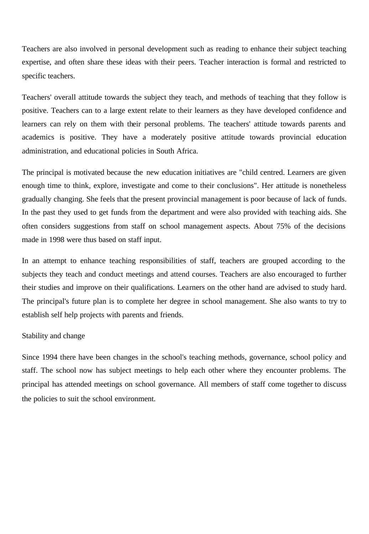Teachers are also involved in personal development such as reading to enhance their subject teaching expertise, and often share these ideas with their peers. Teacher interaction is formal and restricted to specific teachers.

Teachers' overall attitude towards the subject they teach, and methods of teaching that they follow is positive. Teachers can to a large extent relate to their learners as they have developed confidence and learners can rely on them with their personal problems. The teachers' attitude towards parents and academics is positive. They have a moderately positive attitude towards provincial education administration, and educational policies in South Africa.

The principal is motivated because the new education initiatives are "child centred. Learners are given enough time to think, explore, investigate and come to their conclusions". Her attitude is nonetheless gradually changing. She feels that the present provincial management is poor because of lack of funds. In the past they used to get funds from the department and were also provided with teaching aids. She often considers suggestions from staff on school management aspects. About 75% of the decisions made in 1998 were thus based on staff input.

In an attempt to enhance teaching responsibilities of staff, teachers are grouped according to the subjects they teach and conduct meetings and attend courses. Teachers are also encouraged to further their studies and improve on their qualifications. Learners on the other hand are advised to study hard. The principal's future plan is to complete her degree in school management. She also wants to try to establish self help projects with parents and friends.

## Stability and change

Since 1994 there have been changes in the school's teaching methods, governance, school policy and staff. The school now has subject meetings to help each other where they encounter problems. The principal has attended meetings on school governance. All members of staff come together to discuss the policies to suit the school environment.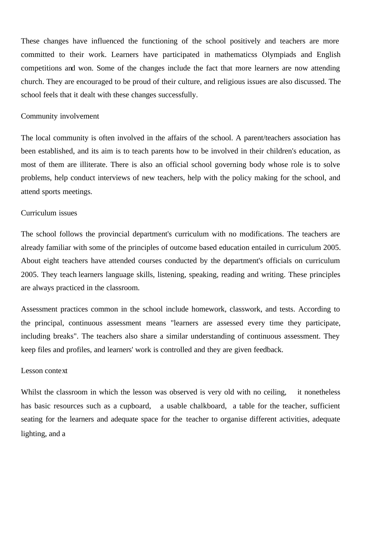These changes have influenced the functioning of the school positively and teachers are more committed to their work. Learners have participated in mathematicss Olympiads and English competitions and won. Some of the changes include the fact that more learners are now attending church. They are encouraged to be proud of their culture, and religious issues are also discussed. The school feels that it dealt with these changes successfully.

### Community involvement

The local community is often involved in the affairs of the school. A parent/teachers association has been established, and its aim is to teach parents how to be involved in their children's education, as most of them are illiterate. There is also an official school governing body whose role is to solve problems, help conduct interviews of new teachers, help with the policy making for the school, and attend sports meetings.

### Curriculum issues

The school follows the provincial department's curriculum with no modifications. The teachers are already familiar with some of the principles of outcome based education entailed in curriculum 2005. About eight teachers have attended courses conducted by the department's officials on curriculum 2005. They teach learners language skills, listening, speaking, reading and writing. These principles are always practiced in the classroom.

Assessment practices common in the school include homework, classwork, and tests. According to the principal, continuous assessment means "learners are assessed every time they participate, including breaks". The teachers also share a similar understanding of continuous assessment. They keep files and profiles, and learners' work is controlled and they are given feedback.

### Lesson context

Whilst the classroom in which the lesson was observed is very old with no ceiling, it nonetheless has basic resources such as a cupboard, a usable chalkboard, a table for the teacher, sufficient seating for the learners and adequate space for the teacher to organise different activities, adequate lighting, and a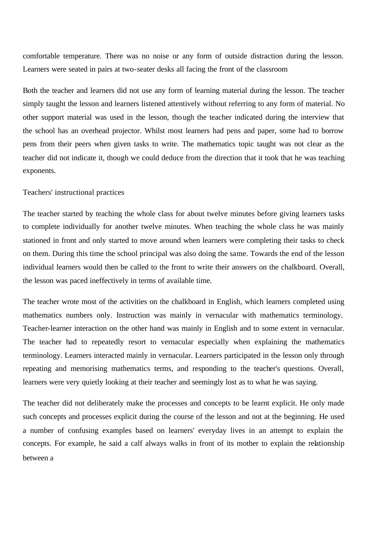comfortable temperature. There was no noise or any form of outside distraction during the lesson. Learners were seated in pairs at two-seater desks all facing the front of the classroom

Both the teacher and learners did not use any form of learning material during the lesson. The teacher simply taught the lesson and learners listened attentively without referring to any form of material. No other support material was used in the lesson, though the teacher indicated during the interview that the school has an overhead projector. Whilst most learners had pens and paper, some had to borrow pens from their peers when given tasks to write. The mathematics topic taught was not clear as the teacher did not indicate it, though we could deduce from the direction that it took that he was teaching exponents.

#### Teachers' instructional practices

The teacher started by teaching the whole class for about twelve minutes before giving learners tasks to complete individually for another twelve minutes. When teaching the whole class he was mainly stationed in front and only started to move around when learners were completing their tasks to check on them. During this time the school principal was also doing the same. Towards the end of the lesson individual learners would then be called to the front to write their answers on the chalkboard. Overall, the lesson was paced ineffectively in terms of available time.

The teacher wrote most of the activities on the chalkboard in English, which learners completed using mathematics numbers only. Instruction was mainly in vernacular with mathematics terminology. Teacher-learner interaction on the other hand was mainly in English and to some extent in vernacular. The teacher had to repeatedly resort to vernacular especially when explaining the mathematics terminology. Learners interacted mainly in vernacular. Learners participated in the lesson only through repeating and memorising mathematics terms, and responding to the teacher's questions. Overall, learners were very quietly looking at their teacher and seemingly lost as to what he was saying.

The teacher did not deliberately make the processes and concepts to be learnt explicit. He only made such concepts and processes explicit during the course of the lesson and not at the beginning. He used a number of confusing examples based on learners' everyday lives in an attempt to explain the concepts. For example, he said a calf always walks in front of its mother to explain the relationship between a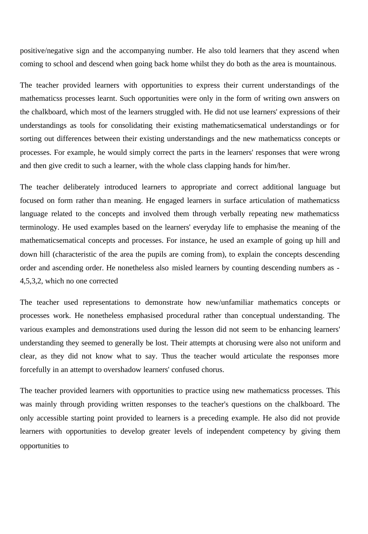positive/negative sign and the accompanying number. He also told learners that they ascend when coming to school and descend when going back home whilst they do both as the area is mountainous.

The teacher provided learners with opportunities to express their current understandings of the mathematicss processes learnt. Such opportunities were only in the form of writing own answers on the chalkboard, which most of the learners struggled with. He did not use learners' expressions of their understandings as tools for consolidating their existing mathematicsematical understandings or for sorting out differences between their existing understandings and the new mathematicss concepts or processes. For example, he would simply correct the parts in the learners' responses that were wrong and then give credit to such a learner, with the whole class clapping hands for him/her.

The teacher deliberately introduced learners to appropriate and correct additional language but focused on form rather than meaning. He engaged learners in surface articulation of mathematicss language related to the concepts and involved them through verbally repeating new mathematicss terminology. He used examples based on the learners' everyday life to emphasise the meaning of the mathematicsematical concepts and processes. For instance, he used an example of going up hill and down hill (characteristic of the area the pupils are coming from), to explain the concepts descending order and ascending order. He nonetheless also misled learners by counting descending numbers as - 4,5,3,2, which no one corrected

The teacher used representations to demonstrate how new/unfamiliar mathematics concepts or processes work. He nonetheless emphasised procedural rather than conceptual understanding. The various examples and demonstrations used during the lesson did not seem to be enhancing learners' understanding they seemed to generally be lost. Their attempts at chorusing were also not uniform and clear, as they did not know what to say. Thus the teacher would articulate the responses more forcefully in an attempt to overshadow learners' confused chorus.

The teacher provided learners with opportunities to practice using new mathematicss processes. This was mainly through providing written responses to the teacher's questions on the chalkboard. The only accessible starting point provided to learners is a preceding example. He also did not provide learners with opportunities to develop greater levels of independent competency by giving them opportunities to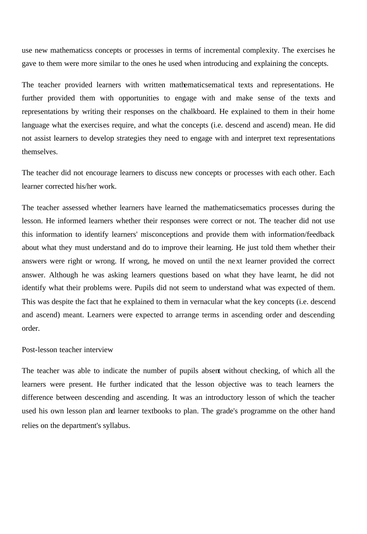use new mathematicss concepts or processes in terms of incremental complexity. The exercises he gave to them were more similar to the ones he used when introducing and explaining the concepts.

The teacher provided learners with written mathematicsematical texts and representations. He further provided them with opportunities to engage with and make sense of the texts and representations by writing their responses on the chalkboard. He explained to them in their home language what the exercises require, and what the concepts (i.e. descend and ascend) mean. He did not assist learners to develop strategies they need to engage with and interpret text representations themselves.

The teacher did not encourage learners to discuss new concepts or processes with each other. Each learner corrected his/her work.

The teacher assessed whether learners have learned the mathematicsematics processes during the lesson. He informed learners whether their responses were correct or not. The teacher did not use this information to identify learners' misconceptions and provide them with information/feedback about what they must understand and do to improve their learning. He just told them whether their answers were right or wrong. If wrong, he moved on until the next learner provided the correct answer. Although he was asking learners questions based on what they have learnt, he did not identify what their problems were. Pupils did not seem to understand what was expected of them. This was despite the fact that he explained to them in vernacular what the key concepts (i.e. descend and ascend) meant. Learners were expected to arrange terms in ascending order and descending order.

## Post-lesson teacher interview

The teacher was able to indicate the number of pupils absent without checking, of which all the learners were present. He further indicated that the lesson objective was to teach learners the difference between descending and ascending. It was an introductory lesson of which the teacher used his own lesson plan and learner textbooks to plan. The grade's programme on the other hand relies on the department's syllabus.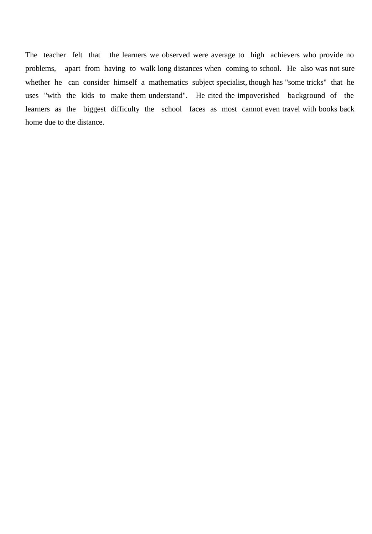The teacher felt that the learners we observed were average to high achievers who provide no problems, apart from having to walk long distances when coming to school. He also was not sure whether he can consider himself a mathematics subject specialist, though has "some tricks" that he uses "with the kids to make them understand". He cited the impoverished background of the learners as the biggest difficulty the school faces as most cannot even travel with books back home due to the distance.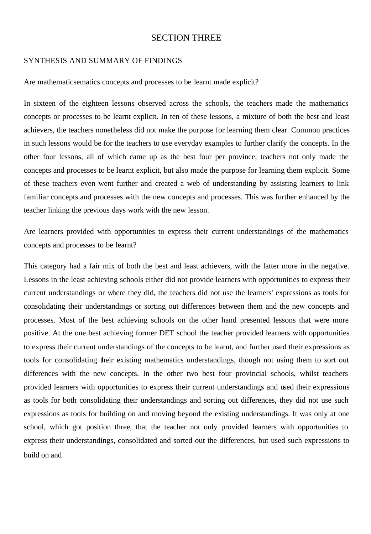# SECTION THREE

### SYNTHESIS AND SUMMARY OF FINDINGS

Are mathematicsematics concepts and processes to be learnt made explicit?

In sixteen of the eighteen lessons observed across the schools, the teachers made the mathematics concepts or processes to be learnt explicit. In ten of these lessons, a mixture of both the best and least achievers, the teachers nonetheless did not make the purpose for learning them clear. Common practices in such lessons would be for the teachers to use everyday examples to further clarify the concepts. In the other four lessons, all of which came up as the best four per province, teachers not only made the concepts and processes to be learnt explicit, but also made the purpose for learning them explicit. Some of these teachers even went further and created a web of understanding by assisting learners to link familiar concepts and processes with the new concepts and processes. This was further enhanced by the teacher linking the previous days work with the new lesson.

Are learners provided with opportunities to express their current understandings of the mathematics concepts and processes to be learnt?

This category had a fair mix of both the best and least achievers, with the latter more in the negative. Lessons in the least achieving schools either did not provide learners with opportunities to express their current understandings or where they did, the teachers did not use the learners' expressions as tools for consolidating their understandings or sorting out differences between them and the new concepts and processes. Most of the best achieving schools on the other hand presented lessons that were more positive. At the one best achieving former DET school the teacher provided learners with opportunities to express their current understandings of the concepts to be learnt, and further used their expressions as tools for consolidating their existing mathematics understandings, though not using them to sort out differences with the new concepts. In the other two best four provincial schools, whilst teachers provided learners with opportunities to express their current understandings and used their expressions as tools for both consolidating their understandings and sorting out differences, they did not use such expressions as tools for building on and moving beyond the existing understandings. It was only at one school, which got position three, that the teacher not only provided learners with opportunities to express their understandings, consolidated and sorted out the differences, but used such expressions to build on and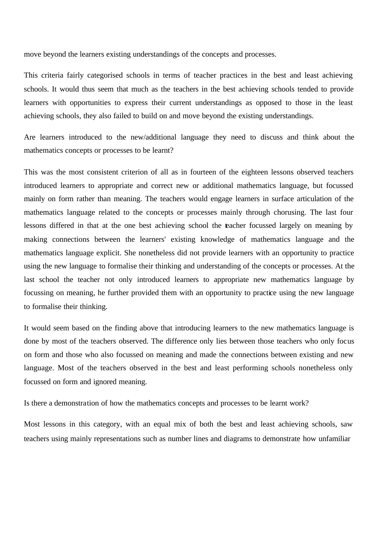move beyond the learners existing understandings of the concepts and processes.

This criteria fairly categorised schools in terms of teacher practices in the best and least achieving schools. It would thus seem that much as the teachers in the best achieving schools tended to provide learners with opportunities to express their current understandings as opposed to those in the least achieving schools, they also failed to build on and move beyond the existing understandings.

Are learners introduced to the new/additional language they need to discuss and think about the mathematics concepts or processes to be learnt?

This was the most consistent criterion of all as in fourteen of the eighteen lessons observed teachers introduced learners to appropriate and correct new or additional mathematics language, but focussed mainly on form rather than meaning. The teachers would engage learners in surface articulation of the mathematics language related to the concepts or processes mainly through chorusing. The last four lessons differed in that at the one best achieving school the teacher focussed largely on meaning by making connections between the learners' existing knowledge of mathematics language and the mathematics language explicit. She nonetheless did not provide learners with an opportunity to practice using the new language to formalise their thinking and understanding of the concepts or processes. At the last school the teacher not only introduced learners to appropriate new mathematics language by focussing on meaning, he further provided them with an opportunity to practice using the new language to formalise their thinking.

It would seem based on the finding above that introducing learners to the new mathematics language is done by most of the teachers observed. The difference only lies between those teachers who only focus on form and those who also focussed on meaning and made the connections between existing and new language. Most of the teachers observed in the best and least performing schools nonetheless only focussed on form and ignored meaning.

Is there a demonstration of how the mathematics concepts and processes to be learnt work?

Most lessons in this category, with an equal mix of both the best and least achieving schools, saw teachers using mainly representations such as number lines and diagrams to demonstrate how unfamiliar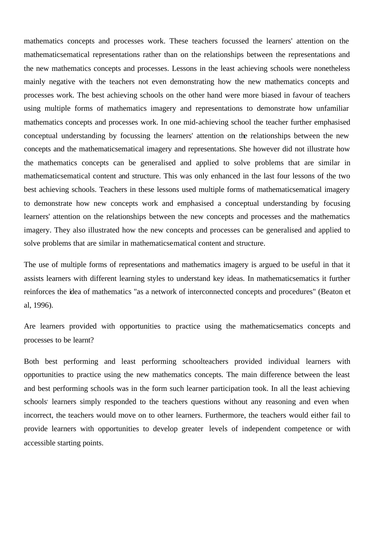mathematics concepts and processes work. These teachers focussed the learners' attention on the mathematicsematical representations rather than on the relationships between the representations and the new mathematics concepts and processes. Lessons in the least achieving schools were nonetheless mainly negative with the teachers not even demonstrating how the new mathematics concepts and processes work. The best achieving schools on the other hand were more biased in favour of teachers using multiple forms of mathematics imagery and representations to demonstrate how unfamiliar mathematics concepts and processes work. In one mid-achieving school the teacher further emphasised conceptual understanding by focussing the learners' attention on the relationships between the new concepts and the mathematicsematical imagery and representations. She however did not illustrate how the mathematics concepts can be generalised and applied to solve problems that are similar in mathematicsematical content and structure. This was only enhanced in the last four lessons of the two best achieving schools. Teachers in these lessons used multiple forms of mathematicsematical imagery to demonstrate how new concepts work and emphasised a conceptual understanding by focusing learners' attention on the relationships between the new concepts and processes and the mathematics imagery. They also illustrated how the new concepts and processes can be generalised and applied to solve problems that are similar in mathematicsematical content and structure.

The use of multiple forms of representations and mathematics imagery is argued to be useful in that it assists learners with different learning styles to understand key ideas. In mathematicsematics it further reinforces the idea of mathematics "as a network of interconnected concepts and procedures" (Beaton et al, 1996).

Are learners provided with opportunities to practice using the mathematicsematics concepts and processes to be learnt?

Both best performing and least performing schoolteachers provided individual learners with opportunities to practice using the new mathematics concepts. The main difference between the least and best performing schools was in the form such learner participation took. In all the least achieving schools' learners simply responded to the teachers questions without any reasoning and even when incorrect, the teachers would move on to other learners. Furthermore, the teachers would either fail to provide learners with opportunities to develop greater levels of independent competence or with accessible starting points.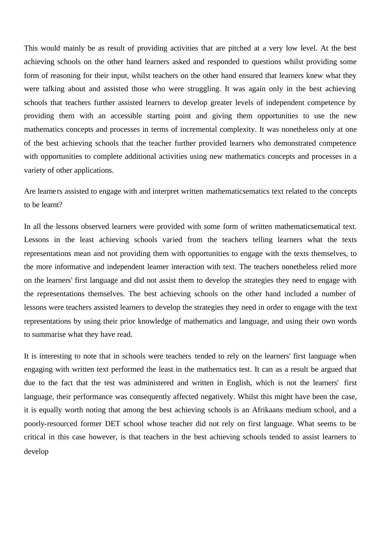This would mainly be as result of providing activities that are pitched at a very low level. At the best achieving schools on the other hand learners asked and responded to questions whilst providing some form of reasoning for their input, whilst teachers on the other hand ensured that learners knew what they were talking about and assisted those who were struggling. It was again only in the best achieving schools that teachers further assisted learners to develop greater levels of independent competence by providing them with an accessible starting point and giving them opportunities to use the new mathematics concepts and processes in terms of incremental complexity. It was nonetheless only at one of the best achieving schools that the teacher further provided learners who demonstrated competence with opportunities to complete additional activities using new mathematics concepts and processes in a variety of other applications.

Are learners assisted to engage with and interpret written mathematicsematics text related to the concepts to be learnt?

In all the lessons observed learners were provided with some form of written mathematicsematical text. Lessons in the least achieving schools varied from the teachers telling learners what the texts representations mean and not providing them with opportunities to engage with the texts themselves, to the more informative and independent learner interaction with text. The teachers nonetheless relied more on the learners' first language and did not assist them to develop the strategies they need to engage with the representations themselves. The best achieving schools on the other hand included a number of lessons were teachers assisted learners to develop the strategies they need in order to engage with the text representations by using their prior knowledge of mathematics and language, and using their own words to summarise what they have read.

It is interesting to note that in schools were teachers tended to rely on the learners' first language when engaging with written text performed the least in the mathematics test. It can as a result be argued that due to the fact that the test was administered and written in English, which is not the learners' first language, their performance was consequently affected negatively. Whilst this might have been the case, it is equally worth noting that among the best achieving schools is an Afrikaans medium school, and a poorly-resourced former DET school whose teacher did not rely on first language. What seems to be critical in this case however, is that teachers in the best achieving schools tended to assist learners to develop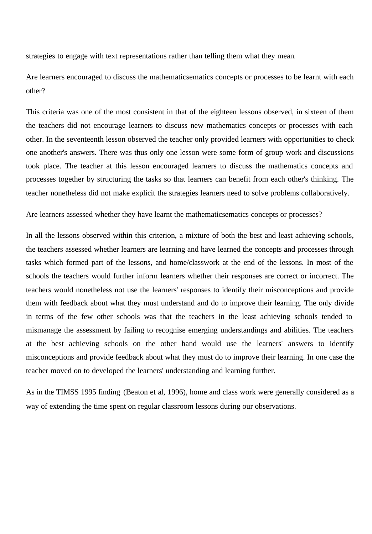strategies to engage with text representations rather than telling them what they mean.

Are learners encouraged to discuss the mathematicsematics concepts or processes to be learnt with each other?

This criteria was one of the most consistent in that of the eighteen lessons observed, in sixteen of them the teachers did not encourage learners to discuss new mathematics concepts or processes with each other. In the seventeenth lesson observed the teacher only provided learners with opportunities to check one another's answers. There was thus only one lesson were some form of group work and discussions took place. The teacher at this lesson encouraged learners to discuss the mathematics concepts and processes together by structuring the tasks so that learners can benefit from each other's thinking. The teacher nonetheless did not make explicit the strategies learners need to solve problems collaboratively.

Are learners assessed whether they have learnt the mathematicsematics concepts or processes?

In all the lessons observed within this criterion, a mixture of both the best and least achieving schools, the teachers assessed whether learners are learning and have learned the concepts and processes through tasks which formed part of the lessons, and home/classwork at the end of the lessons. In most of the schools the teachers would further inform learners whether their responses are correct or incorrect. The teachers would nonetheless not use the learners' responses to identify their misconceptions and provide them with feedback about what they must understand and do to improve their learning. The only divide in terms of the few other schools was that the teachers in the least achieving schools tended to mismanage the assessment by failing to recognise emerging understandings and abilities. The teachers at the best achieving schools on the other hand would use the learners' answers to identify misconceptions and provide feedback about what they must do to improve their learning. In one case the teacher moved on to developed the learners' understanding and learning further.

As in the TIMSS 1995 finding (Beaton et al, 1996), home and class work were generally considered as a way of extending the time spent on regular classroom lessons during our observations.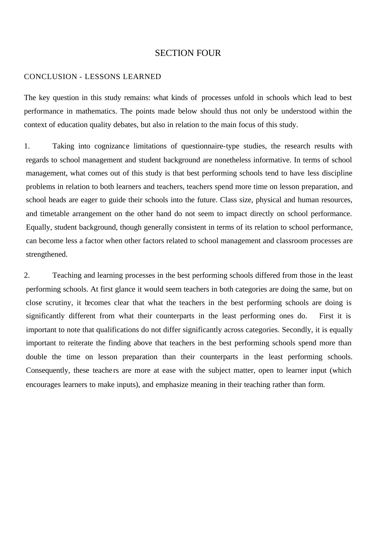# SECTION FOUR

### CONCLUSION - LESSONS LEARNED

The key question in this study remains: what kinds of processes unfold in schools which lead to best performance in mathematics. The points made below should thus not only be understood within the context of education quality debates, but also in relation to the main focus of this study.

1. Taking into cognizance limitations of questionnaire-type studies, the research results with regards to school management and student background are nonetheless informative. In terms of school management, what comes out of this study is that best performing schools tend to have less discipline problems in relation to both learners and teachers, teachers spend more time on lesson preparation, and school heads are eager to guide their schools into the future. Class size, physical and human resources, and timetable arrangement on the other hand do not seem to impact directly on school performance. Equally, student background, though generally consistent in terms of its relation to school performance, can become less a factor when other factors related to school management and classroom processes are strengthened.

2. Teaching and learning processes in the best performing schools differed from those in the least performing schools. At first glance it would seem teachers in both categories are doing the same, but on close scrutiny, it becomes clear that what the teachers in the best performing schools are doing is significantly different from what their counterparts in the least performing ones do. First it is important to note that qualifications do not differ significantly across categories. Secondly, it is equally important to reiterate the finding above that teachers in the best performing schools spend more than double the time on lesson preparation than their counterparts in the least performing schools. Consequently, these teachers are more at ease with the subject matter, open to learner input (which encourages learners to make inputs), and emphasize meaning in their teaching rather than form.